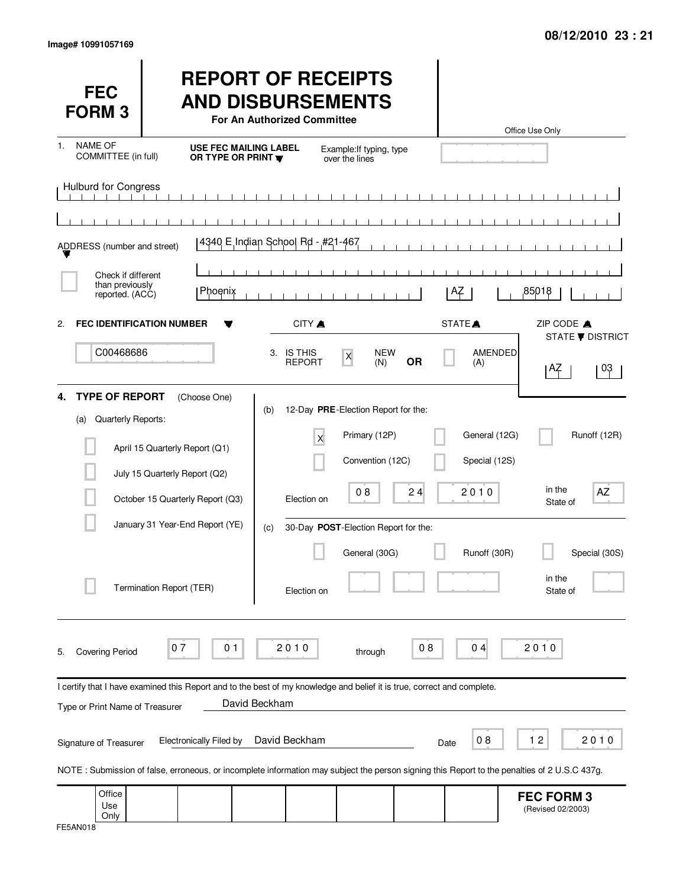| <b>FEC</b><br><b>FORM3</b>                               |                                                                                                                                                                                | <b>REPORT OF RECEIPTS</b><br><b>AND DISBURSEMENTS</b><br>For An Authorized Committee |                                                      |                           |                       | Office Use Only                        |
|----------------------------------------------------------|--------------------------------------------------------------------------------------------------------------------------------------------------------------------------------|--------------------------------------------------------------------------------------|------------------------------------------------------|---------------------------|-----------------------|----------------------------------------|
| <b>NAME OF</b><br>1.<br>COMMITTEE (in full)              | <b>USE FEC MAILING LABEL</b><br>OR TYPE OR PRINT W                                                                                                                             |                                                                                      | Example: If typing, type<br>over the lines           |                           |                       |                                        |
| <b>Hulburd for Congress</b>                              |                                                                                                                                                                                | $\Box$<br>.                                                                          |                                                      | $\mathbf{1}$<br>$\sim$ 1. |                       |                                        |
| ADDRESS (number and street)                              |                                                                                                                                                                                | 4340 E Indian School Rd - #21-467                                                    |                                                      |                           |                       |                                        |
| Check if different<br>than previously<br>reported. (ACC) | <b>Phoenix</b>                                                                                                                                                                 |                                                                                      |                                                      |                           | ΑZ                    | 85018                                  |
| <b>FEC IDENTIFICATION NUMBER</b><br>2.                   |                                                                                                                                                                                | CITY A                                                                               |                                                      |                           | STATE <sup>A</sup>    | ZIP CODE A<br><b>STATE ▼ DISTRICT</b>  |
| C00468686                                                |                                                                                                                                                                                | 3. IS THIS<br><b>REPORT</b>                                                          | <b>NEW</b><br>$\boldsymbol{\mathsf{X}}$<br>(N)       | <b>OR</b>                 | <b>AMENDED</b><br>(A) | 03<br>۱AZ.                             |
| <b>TYPE OF REPORT</b><br>4.<br>Quarterly Reports:<br>(a) | (Choose One)                                                                                                                                                                   | (b)<br>X                                                                             | 12-Day PRE-Election Report for the:<br>Primary (12P) |                           | General (12G)         | Runoff (12R)                           |
|                                                          | April 15 Quarterly Report (Q1)<br>July 15 Quarterly Report (Q2)                                                                                                                |                                                                                      | Convention (12C)                                     |                           | Special (12S)         |                                        |
|                                                          | October 15 Quarterly Report (Q3)                                                                                                                                               | Election on                                                                          | 08                                                   | 24                        | 2010                  | in the<br>AZ<br>State of               |
|                                                          | January 31 Year-End Report (YE)                                                                                                                                                | (c)                                                                                  | 30-Day POST-Election Report for the:                 |                           |                       |                                        |
|                                                          | Termination Report (TER)                                                                                                                                                       | Election on                                                                          | General (30G)                                        |                           | Runoff (30R)          | Special (30S)<br>in the<br>State of    |
| <b>Covering Period</b><br>5.                             | 07<br>01                                                                                                                                                                       | 2010                                                                                 | through                                              | 08                        | 04                    | 2010                                   |
| Type or Print Name of Treasurer                          | I certify that I have examined this Report and to the best of my knowledge and belief it is true, correct and complete.                                                        | David Beckham                                                                        |                                                      |                           |                       |                                        |
| Signature of Treasurer                                   | <b>Electronically Filed by</b><br>NOTE: Submission of false, erroneous, or incomplete information may subject the person signing this Report to the penalties of 2 U.S.C 437g. | David Beckham                                                                        |                                                      |                           | 08<br>Date            | 12<br>2010                             |
| Office<br>Use<br>Only                                    |                                                                                                                                                                                |                                                                                      |                                                      |                           |                       | <b>FEC FORM 3</b><br>(Revised 02/2003) |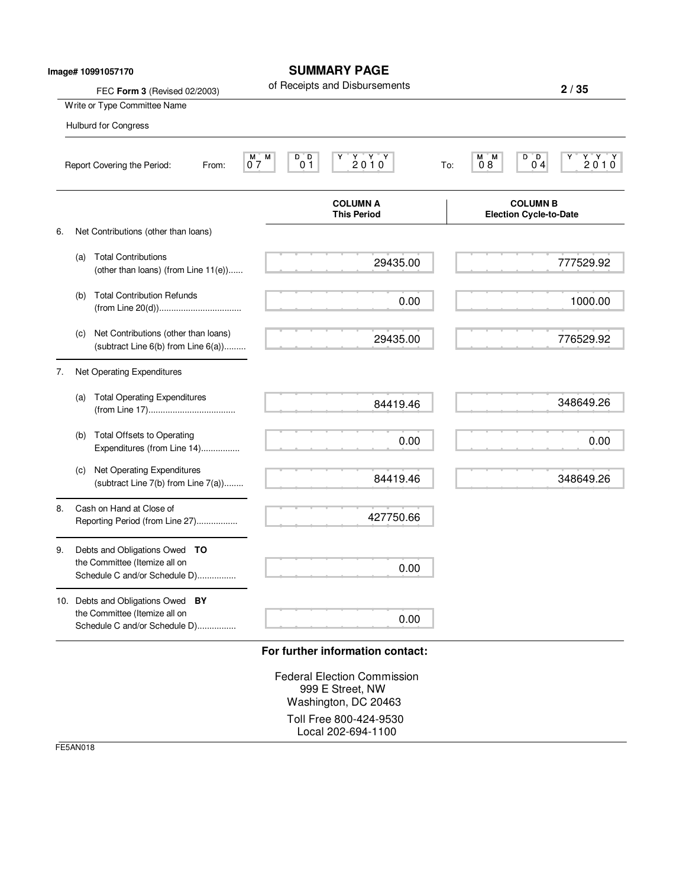|    |     | Image# 10991057170                                                                                  | <b>SUMMARY PAGE</b>                                                                                                       |                                                                                                 |
|----|-----|-----------------------------------------------------------------------------------------------------|---------------------------------------------------------------------------------------------------------------------------|-------------------------------------------------------------------------------------------------|
|    |     | FEC Form 3 (Revised 02/2003)                                                                        | of Receipts and Disbursements                                                                                             | 2/35                                                                                            |
|    |     | Write or Type Committee Name                                                                        |                                                                                                                           |                                                                                                 |
|    |     | Hulburd for Congress                                                                                |                                                                                                                           |                                                                                                 |
|    |     | Report Covering the Period:<br>From:                                                                | $\begin{array}{cc}\nY & Y & Y \\ 2 & 0 & 1 & 0\n\end{array}$<br>M<br>D D<br>M <sub>o</sub><br>0 <sub>1</sub><br>07<br>To: | $\begin{array}{c}\nY' & Y' \\ 2 \ 0 \ 1 \ 0\n\end{array}$<br>M M<br>D D<br>08<br>0 <sub>4</sub> |
|    |     |                                                                                                     | <b>COLUMN A</b><br><b>This Period</b>                                                                                     | <b>COLUMN B</b><br><b>Election Cycle-to-Date</b>                                                |
| 6. |     | Net Contributions (other than loans)                                                                |                                                                                                                           |                                                                                                 |
|    | (a) | <b>Total Contributions</b><br>(other than loans) (from Line 11(e))                                  | 29435.00                                                                                                                  | 777529.92                                                                                       |
|    | (b) | <b>Total Contribution Refunds</b>                                                                   | 0.00                                                                                                                      | 1000.00                                                                                         |
|    | (c) | Net Contributions (other than loans)<br>(subtract Line 6(b) from Line 6(a))                         | 29435.00                                                                                                                  | 776529.92                                                                                       |
| 7. |     | Net Operating Expenditures                                                                          |                                                                                                                           |                                                                                                 |
|    | (a) | <b>Total Operating Expenditures</b>                                                                 | 84419.46                                                                                                                  | 348649.26                                                                                       |
|    | (b) | <b>Total Offsets to Operating</b><br>Expenditures (from Line 14)                                    | 0.00                                                                                                                      | 0.00                                                                                            |
|    | (c) | Net Operating Expenditures<br>(subtract Line 7(b) from Line 7(a))                                   | 84419.46                                                                                                                  | 348649.26                                                                                       |
| 8. |     | Cash on Hand at Close of<br>Reporting Period (from Line 27)                                         | 427750.66                                                                                                                 |                                                                                                 |
| 9. |     | Debts and Obligations Owed TO<br>the Committee (Itemize all on<br>Schedule C and/or Schedule D)     | 0.00                                                                                                                      |                                                                                                 |
|    |     | 10. Debts and Obligations Owed BY<br>the Committee (Itemize all on<br>Schedule C and/or Schedule D) | 0.00                                                                                                                      |                                                                                                 |

Federal Election Commission 999 E Street, NW Washington, DC 20463 Toll Free 800-424-9530 Local 202-694-1100

FE5AN018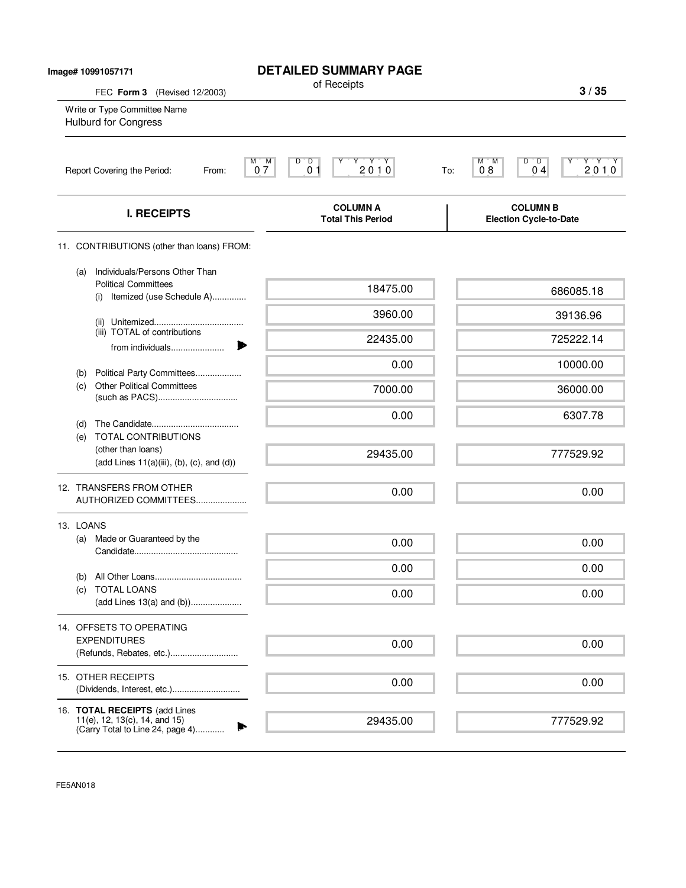| Image# 10991057171                                                                          | <b>DETAILED SUMMARY PAGE</b>                                                                                                                                                           |                                                                                                                                                                                                                                                                           |
|---------------------------------------------------------------------------------------------|----------------------------------------------------------------------------------------------------------------------------------------------------------------------------------------|---------------------------------------------------------------------------------------------------------------------------------------------------------------------------------------------------------------------------------------------------------------------------|
| FEC Form 3 (Revised 12/2003)<br>Write or Type Committee Name<br><b>Hulburd for Congress</b> |                                                                                                                                                                                        | 3/35                                                                                                                                                                                                                                                                      |
| Report Covering the Period:<br>From:                                                        | $\overline{D}$<br>$\begin{array}{c}\n\mathbf{Y} & \mathbf{Y} & \mathbf{Y} \\ \mathbf{2} & \mathbf{0} & \mathbf{1} & \mathbf{0}\n\end{array}$<br>M.<br>M<br>D<br>$\overline{0}$ 1<br>07 | D<br>$^{\circ}$ D<br>$Y'Y'Y$<br>2010<br>М<br>'M<br>04<br>08<br>To:                                                                                                                                                                                                        |
| <b>I. RECEIPTS</b>                                                                          | <b>COLUMN A</b><br><b>Total This Period</b>                                                                                                                                            | <b>COLUMN B</b><br><b>Election Cycle-to-Date</b>                                                                                                                                                                                                                          |
|                                                                                             |                                                                                                                                                                                        |                                                                                                                                                                                                                                                                           |
| Individuals/Persons Other Than<br>(a)<br><b>Political Committees</b>                        | 18475.00                                                                                                                                                                               | 686085.18                                                                                                                                                                                                                                                                 |
|                                                                                             | 3960.00                                                                                                                                                                                | 39136.96                                                                                                                                                                                                                                                                  |
| (iii) TOTAL of contributions<br>from individuals                                            | 22435.00                                                                                                                                                                               | 725222.14                                                                                                                                                                                                                                                                 |
|                                                                                             | 0.00                                                                                                                                                                                   | 10000.00                                                                                                                                                                                                                                                                  |
| <b>Other Political Committees</b><br>(c)                                                    | 7000.00                                                                                                                                                                                | 36000.00                                                                                                                                                                                                                                                                  |
| (d)                                                                                         | 0.00                                                                                                                                                                                   | 6307.78                                                                                                                                                                                                                                                                   |
| (e)<br>(other than loans)                                                                   | 29435.00                                                                                                                                                                               | 777529.92                                                                                                                                                                                                                                                                 |
| 12. TRANSFERS FROM OTHER                                                                    | 0.00                                                                                                                                                                                   | 0.00                                                                                                                                                                                                                                                                      |
| 13. LOANS                                                                                   |                                                                                                                                                                                        |                                                                                                                                                                                                                                                                           |
| Made or Guaranteed by the<br>(a)                                                            | 0.00                                                                                                                                                                                   | 0.00                                                                                                                                                                                                                                                                      |
|                                                                                             | 0.00                                                                                                                                                                                   | 0.00                                                                                                                                                                                                                                                                      |
| <b>TOTAL LOANS</b><br>(C)                                                                   | 0.00                                                                                                                                                                                   | 0.00                                                                                                                                                                                                                                                                      |
| 14. OFFSETS TO OPERATING                                                                    |                                                                                                                                                                                        |                                                                                                                                                                                                                                                                           |
| <b>EXPENDITURES</b>                                                                         | 0.00                                                                                                                                                                                   | 0.00                                                                                                                                                                                                                                                                      |
| 15. OTHER RECEIPTS                                                                          | 0.00                                                                                                                                                                                   | 0.00                                                                                                                                                                                                                                                                      |
| 16. TOTAL RECEIPTS (add Lines<br>11(e), 12, 13(c), 14, and 15)                              | 29435.00                                                                                                                                                                               | 777529.92                                                                                                                                                                                                                                                                 |
|                                                                                             | (b)<br><b>TOTAL CONTRIBUTIONS</b><br>(b)                                                                                                                                               | of Receipts<br>11. CONTRIBUTIONS (other than loans) FROM:<br>(i) Itemized (use Schedule A)<br>Political Party Committees<br>$(\text{add Lines } 11(a)(iii), (b), (c), \text{and } (d))$<br>AUTHORIZED COMMITTEES<br>(add Lines 13(a) and (b))<br>(Refunds, Rebates, etc.) |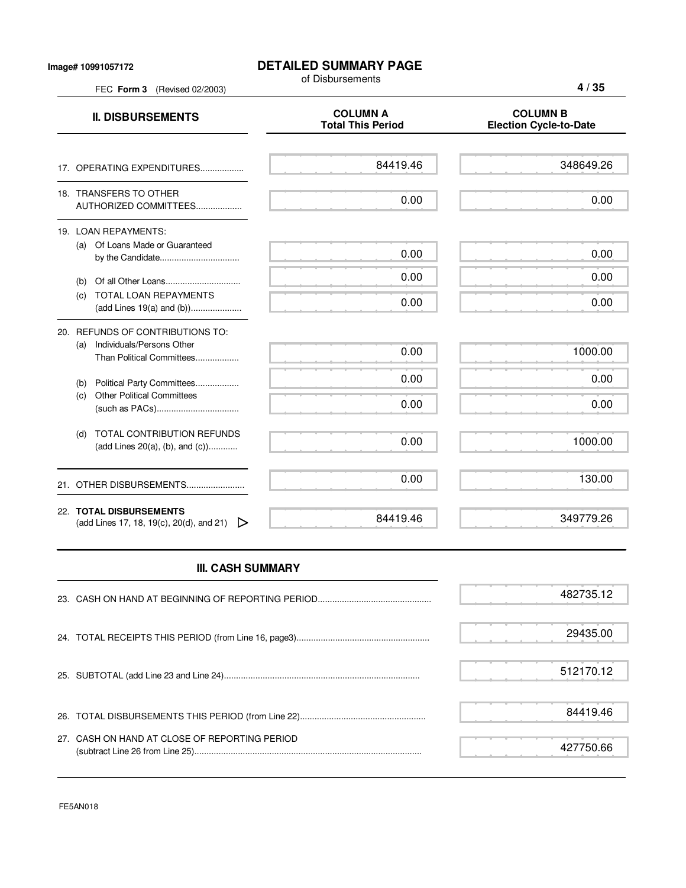## **DETAILED SUMMARY PAGE**

of Disbursements

FEC **Form 3** (Revised 02/2003)

**4 / 35**

| <b>II. DISBURSEMENTS</b>                                                                          | <b>COLUMN A</b><br><b>Total This Period</b> | <b>COLUMN B</b><br><b>Election Cycle-to-Date</b> |
|---------------------------------------------------------------------------------------------------|---------------------------------------------|--------------------------------------------------|
| 17. OPERATING EXPENDITURES                                                                        | 84419.46                                    | 348649.26                                        |
| 18. TRANSFERS TO OTHER<br>AUTHORIZED COMMITTEES                                                   | 0.00                                        | 0.00                                             |
| 19. LOAN REPAYMENTS:<br>Of Loans Made or Guaranteed<br>(a)                                        | 0.00                                        | 0.00                                             |
| (b)                                                                                               | 0.00                                        | 0.00                                             |
| TOTAL LOAN REPAYMENTS<br>(c)                                                                      | 0.00                                        | 0.00                                             |
| 20. REFUNDS OF CONTRIBUTIONS TO:<br>Individuals/Persons Other<br>(a)<br>Than Political Committees | 0.00                                        | 1000.00                                          |
| Political Party Committees<br>(b)                                                                 | 0.00                                        | 0.00                                             |
| <b>Other Political Committees</b><br>(c)                                                          | 0.00                                        | 0.00                                             |
| TOTAL CONTRIBUTION REFUNDS<br>(d)<br>(add Lines 20(a), (b), and (c))                              | 0.00                                        | 1000.00                                          |
| 21. OTHER DISBURSEMENTS                                                                           | 0.00                                        | 130.00                                           |
| 22. TOTAL DISBURSEMENTS<br>(add Lines 17, 18, 19(c), 20(d), and 21)<br>▷                          | 84419.46                                    | 349779.26                                        |

## **III. CASH SUMMARY**

|                                               | 482735.12 |  |
|-----------------------------------------------|-----------|--|
|                                               | 29435.00  |  |
|                                               | 512170.12 |  |
|                                               | 84419.46  |  |
| 27. CASH ON HAND AT CLOSE OF REPORTING PERIOD | 427750.66 |  |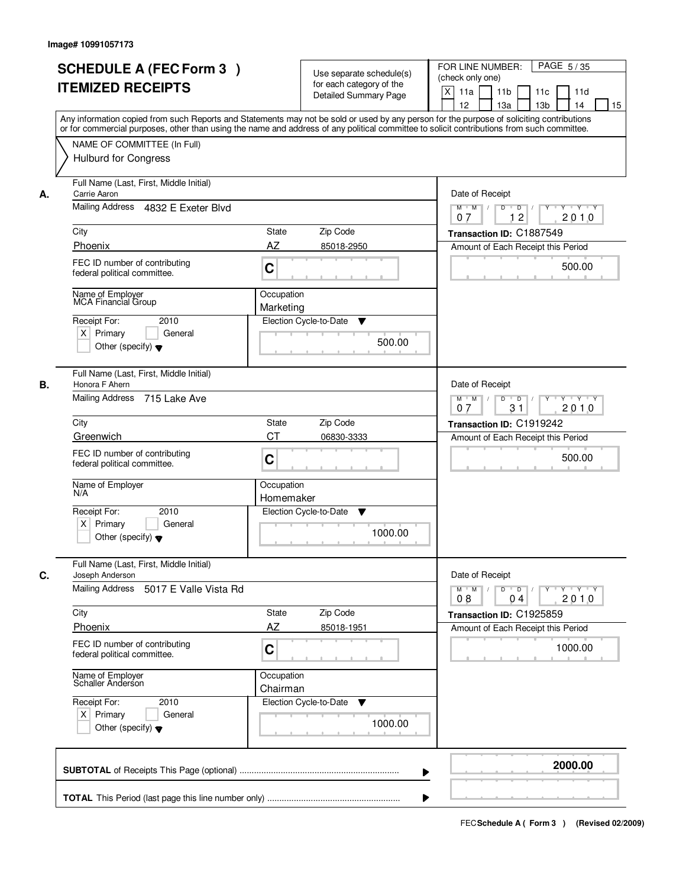| <b>SCHEDULE A (FEC Form 3)</b><br><b>ITEMIZED RECEIPTS</b>                                                                               | Use separate schedule(s)<br>for each category of the<br><b>Detailed Summary Page</b><br>Any information copied from such Reports and Statements may not be sold or used by any person for the purpose of soliciting contributions | PAGE 5/35<br>FOR LINE NUMBER:<br>(check only one)<br>$\boldsymbol{\mathsf{X}}$<br>11 <sub>b</sub><br>11a<br>11c<br>11d<br>12<br>13 <sub>b</sub><br>14<br>13a<br>15 |
|------------------------------------------------------------------------------------------------------------------------------------------|-----------------------------------------------------------------------------------------------------------------------------------------------------------------------------------------------------------------------------------|--------------------------------------------------------------------------------------------------------------------------------------------------------------------|
| NAME OF COMMITTEE (In Full)<br><b>Hulburd for Congress</b>                                                                               | or for commercial purposes, other than using the name and address of any political committee to solicit contributions from such committee.                                                                                        |                                                                                                                                                                    |
| Full Name (Last, First, Middle Initial)<br>Carrie Aaron<br>А.<br>Mailing Address 4832 E Exeter Blvd                                      |                                                                                                                                                                                                                                   | Date of Receipt<br>$M$ $M$ /<br>$D$ $D$ $1$<br>$Y$ <sup>U</sup><br>Y TYTEY                                                                                         |
| City<br>Phoenix                                                                                                                          | <b>State</b><br>Zip Code<br>AZ<br>85018-2950                                                                                                                                                                                      | 12<br>2010<br>07<br>Transaction ID: C1887549<br>Amount of Each Receipt this Period                                                                                 |
| FEC ID number of contributing<br>federal political committee.                                                                            | C                                                                                                                                                                                                                                 | 500.00                                                                                                                                                             |
| Name of Employer<br><b>MCA Financial Group</b><br>2010<br>Receipt For:<br>$X$ Primary<br>General<br>Other (specify) $\blacktriangledown$ | Occupation<br>Marketing<br>Election Cycle-to-Date<br>▼<br>500.00                                                                                                                                                                  |                                                                                                                                                                    |
| Full Name (Last, First, Middle Initial)<br>Honora F Ahern<br>В.<br>Mailing Address 715 Lake Ave                                          |                                                                                                                                                                                                                                   | Date of Receipt<br>$M$ $M$ /<br>D<br>$\overline{D}$ /<br>Y<br>Y Y Y Y<br>31<br>2010<br>07                                                                          |
| City<br>Greenwich                                                                                                                        | Zip Code<br>State<br><b>CT</b><br>06830-3333                                                                                                                                                                                      | Transaction ID: C1919242                                                                                                                                           |
| FEC ID number of contributing<br>federal political committee.                                                                            | C                                                                                                                                                                                                                                 | Amount of Each Receipt this Period<br>500.00                                                                                                                       |
| Name of Employer<br>N/A                                                                                                                  | Occupation<br>Homemaker                                                                                                                                                                                                           |                                                                                                                                                                    |
| Receipt For:<br>2010<br>$X$ Primary<br>General<br>Other (specify) $\blacktriangledown$                                                   | Election Cycle-to-Date<br>▼<br>1000.00                                                                                                                                                                                            |                                                                                                                                                                    |
| Full Name (Last, First, Middle Initial)<br>C.<br>Joseph Anderson                                                                         |                                                                                                                                                                                                                                   | Date of Receipt                                                                                                                                                    |
| Mailing Address<br>5017 E Valle Vista Rd                                                                                                 |                                                                                                                                                                                                                                   | $M$ $M$ $M$<br>$D$ $D$ $I$<br>y y y y y y<br>2010<br>08<br>04                                                                                                      |
| City<br>Phoenix                                                                                                                          | Zip Code<br>State<br>AZ<br>85018-1951                                                                                                                                                                                             | Transaction ID: C1925859<br>Amount of Each Receipt this Period                                                                                                     |
| FEC ID number of contributing<br>federal political committee.                                                                            | C                                                                                                                                                                                                                                 | 1000.00                                                                                                                                                            |
| Name of Employer<br>Schaller Anderson                                                                                                    | Occupation<br>Chairman                                                                                                                                                                                                            |                                                                                                                                                                    |
| Receipt For:<br>2010<br>$X$ Primary<br>General<br>Other (specify) $\blacktriangledown$                                                   | Election Cycle-to-Date<br>v<br>1000.00                                                                                                                                                                                            |                                                                                                                                                                    |
|                                                                                                                                          |                                                                                                                                                                                                                                   | 2000.00                                                                                                                                                            |
|                                                                                                                                          |                                                                                                                                                                                                                                   |                                                                                                                                                                    |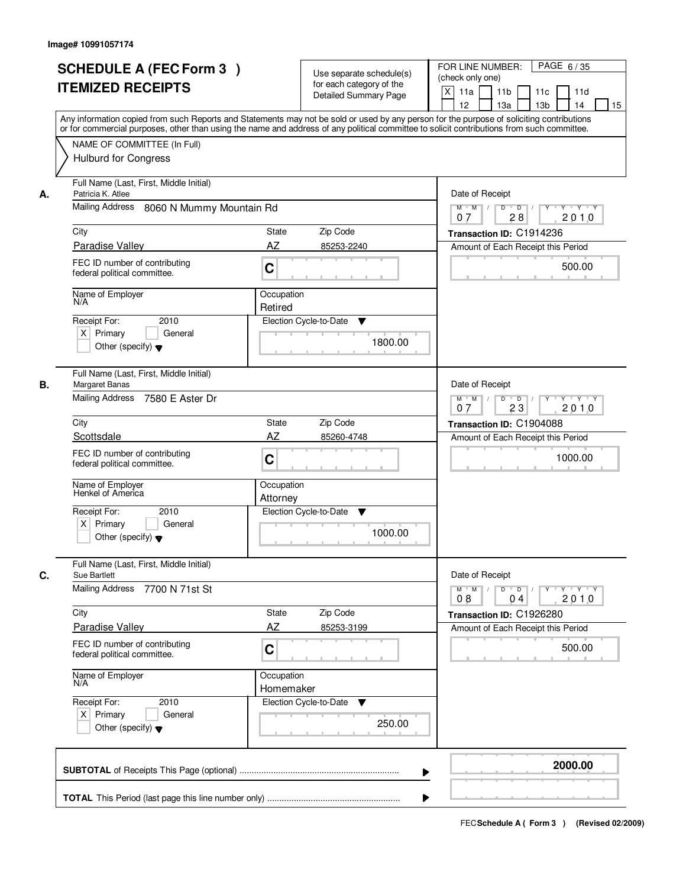|    | <b>SCHEDULE A (FEC Form 3)</b><br><b>ITEMIZED RECEIPTS</b><br>Any information copied from such Reports and Statements may not be sold or used by any person for the purpose of soliciting contributions  |                         | Use separate schedule(s)<br>for each category of the<br><b>Detailed Summary Page</b> | PAGE 6/35<br>FOR LINE NUMBER:<br>(check only one)<br>$\boldsymbol{\mathsf{X}}$<br>11 <sub>b</sub><br>11a<br>11 <sub>c</sub><br>11d<br>12<br>13 <sub>b</sub><br>14<br>13a<br>15 |
|----|----------------------------------------------------------------------------------------------------------------------------------------------------------------------------------------------------------|-------------------------|--------------------------------------------------------------------------------------|--------------------------------------------------------------------------------------------------------------------------------------------------------------------------------|
|    | or for commercial purposes, other than using the name and address of any political committee to solicit contributions from such committee.<br>NAME OF COMMITTEE (In Full)<br><b>Hulburd for Congress</b> |                         |                                                                                      |                                                                                                                                                                                |
| А. | Full Name (Last, First, Middle Initial)<br>Patricia K. Atlee<br>Mailing Address 8060 N Mummy Mountain Rd                                                                                                 |                         |                                                                                      | Date of Receipt<br>$D$ $D$ $1$<br>Y<br>$Y - Y - Y - Y$<br>$M$ $M$ /                                                                                                            |
|    |                                                                                                                                                                                                          |                         |                                                                                      | 28<br>2010<br>07                                                                                                                                                               |
|    | City<br>Paradise Valley                                                                                                                                                                                  | <b>State</b><br>AZ      | Zip Code<br>85253-2240                                                               | Transaction ID: C1914236<br>Amount of Each Receipt this Period                                                                                                                 |
|    | FEC ID number of contributing<br>federal political committee.                                                                                                                                            | C                       |                                                                                      | 500.00                                                                                                                                                                         |
|    | Name of Employer<br>N/A                                                                                                                                                                                  | Occupation<br>Retired   |                                                                                      |                                                                                                                                                                                |
|    | 2010<br>Receipt For:<br>$X$ Primary<br>General<br>Other (specify) $\blacktriangledown$                                                                                                                   |                         | Election Cycle-to-Date<br>▼<br>1800.00                                               |                                                                                                                                                                                |
| В. | Full Name (Last, First, Middle Initial)<br>Margaret Banas<br>Mailing Address 7580 E Aster Dr                                                                                                             |                         |                                                                                      | Date of Receipt<br>$M$ $M$ /<br>D<br>$\overline{D}$<br>Y Y Y Y<br>23<br>2010<br>07                                                                                             |
|    | City                                                                                                                                                                                                     | State                   | Zip Code                                                                             | Transaction ID: C1904088                                                                                                                                                       |
|    | Scottsdale                                                                                                                                                                                               | <b>AZ</b>               | 85260-4748                                                                           | Amount of Each Receipt this Period                                                                                                                                             |
|    | FEC ID number of contributing<br>federal political committee.                                                                                                                                            | C                       |                                                                                      | 1000.00                                                                                                                                                                        |
|    | Name of Employer<br>Henkel of America                                                                                                                                                                    | Occupation<br>Attorney  |                                                                                      |                                                                                                                                                                                |
|    | Receipt For:<br>2010<br>$X$ Primary<br>General<br>Other (specify) $\blacktriangledown$                                                                                                                   |                         | Election Cycle-to-Date<br>▼<br>1000.00                                               |                                                                                                                                                                                |
| C. | Full Name (Last, First, Middle Initial)<br>Sue Bartlett                                                                                                                                                  |                         |                                                                                      | Date of Receipt                                                                                                                                                                |
|    | <b>Mailing Address</b><br>7700 N 71st St                                                                                                                                                                 |                         |                                                                                      | $M$ $M$ /<br>$D$ $D$ $I$<br>y y y y y y<br>2010<br>08<br>04                                                                                                                    |
|    | City                                                                                                                                                                                                     | State                   | Zip Code                                                                             | Transaction ID: C1926280                                                                                                                                                       |
|    | <b>Paradise Valley</b>                                                                                                                                                                                   | AZ                      | 85253-3199                                                                           | Amount of Each Receipt this Period                                                                                                                                             |
|    | FEC ID number of contributing<br>federal political committee.                                                                                                                                            | C                       |                                                                                      | 500.00                                                                                                                                                                         |
|    | Name of Employer<br>N/A                                                                                                                                                                                  | Occupation<br>Homemaker |                                                                                      |                                                                                                                                                                                |
|    | Receipt For:<br>2010<br>$X$ Primary<br>General<br>Other (specify) $\blacktriangledown$                                                                                                                   |                         | Election Cycle-to-Date<br>▼<br>250.00                                                |                                                                                                                                                                                |
|    |                                                                                                                                                                                                          |                         |                                                                                      | 2000.00                                                                                                                                                                        |
|    |                                                                                                                                                                                                          |                         |                                                                                      |                                                                                                                                                                                |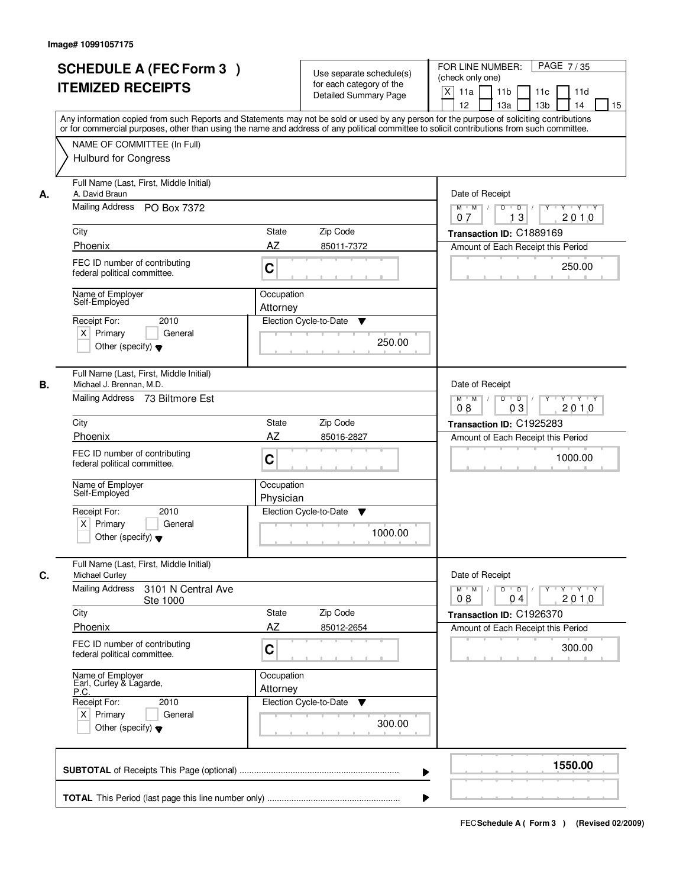|    | <b>SCHEDULE A (FEC Form 3)</b><br><b>ITEMIZED RECEIPTS</b><br>Any information copied from such Reports and Statements may not be sold or used by any person for the purpose of soliciting contributions<br>or for commercial purposes, other than using the name and address of any political committee to solicit contributions from such committee.<br>NAME OF COMMITTEE (In Full) |                           | Use separate schedule(s)<br>for each category of the<br><b>Detailed Summary Page</b> | PAGE 7/35<br>FOR LINE NUMBER:<br>(check only one)<br>$\times$<br>11 <sub>b</sub><br>11a<br>11 <sub>c</sub><br>11d<br>12<br>13 <sub>b</sub><br>13a<br>14<br>15 |
|----|--------------------------------------------------------------------------------------------------------------------------------------------------------------------------------------------------------------------------------------------------------------------------------------------------------------------------------------------------------------------------------------|---------------------------|--------------------------------------------------------------------------------------|---------------------------------------------------------------------------------------------------------------------------------------------------------------|
| А. | <b>Hulburd for Congress</b><br>Full Name (Last, First, Middle Initial)<br>A. David Braun<br>Mailing Address PO Box 7372                                                                                                                                                                                                                                                              |                           |                                                                                      | Date of Receipt<br>$M$ $M$<br>$D$ $D$ $I$<br>$Y$ <sup>U</sup><br>Y 'Y 'Y<br>13<br>2010<br>07                                                                  |
|    | City                                                                                                                                                                                                                                                                                                                                                                                 | <b>State</b>              | Zip Code                                                                             | Transaction ID: C1889169                                                                                                                                      |
|    | Phoenix                                                                                                                                                                                                                                                                                                                                                                              | AΖ                        | 85011-7372                                                                           | Amount of Each Receipt this Period                                                                                                                            |
|    | FEC ID number of contributing<br>federal political committee.                                                                                                                                                                                                                                                                                                                        | C                         |                                                                                      | 250.00                                                                                                                                                        |
|    | Name of Employer<br>Self-Employed                                                                                                                                                                                                                                                                                                                                                    | Occupation<br>Attorney    |                                                                                      |                                                                                                                                                               |
|    | 2010<br>Receipt For:<br>$X$ Primary<br>General<br>Other (specify) $\blacktriangledown$                                                                                                                                                                                                                                                                                               |                           | Election Cycle-to-Date<br>▼<br>250.00                                                |                                                                                                                                                               |
| В. | Full Name (Last, First, Middle Initial)<br>Michael J. Brennan, M.D.<br>Mailing Address 73 Biltmore Est                                                                                                                                                                                                                                                                               |                           |                                                                                      | Date of Receipt<br>$Y \vdash Y \vdash Y$<br>$M$ $M$ /<br>D<br>$\overline{D}$<br>03<br>2010<br>08                                                              |
|    | City                                                                                                                                                                                                                                                                                                                                                                                 | <b>State</b>              | Zip Code                                                                             | Transaction ID: C1925283                                                                                                                                      |
|    | Phoenix                                                                                                                                                                                                                                                                                                                                                                              | AZ                        | 85016-2827                                                                           | Amount of Each Receipt this Period                                                                                                                            |
|    | FEC ID number of contributing<br>federal political committee.                                                                                                                                                                                                                                                                                                                        | C                         |                                                                                      | 1000.00                                                                                                                                                       |
|    | Name of Employer<br>Self-Employed                                                                                                                                                                                                                                                                                                                                                    | Occupation<br>Physician   |                                                                                      |                                                                                                                                                               |
|    | Receipt For:<br>2010<br>$X$ Primary<br>General<br>Other (specify) $\blacktriangledown$                                                                                                                                                                                                                                                                                               |                           | Election Cycle-to-Date<br>▼<br>1000.00                                               |                                                                                                                                                               |
| C. | Full Name (Last, First, Middle Initial)<br>Michael Curley                                                                                                                                                                                                                                                                                                                            |                           |                                                                                      | Date of Receipt                                                                                                                                               |
|    | <b>Mailing Address</b><br>3101 N Central Ave<br>Ste 1000                                                                                                                                                                                                                                                                                                                             |                           |                                                                                      | $M$ $M$<br>$D$ $D$ $I$<br>$Y + Y + Y + Y$<br>08<br>2010<br>04                                                                                                 |
|    | City<br>Phoenix                                                                                                                                                                                                                                                                                                                                                                      | <b>State</b><br><b>AZ</b> | Zip Code<br>85012-2654                                                               | Transaction ID: C1926370                                                                                                                                      |
|    | FEC ID number of contributing<br>federal political committee.                                                                                                                                                                                                                                                                                                                        | C                         |                                                                                      | Amount of Each Receipt this Period<br>300.00                                                                                                                  |
|    | Name of Employer<br>Earl, Curley & Lagarde,<br>P.C.                                                                                                                                                                                                                                                                                                                                  | Occupation<br>Attorney    |                                                                                      |                                                                                                                                                               |
|    | Receipt For:<br>2010<br>$X$ Primary<br>General<br>Other (specify) $\blacktriangledown$                                                                                                                                                                                                                                                                                               |                           | Election Cycle-to-Date<br>v<br>300.00                                                |                                                                                                                                                               |
|    |                                                                                                                                                                                                                                                                                                                                                                                      |                           |                                                                                      | 1550.00                                                                                                                                                       |
|    |                                                                                                                                                                                                                                                                                                                                                                                      |                           |                                                                                      |                                                                                                                                                               |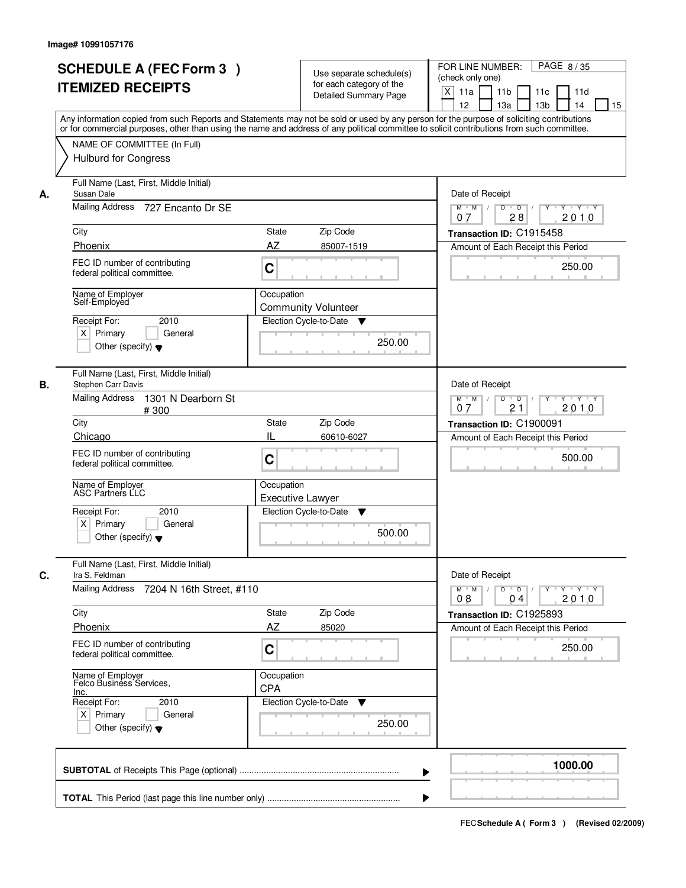| <b>SCHEDULE A (FEC Form 3)</b><br><b>ITEMIZED RECEIPTS</b>                                          | Use separate schedule(s)<br>for each category of the<br><b>Detailed Summary Page</b><br>Any information copied from such Reports and Statements may not be sold or used by any person for the purpose of soliciting contributions | PAGE 8/35<br>FOR LINE NUMBER:<br>(check only one)<br>X<br>11 <sub>b</sub><br>11a<br>11c<br>11d<br>12<br>13 <sub>b</sub><br>14<br>13a<br>15 |
|-----------------------------------------------------------------------------------------------------|-----------------------------------------------------------------------------------------------------------------------------------------------------------------------------------------------------------------------------------|--------------------------------------------------------------------------------------------------------------------------------------------|
| NAME OF COMMITTEE (In Full)<br><b>Hulburd for Congress</b>                                          | or for commercial purposes, other than using the name and address of any political committee to solicit contributions from such committee.                                                                                        |                                                                                                                                            |
| Full Name (Last, First, Middle Initial)<br>Susan Dale<br>А.<br>Mailing Address<br>727 Encanto Dr SE |                                                                                                                                                                                                                                   | Date of Receipt<br>$D$ $D$ $1$<br>Y<br>$Y - Y - Y - Y$<br>$M$ $M$ /                                                                        |
| City                                                                                                | State<br>Zip Code                                                                                                                                                                                                                 | 28<br>2010<br>07<br>Transaction ID: C1915458                                                                                               |
| Phoenix                                                                                             | AZ<br>85007-1519                                                                                                                                                                                                                  | Amount of Each Receipt this Period                                                                                                         |
| FEC ID number of contributing<br>federal political committee.                                       | C                                                                                                                                                                                                                                 | 250.00                                                                                                                                     |
| Name of Employer<br>Self-Employed                                                                   | Occupation<br><b>Community Volunteer</b>                                                                                                                                                                                          |                                                                                                                                            |
| 2010<br>Receipt For:<br>$X$ Primary<br>General<br>Other (specify) $\blacktriangledown$              | Election Cycle-to-Date<br>v<br>250.00                                                                                                                                                                                             |                                                                                                                                            |
| Full Name (Last, First, Middle Initial)<br>Stephen Carr Davis<br>В.                                 |                                                                                                                                                                                                                                   | Date of Receipt                                                                                                                            |
| <b>Mailing Address</b><br>1301 N Dearborn St<br>#300                                                |                                                                                                                                                                                                                                   | $M$ $M$ /<br>D<br>$\overline{D}$<br>$Y + Y + Y$<br>21<br>2010<br>07                                                                        |
| City<br>Chicago                                                                                     | Zip Code<br><b>State</b><br>IL<br>60610-6027                                                                                                                                                                                      | Transaction ID: C1900091<br>Amount of Each Receipt this Period                                                                             |
| FEC ID number of contributing<br>federal political committee.                                       | C                                                                                                                                                                                                                                 | 500.00                                                                                                                                     |
| Name of Employer<br>ASC Partners LLC                                                                | Occupation<br><b>Executive Lawyer</b><br>Election Cycle-to-Date                                                                                                                                                                   |                                                                                                                                            |
| Receipt For:<br>2010<br>$X$ Primary<br>General<br>Other (specify) $\blacktriangledown$              | ▼<br>500.00                                                                                                                                                                                                                       |                                                                                                                                            |
| Full Name (Last, First, Middle Initial)<br>C.<br>Ira S. Feldman                                     |                                                                                                                                                                                                                                   | Date of Receipt                                                                                                                            |
| <b>Mailing Address</b><br>7204 N 16th Street, #110                                                  |                                                                                                                                                                                                                                   | $M$ $M$ $/$<br>$D$ $D$ $/$<br>y y y y y y<br>2010<br>08<br>04                                                                              |
| City                                                                                                | Zip Code<br>State                                                                                                                                                                                                                 | Transaction ID: C1925893                                                                                                                   |
| Phoenix                                                                                             | AZ<br>85020                                                                                                                                                                                                                       | Amount of Each Receipt this Period                                                                                                         |
| FEC ID number of contributing<br>federal political committee.                                       | C                                                                                                                                                                                                                                 | 250.00                                                                                                                                     |
| Name of Employer<br>Felco Business Services,<br>Inc.                                                | Occupation<br><b>CPA</b>                                                                                                                                                                                                          |                                                                                                                                            |
| Receipt For:<br>2010<br>$X$ Primary<br>General<br>Other (specify) $\blacktriangledown$              | Election Cycle-to-Date<br>v<br>250.00                                                                                                                                                                                             |                                                                                                                                            |
|                                                                                                     | ▶                                                                                                                                                                                                                                 | 1000.00                                                                                                                                    |
|                                                                                                     |                                                                                                                                                                                                                                   |                                                                                                                                            |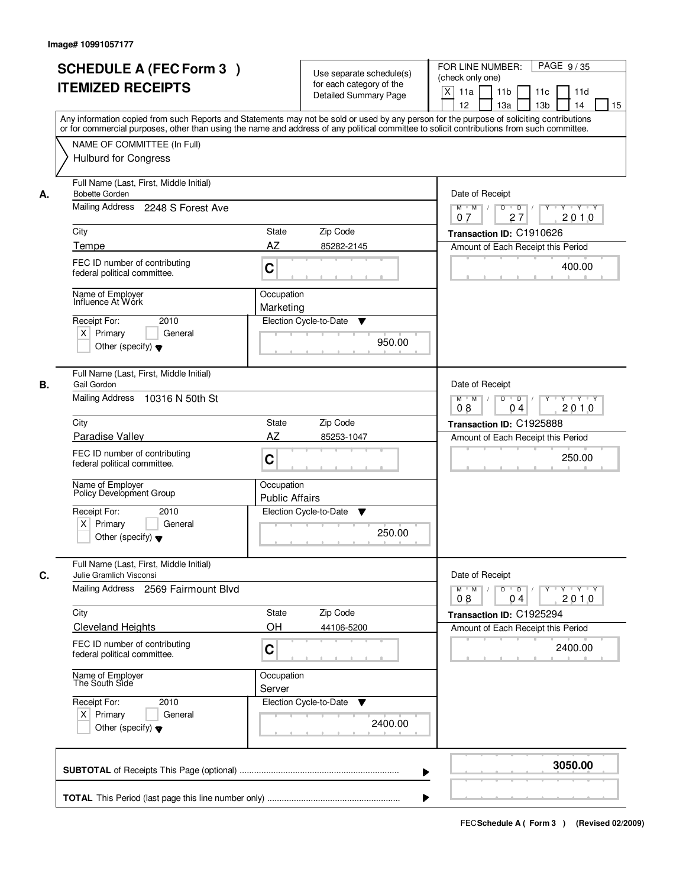|    | <b>SCHEDULE A (FEC Form 3)</b><br><b>ITEMIZED RECEIPTS</b>                                                                      | Use separate schedule(s)<br>for each category of the<br><b>Detailed Summary Page</b><br>Any information copied from such Reports and Statements may not be sold or used by any person for the purpose of soliciting contributions | PAGE 9/35<br>FOR LINE NUMBER:<br>(check only one)<br>$\boldsymbol{\mathsf{X}}$<br>11 <sub>b</sub><br>11a<br>11 <sub>c</sub><br>11d<br>12<br>13 <sub>b</sub><br>14<br>13a<br>15 |
|----|---------------------------------------------------------------------------------------------------------------------------------|-----------------------------------------------------------------------------------------------------------------------------------------------------------------------------------------------------------------------------------|--------------------------------------------------------------------------------------------------------------------------------------------------------------------------------|
|    | NAME OF COMMITTEE (In Full)<br><b>Hulburd for Congress</b>                                                                      | or for commercial purposes, other than using the name and address of any political committee to solicit contributions from such committee.                                                                                        |                                                                                                                                                                                |
| А. | Full Name (Last, First, Middle Initial)<br><b>Bobette Gorden</b><br>Mailing Address 2248 S Forest Ave                           |                                                                                                                                                                                                                                   | Date of Receipt<br>$D$ $D$<br>$Y - Y - Y - Y$<br>$M$ $M$ /<br>Y<br>27<br>2010<br>07                                                                                            |
|    | City                                                                                                                            | <b>State</b><br>Zip Code<br>AZ                                                                                                                                                                                                    | Transaction ID: C1910626                                                                                                                                                       |
|    | Tempe<br>FEC ID number of contributing<br>federal political committee.                                                          | 85282-2145<br>C                                                                                                                                                                                                                   | Amount of Each Receipt this Period<br>400.00                                                                                                                                   |
|    | Name of Employer<br>Influence At Wórk<br>2010<br>Receipt For:<br>$X$ Primary<br>General<br>Other (specify) $\blacktriangledown$ | Occupation<br>Marketing<br>Election Cycle-to-Date<br>▼<br>950.00                                                                                                                                                                  |                                                                                                                                                                                |
| В. | Full Name (Last, First, Middle Initial)<br>Gail Gordon<br>Mailing Address<br>10316 N 50th St                                    |                                                                                                                                                                                                                                   | Date of Receipt<br>$M$ $M$ /<br>D<br>$\overline{D}$<br>Y Y Y Y<br>2010<br>08<br>04                                                                                             |
|    | City                                                                                                                            | Zip Code<br>State                                                                                                                                                                                                                 | Transaction ID: C1925888                                                                                                                                                       |
|    | Paradise Valley<br>FEC ID number of contributing<br>federal political committee.                                                | <b>AZ</b><br>85253-1047<br>C                                                                                                                                                                                                      | Amount of Each Receipt this Period<br>250.00                                                                                                                                   |
|    | Name of Employer<br>Policy Development Group                                                                                    | Occupation<br><b>Public Affairs</b>                                                                                                                                                                                               |                                                                                                                                                                                |
|    | Receipt For:<br>2010<br>$X$ Primary<br>General<br>Other (specify) $\blacktriangledown$                                          | Election Cycle-to-Date<br>v<br>250.00                                                                                                                                                                                             |                                                                                                                                                                                |
| C. | Full Name (Last, First, Middle Initial)<br>Julie Gramlich Visconsi                                                              |                                                                                                                                                                                                                                   | Date of Receipt                                                                                                                                                                |
|    | Mailing Address 2569 Fairmount Blvd                                                                                             |                                                                                                                                                                                                                                   | $M$ $M$ $M$<br>$D$ $D$ $I$<br><u> Y LY LY LY</u><br>2010<br>08<br>04                                                                                                           |
|    | City<br><b>Cleveland Heights</b>                                                                                                | Zip Code<br>State<br>OH<br>44106-5200                                                                                                                                                                                             | Transaction ID: C1925294<br>Amount of Each Receipt this Period                                                                                                                 |
|    | FEC ID number of contributing<br>federal political committee.                                                                   | C                                                                                                                                                                                                                                 | 2400.00                                                                                                                                                                        |
|    | Name of Employer<br>The South Side                                                                                              | Occupation<br>Server                                                                                                                                                                                                              |                                                                                                                                                                                |
|    | Receipt For:<br>2010<br>$X$ Primary<br>General<br>Other (specify) $\blacktriangledown$                                          | Election Cycle-to-Date<br>▼<br>2400.00                                                                                                                                                                                            |                                                                                                                                                                                |
|    |                                                                                                                                 |                                                                                                                                                                                                                                   | 3050.00                                                                                                                                                                        |
|    |                                                                                                                                 |                                                                                                                                                                                                                                   |                                                                                                                                                                                |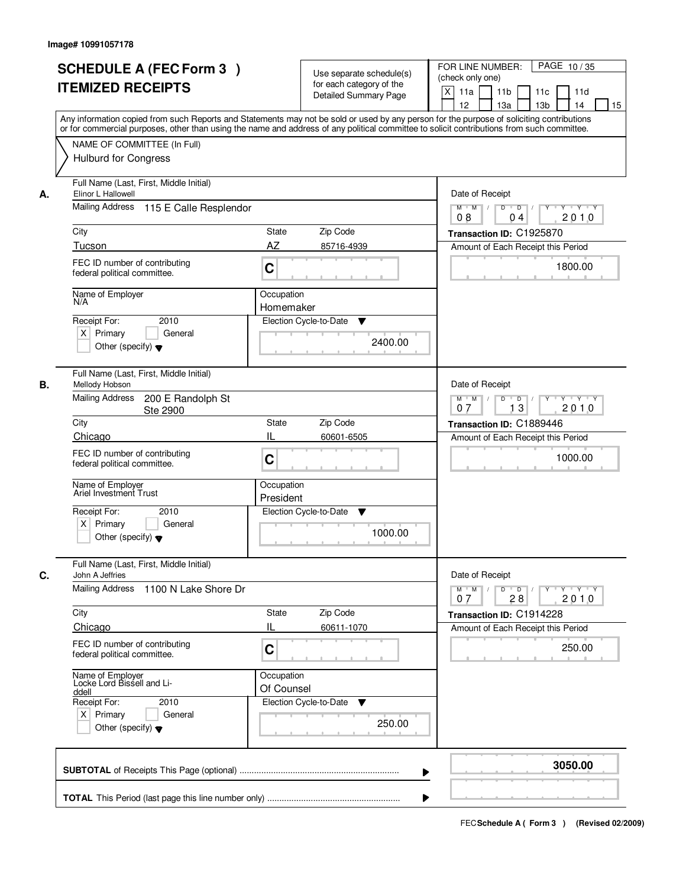|    | <b>SCHEDULE A (FEC Form 3)</b><br><b>ITEMIZED RECEIPTS</b><br>Any information copied from such Reports and Statements may not be sold or used by any person for the purpose of soliciting contributions  |                                                    | Use separate schedule(s)<br>for each category of the<br><b>Detailed Summary Page</b> | PAGE 10/35<br>FOR LINE NUMBER:<br>(check only one)<br>X<br>11 <sub>b</sub><br>11a<br>11 <sub>c</sub><br>11d<br>12<br>13 <sub>b</sub><br>14<br>13a<br>15 |
|----|----------------------------------------------------------------------------------------------------------------------------------------------------------------------------------------------------------|----------------------------------------------------|--------------------------------------------------------------------------------------|---------------------------------------------------------------------------------------------------------------------------------------------------------|
|    | or for commercial purposes, other than using the name and address of any political committee to solicit contributions from such committee.<br>NAME OF COMMITTEE (In Full)<br><b>Hulburd for Congress</b> |                                                    |                                                                                      |                                                                                                                                                         |
| А. | Full Name (Last, First, Middle Initial)<br>Elinor L Hallowell                                                                                                                                            |                                                    |                                                                                      | Date of Receipt                                                                                                                                         |
|    | Mailing Address 115 E Calle Resplendor                                                                                                                                                                   |                                                    |                                                                                      | $M$ $M$<br>$D$ $D$ $I$<br>Y<br>Y Y Y Y<br>2010<br>08<br>04                                                                                              |
|    | City                                                                                                                                                                                                     | <b>State</b>                                       | Zip Code                                                                             | Transaction ID: C1925870                                                                                                                                |
|    | Tucson                                                                                                                                                                                                   | AZ                                                 | 85716-4939                                                                           | Amount of Each Receipt this Period                                                                                                                      |
|    | FEC ID number of contributing<br>federal political committee.                                                                                                                                            | C                                                  |                                                                                      | 1800.00                                                                                                                                                 |
|    | Name of Employer<br>N/A                                                                                                                                                                                  | Occupation                                         |                                                                                      |                                                                                                                                                         |
|    |                                                                                                                                                                                                          | Homemaker                                          |                                                                                      |                                                                                                                                                         |
|    | 2010<br>Receipt For:<br>$X$ Primary<br>General<br>Other (specify) $\blacktriangledown$                                                                                                                   | Election Cycle-to-Date                             | ▼<br>2400.00                                                                         |                                                                                                                                                         |
| В. | Full Name (Last, First, Middle Initial)<br>Mellody Hobson                                                                                                                                                |                                                    |                                                                                      | Date of Receipt                                                                                                                                         |
|    | <b>Mailing Address</b><br>200 E Randolph St<br>Ste 2900                                                                                                                                                  |                                                    |                                                                                      | $M$ $M$ /<br>D<br>$\overline{D}$ /<br>$Y + Y + Y$<br>13<br>2010<br>07                                                                                   |
|    | City                                                                                                                                                                                                     | <b>State</b>                                       | Zip Code                                                                             | Transaction ID: C1889446                                                                                                                                |
|    | Chicago<br>FEC ID number of contributing<br>federal political committee.                                                                                                                                 | IL<br>C                                            | 60601-6505                                                                           | Amount of Each Receipt this Period<br>1000.00                                                                                                           |
|    | Name of Employer<br>Ariel Investment Trust                                                                                                                                                               | Occupation<br>President                            |                                                                                      |                                                                                                                                                         |
|    | Receipt For:<br>2010<br>$X$ Primary<br>General<br>Other (specify) $\blacktriangledown$                                                                                                                   | Election Cycle-to-Date                             | ▼<br>1000.00                                                                         |                                                                                                                                                         |
| C. | Full Name (Last, First, Middle Initial)<br>John A Jeffries                                                                                                                                               |                                                    |                                                                                      | Date of Receipt                                                                                                                                         |
|    | Mailing Address<br>1100 N Lake Shore Dr                                                                                                                                                                  |                                                    |                                                                                      | $M^{\prime}$ $M^{\prime}$ $M^{\prime}$<br>$D$ $D$ $/$<br>yuryuryury<br>28<br>2010<br>07                                                                 |
|    | City                                                                                                                                                                                                     | <b>State</b>                                       | Zip Code                                                                             | Transaction ID: C1914228                                                                                                                                |
|    | Chicago                                                                                                                                                                                                  | Ш                                                  | 60611-1070                                                                           | Amount of Each Receipt this Period                                                                                                                      |
|    | FEC ID number of contributing<br>federal political committee.                                                                                                                                            | C                                                  |                                                                                      | 250.00                                                                                                                                                  |
|    | Name of Employer<br>Locke Lord Bissell and Li-<br>ddell<br>Receipt For:<br>2010<br>$X$ Primary<br>General                                                                                                | Occupation<br>Of Counsel<br>Election Cycle-to-Date | ▼                                                                                    |                                                                                                                                                         |
|    | Other (specify) $\blacktriangledown$                                                                                                                                                                     |                                                    | 250.00                                                                               |                                                                                                                                                         |
|    |                                                                                                                                                                                                          |                                                    |                                                                                      | 3050.00                                                                                                                                                 |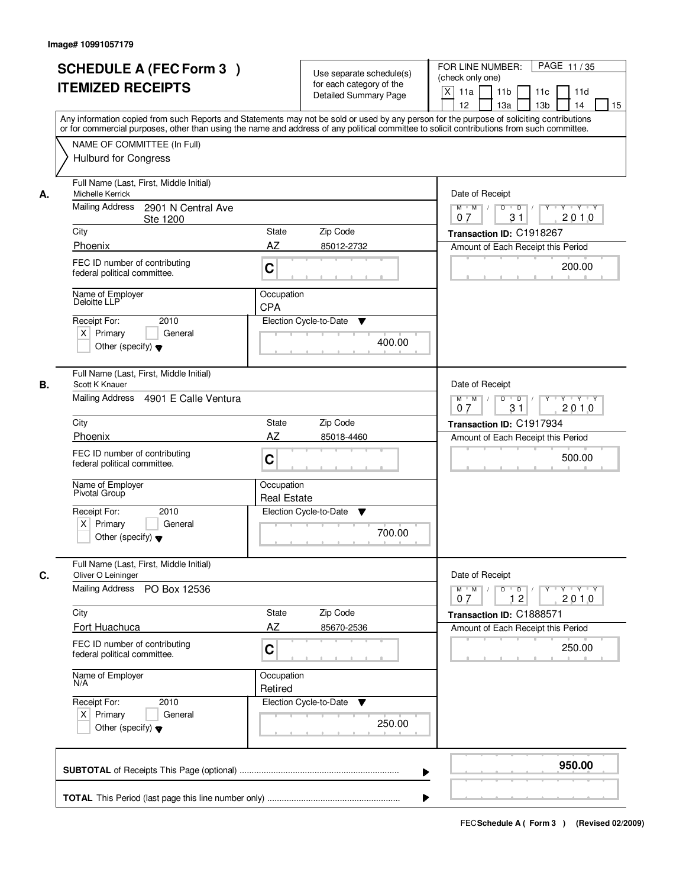|    | <b>SCHEDULE A (FEC Form 3)</b><br><b>ITEMIZED RECEIPTS</b><br>Any information copied from such Reports and Statements may not be sold or used by any person for the purpose of soliciting contributions  | Use separate schedule(s)<br>for each category of the<br><b>Detailed Summary Page</b> |        | PAGE 11/35<br>FOR LINE NUMBER:<br>(check only one)<br>X<br>11 <sub>b</sub><br>11a<br>11 <sub>c</sub><br>11d<br>12<br>13 <sub>b</sub><br>14<br>13a |
|----|----------------------------------------------------------------------------------------------------------------------------------------------------------------------------------------------------------|--------------------------------------------------------------------------------------|--------|---------------------------------------------------------------------------------------------------------------------------------------------------|
|    | or for commercial purposes, other than using the name and address of any political committee to solicit contributions from such committee.<br>NAME OF COMMITTEE (In Full)<br><b>Hulburd for Congress</b> |                                                                                      |        |                                                                                                                                                   |
| А. | Full Name (Last, First, Middle Initial)<br>Michelle Kerrick<br><b>Mailing Address</b><br>2901 N Central Ave                                                                                              |                                                                                      |        | Date of Receipt<br>$M$ $M$<br>$D$ $D$ $1$<br>Y<br>Y Y Y Y                                                                                         |
|    | Ste 1200                                                                                                                                                                                                 |                                                                                      |        | 31<br>2010<br>07                                                                                                                                  |
|    | City                                                                                                                                                                                                     | <b>State</b><br>Zip Code                                                             |        | Transaction ID: C1918267                                                                                                                          |
|    | Phoenix                                                                                                                                                                                                  | AZ<br>85012-2732                                                                     |        | Amount of Each Receipt this Period                                                                                                                |
|    | FEC ID number of contributing<br>federal political committee.                                                                                                                                            | C                                                                                    |        | 200.00                                                                                                                                            |
|    | Name of Employer<br>Deloitte LLP                                                                                                                                                                         | Occupation<br><b>CPA</b>                                                             |        |                                                                                                                                                   |
|    | 2010<br>Receipt For:<br>$X$ Primary<br>General<br>Other (specify) $\blacktriangledown$                                                                                                                   | Election Cycle-to-Date<br>▼                                                          | 400.00 |                                                                                                                                                   |
|    | Full Name (Last, First, Middle Initial)<br>Scott K Knauer                                                                                                                                                |                                                                                      |        | Date of Receipt                                                                                                                                   |
|    | Mailing Address 4901 E Calle Ventura                                                                                                                                                                     |                                                                                      |        | $M$ $M$ /<br>D<br>$\overline{D}$<br>$Y + Y + Y$<br>31<br>2010<br>07                                                                               |
|    | City                                                                                                                                                                                                     | Zip Code<br><b>State</b>                                                             |        | Transaction ID: C1917934                                                                                                                          |
|    | Phoenix                                                                                                                                                                                                  | AZ<br>85018-4460                                                                     |        | Amount of Each Receipt this Period                                                                                                                |
|    | FEC ID number of contributing<br>federal political committee.                                                                                                                                            | C                                                                                    |        | 500.00                                                                                                                                            |
|    | Name of Employer<br>Pivotal Group                                                                                                                                                                        | Occupation<br><b>Real Estate</b>                                                     |        |                                                                                                                                                   |
|    | Receipt For:<br>2010                                                                                                                                                                                     | Election Cycle-to-Date<br>v                                                          |        |                                                                                                                                                   |
|    | $X$ Primary<br>General<br>Other (specify) $\blacktriangledown$                                                                                                                                           |                                                                                      | 700.00 |                                                                                                                                                   |
|    | Full Name (Last, First, Middle Initial)<br>Oliver O Leininger                                                                                                                                            |                                                                                      |        | Date of Receipt                                                                                                                                   |
|    | Mailing Address<br>PO Box 12536                                                                                                                                                                          |                                                                                      |        | $D \quad D \quad / \quad$<br>$M^{\prime}$ $M^{\prime}$ $M^{\prime}$<br>2010<br>12<br>07                                                           |
|    | City                                                                                                                                                                                                     | <b>State</b><br>Zip Code                                                             |        | Transaction ID: C1888571                                                                                                                          |
|    | <b>Fort Huachuca</b>                                                                                                                                                                                     | AZ<br>85670-2536                                                                     |        | Amount of Each Receipt this Period                                                                                                                |
|    | FEC ID number of contributing<br>federal political committee.                                                                                                                                            | C                                                                                    |        | 250.00                                                                                                                                            |
|    | Name of Employer<br>N/A                                                                                                                                                                                  | Occupation<br>Retired                                                                |        |                                                                                                                                                   |
|    | Receipt For:<br>2010<br>$X$ Primary<br>General<br>Other (specify) $\blacktriangledown$                                                                                                                   | Election Cycle-to-Date<br>$\blacktriangledown$                                       | 250.00 |                                                                                                                                                   |
|    |                                                                                                                                                                                                          |                                                                                      |        | 950.00                                                                                                                                            |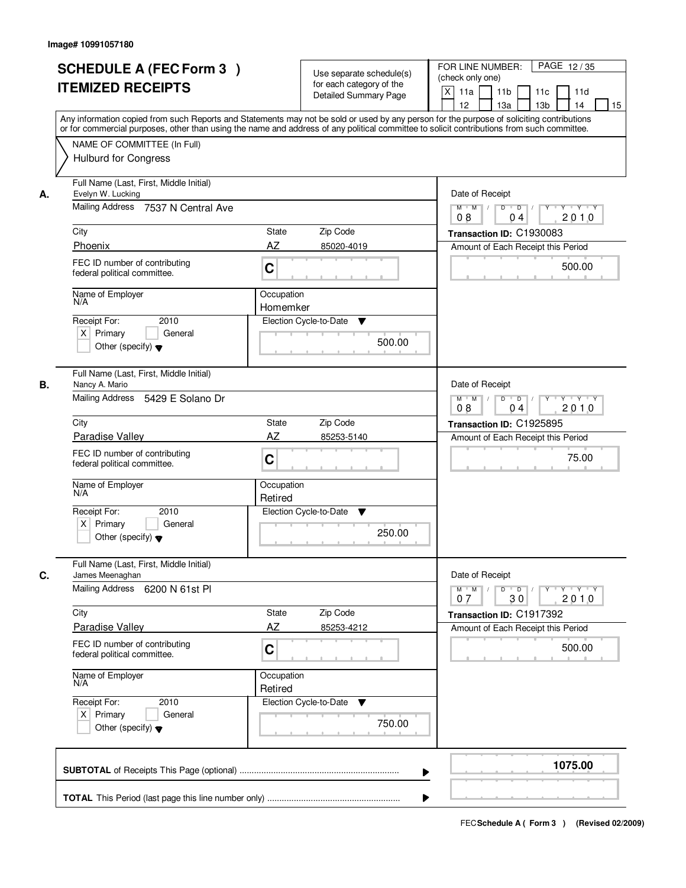|    | <b>SCHEDULE A (FEC Form 3)</b><br><b>ITEMIZED RECEIPTS</b><br>Any information copied from such Reports and Statements may not be sold or used by any person for the purpose of soliciting contributions  |                        | Use separate schedule(s)<br>for each category of the<br><b>Detailed Summary Page</b> | FOR LINE NUMBER:<br>PAGE 12/35<br>(check only one)<br>$\times$<br>11a<br>11 <sub>b</sub><br>11c<br>11d<br>12<br>13a<br>13 <sub>b</sub><br>14<br>15 |
|----|----------------------------------------------------------------------------------------------------------------------------------------------------------------------------------------------------------|------------------------|--------------------------------------------------------------------------------------|----------------------------------------------------------------------------------------------------------------------------------------------------|
|    | or for commercial purposes, other than using the name and address of any political committee to solicit contributions from such committee.<br>NAME OF COMMITTEE (In Full)<br><b>Hulburd for Congress</b> |                        |                                                                                      |                                                                                                                                                    |
| А. | Full Name (Last, First, Middle Initial)<br>Evelyn W. Lucking<br>Mailing Address 7537 N Central Ave                                                                                                       |                        |                                                                                      | Date of Receipt<br>$\Box$ D $\Box$ /<br>Y 'Y 'Y<br>$M$ $M$<br>D<br>Y                                                                               |
|    | City                                                                                                                                                                                                     | <b>State</b>           | Zip Code                                                                             | 2010<br>08<br>04<br>Transaction ID: C1930083                                                                                                       |
|    | Phoenix                                                                                                                                                                                                  | AZ                     | 85020-4019                                                                           | Amount of Each Receipt this Period                                                                                                                 |
|    | FEC ID number of contributing<br>federal political committee.                                                                                                                                            | $\mathbf C$            |                                                                                      | 500.00                                                                                                                                             |
|    | Name of Employer<br>N/A                                                                                                                                                                                  | Occupation<br>Homemker |                                                                                      |                                                                                                                                                    |
|    | 2010<br>Receipt For:<br>$X$ Primary<br>General<br>Other (specify) $\blacktriangledown$                                                                                                                   |                        | Election Cycle-to-Date<br>▼<br>500.00                                                |                                                                                                                                                    |
| В. | Full Name (Last, First, Middle Initial)<br>Nancy A. Mario<br>Mailing Address 5429 E Solano Dr                                                                                                            |                        |                                                                                      | Date of Receipt<br>$M$ $M$ /<br>D<br>$\overline{D}$<br>Y<br>$Y + Y + Y$<br>08<br>2010<br>04                                                        |
|    | City                                                                                                                                                                                                     | <b>State</b>           | Zip Code                                                                             | Transaction ID: C1925895                                                                                                                           |
|    | Paradise Valley                                                                                                                                                                                          | AZ                     | 85253-5140                                                                           | Amount of Each Receipt this Period                                                                                                                 |
|    | FEC ID number of contributing<br>federal political committee.                                                                                                                                            | $\mathbf C$            |                                                                                      | 75.00                                                                                                                                              |
|    | Name of Employer<br>N/A                                                                                                                                                                                  | Occupation<br>Retired  |                                                                                      |                                                                                                                                                    |
|    | Receipt For:<br>2010<br>$X$ Primary<br>General<br>Other (specify) $\blacktriangledown$                                                                                                                   |                        | Election Cycle-to-Date<br>v<br>250.00                                                |                                                                                                                                                    |
| C. | Full Name (Last, First, Middle Initial)<br>James Meenaghan                                                                                                                                               |                        |                                                                                      | Date of Receipt                                                                                                                                    |
|    | Mailing Address<br>6200 N 61st PI                                                                                                                                                                        |                        |                                                                                      | $M = M$<br>$D$ $D$ $I$<br>$Y - Y - Y$<br>$Y$ <sup>U</sup><br>2010<br>30<br>07                                                                      |
|    | City                                                                                                                                                                                                     | State                  | Zip Code                                                                             | Transaction ID: C1917392                                                                                                                           |
|    | Paradise Valley                                                                                                                                                                                          | AZ                     | 85253-4212                                                                           | Amount of Each Receipt this Period                                                                                                                 |
|    | FEC ID number of contributing<br>federal political committee.                                                                                                                                            | C                      |                                                                                      | 500.00                                                                                                                                             |
|    | Name of Employer<br>N/A                                                                                                                                                                                  | Occupation<br>Retired  |                                                                                      |                                                                                                                                                    |
|    | Receipt For:<br>2010<br>$X$ Primary<br>General<br>Other (specify) $\blacktriangledown$                                                                                                                   |                        | Election Cycle-to-Date<br>v<br>750.00                                                |                                                                                                                                                    |
|    |                                                                                                                                                                                                          |                        |                                                                                      | 1075.00                                                                                                                                            |
|    |                                                                                                                                                                                                          |                        |                                                                                      |                                                                                                                                                    |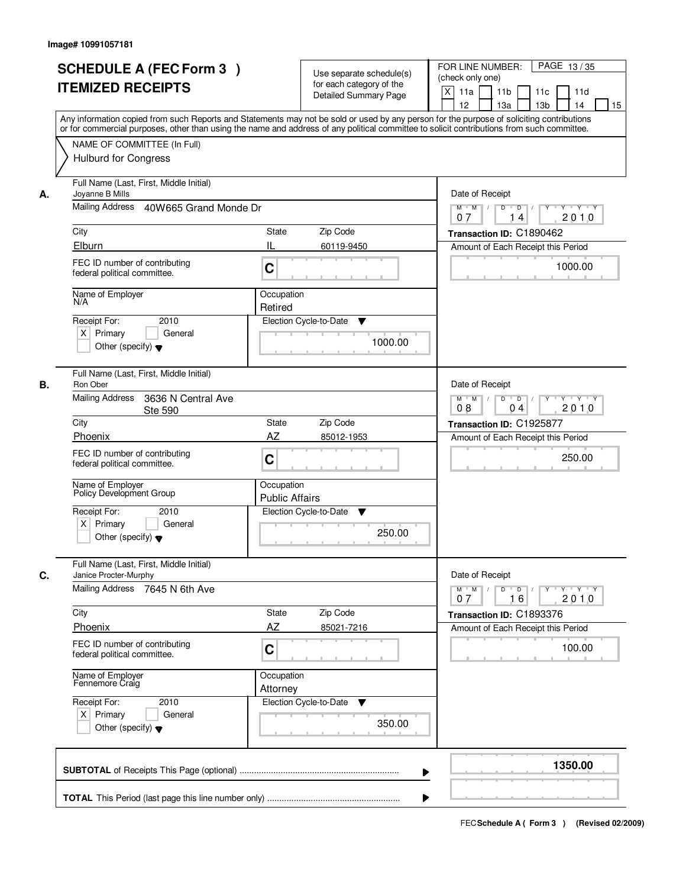|    | <b>SCHEDULE A (FEC Form 3)</b>                                                                                                             |                        | Use separate schedule(s)     | FOR LINE NUMBER:<br>PAGE 13/35<br>(check only one)                   |
|----|--------------------------------------------------------------------------------------------------------------------------------------------|------------------------|------------------------------|----------------------------------------------------------------------|
|    | <b>ITEMIZED RECEIPTS</b>                                                                                                                   |                        | for each category of the     | $\times$<br>11a<br>11 <sub>b</sub><br>11c<br>11d                     |
|    |                                                                                                                                            |                        | <b>Detailed Summary Page</b> | 12<br>13a<br>13 <sub>b</sub><br>14<br>15                             |
|    | Any information copied from such Reports and Statements may not be sold or used by any person for the purpose of soliciting contributions  |                        |                              |                                                                      |
|    | or for commercial purposes, other than using the name and address of any political committee to solicit contributions from such committee. |                        |                              |                                                                      |
|    | NAME OF COMMITTEE (In Full)                                                                                                                |                        |                              |                                                                      |
|    | <b>Hulburd for Congress</b>                                                                                                                |                        |                              |                                                                      |
|    |                                                                                                                                            |                        |                              |                                                                      |
|    | Full Name (Last, First, Middle Initial)                                                                                                    |                        |                              |                                                                      |
| А. | Joyanne B Mills                                                                                                                            | Date of Receipt        |                              |                                                                      |
|    | Mailing Address<br>40W665 Grand Monde Dr                                                                                                   |                        |                              | Y Y Y Y<br>$M$ $M$ /<br>D<br>$\overline{D}$<br>Y<br>2010<br>14<br>07 |
|    | City                                                                                                                                       | <b>State</b>           | Zip Code                     | Transaction ID: C1890462                                             |
|    | Elburn                                                                                                                                     | IL                     | 60119-9450                   | Amount of Each Receipt this Period                                   |
|    | FEC ID number of contributing                                                                                                              |                        |                              |                                                                      |
|    | federal political committee.                                                                                                               | $\mathbf C$            |                              | 1000.00                                                              |
|    |                                                                                                                                            |                        |                              |                                                                      |
|    | Name of Employer<br>N/A                                                                                                                    | Occupation             |                              |                                                                      |
|    | 2010                                                                                                                                       | Retired                |                              |                                                                      |
|    | Receipt For:<br>$X$ Primary<br>General                                                                                                     | Election Cycle-to-Date | ▼                            |                                                                      |
|    | Other (specify) $\blacktriangledown$                                                                                                       |                        | 1000.00                      |                                                                      |
|    |                                                                                                                                            |                        |                              |                                                                      |
|    | Full Name (Last, First, Middle Initial)                                                                                                    |                        |                              |                                                                      |
| В. | Ron Ober                                                                                                                                   |                        |                              | Date of Receipt                                                      |
|    | <b>Mailing Address</b><br>3636 N Central Ave                                                                                               |                        |                              | $M$ $M$ /<br>D<br>$\overline{D}$<br>Y<br>$Y + Y + Y$                 |
|    | Ste 590                                                                                                                                    |                        |                              | 08<br>2010<br>04                                                     |
|    | City                                                                                                                                       | <b>State</b>           | Zip Code                     | Transaction ID: C1925877                                             |
|    | Phoenix                                                                                                                                    | AZ                     | 85012-1953                   | Amount of Each Receipt this Period                                   |
|    | FEC ID number of contributing<br>federal political committee.                                                                              | $\mathbf C$            |                              | 250.00                                                               |
|    |                                                                                                                                            |                        |                              |                                                                      |
|    | Name of Employer<br>Policy Development Group                                                                                               | Occupation             |                              |                                                                      |
|    |                                                                                                                                            | <b>Public Affairs</b>  |                              |                                                                      |
|    | Receipt For:<br>2010                                                                                                                       | Election Cycle-to-Date | v                            |                                                                      |
|    | $X$ Primary<br>General                                                                                                                     |                        | 250.00                       |                                                                      |
|    | Other (specify) $\blacktriangledown$                                                                                                       |                        |                              |                                                                      |
|    | Full Name (Last, First, Middle Initial)                                                                                                    |                        |                              |                                                                      |
| C. | Janice Procter-Murphy                                                                                                                      |                        |                              | Date of Receipt                                                      |
|    | Mailing Address 7645 N 6th Ave                                                                                                             |                        |                              | $M = M$<br>yuryuryury                                                |
|    |                                                                                                                                            |                        |                              | 2010<br>16<br>07                                                     |
|    | City                                                                                                                                       | State                  | Zip Code                     | Transaction ID: C1893376                                             |
|    | Phoenix                                                                                                                                    | AZ                     | 85021-7216                   | Amount of Each Receipt this Period                                   |
|    | FEC ID number of contributing                                                                                                              | C                      |                              | 100.00                                                               |
|    | federal political committee.                                                                                                               |                        |                              |                                                                      |
|    | Name of Employer<br>Fennemore Craig                                                                                                        | Occupation             |                              |                                                                      |
|    |                                                                                                                                            | Attorney               |                              |                                                                      |
|    | Receipt For:<br>2010                                                                                                                       | Election Cycle-to-Date | v                            |                                                                      |
|    | $X$ Primary<br>General                                                                                                                     |                        |                              |                                                                      |
|    | Other (specify) $\blacktriangledown$                                                                                                       |                        | 350.00                       |                                                                      |
|    |                                                                                                                                            |                        |                              |                                                                      |
|    |                                                                                                                                            |                        |                              | 1350.00                                                              |
|    |                                                                                                                                            |                        |                              |                                                                      |
|    |                                                                                                                                            |                        |                              |                                                                      |
|    |                                                                                                                                            |                        |                              |                                                                      |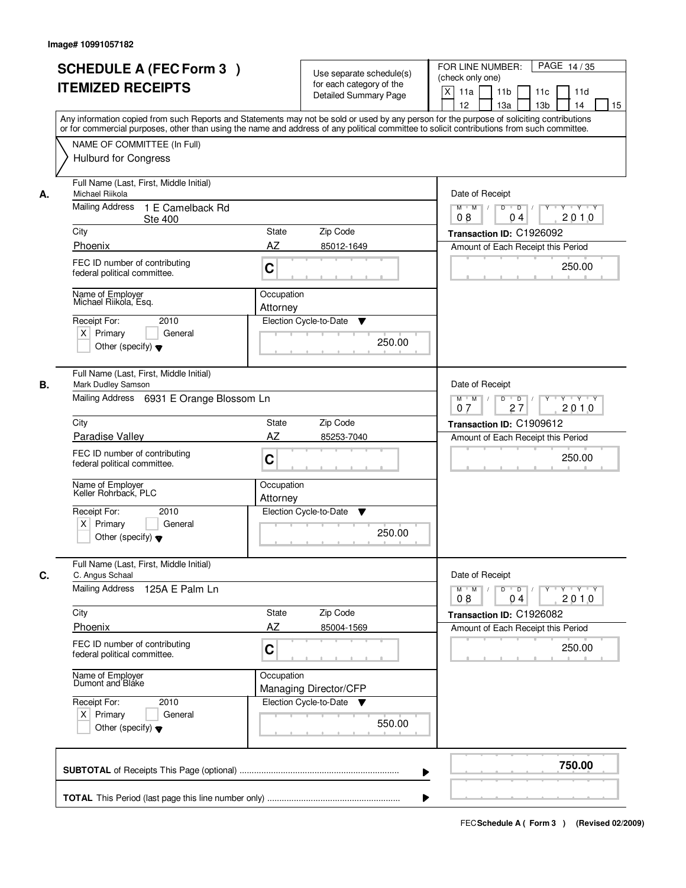|                                          | <b>SCHEDULE A (FEC Form 3)</b><br><b>ITEMIZED RECEIPTS</b>                                                |                        | Use separate schedule(s)<br>for each category of the<br><b>Detailed Summary Page</b> | FOR LINE NUMBER:<br>PAGE 14/35<br>(check only one)<br>$\times$<br>11a<br>11 <sub>b</sub><br>11c<br>11d<br>12<br>13a<br>13 <sub>b</sub><br>14                                                                                                                                            |
|------------------------------------------|-----------------------------------------------------------------------------------------------------------|------------------------|--------------------------------------------------------------------------------------|-----------------------------------------------------------------------------------------------------------------------------------------------------------------------------------------------------------------------------------------------------------------------------------------|
|                                          | NAME OF COMMITTEE (In Full)<br><b>Hulburd for Congress</b>                                                |                        |                                                                                      | Any information copied from such Reports and Statements may not be sold or used by any person for the purpose of soliciting contributions<br>or for commercial purposes, other than using the name and address of any political committee to solicit contributions from such committee. |
| Michael Riikola<br>А.<br>Mailing Address | Full Name (Last, First, Middle Initial)<br>1 E Camelback Rd                                               |                        |                                                                                      | Date of Receipt<br>Y Y Y Y<br>$M$ $M$ /<br>D<br>$\overline{D}$<br>Y                                                                                                                                                                                                                     |
| City                                     | <b>Ste 400</b>                                                                                            | <b>State</b>           | Zip Code                                                                             | 2010<br>08<br>04<br>Transaction ID: C1926092                                                                                                                                                                                                                                            |
| Phoenix                                  |                                                                                                           | AZ                     | 85012-1649                                                                           | Amount of Each Receipt this Period                                                                                                                                                                                                                                                      |
|                                          | FEC ID number of contributing<br>federal political committee.                                             | $\mathbf C$            |                                                                                      | 250.00                                                                                                                                                                                                                                                                                  |
|                                          | Name of Employer<br>Michael Riikola, Esq.                                                                 | Occupation<br>Attorney |                                                                                      |                                                                                                                                                                                                                                                                                         |
| Receipt For:<br>$X$ Primary              | 2010<br>General<br>Other (specify) $\blacktriangledown$                                                   |                        | Election Cycle-to-Date<br>▼<br>250.00                                                |                                                                                                                                                                                                                                                                                         |
| В.                                       | Full Name (Last, First, Middle Initial)<br>Mark Dudley Samson<br>Mailing Address 6931 E Orange Blossom Ln |                        |                                                                                      | Date of Receipt<br>$M$ $M$ /<br>D<br>$\overline{D}$<br>$Y + Y + Y$                                                                                                                                                                                                                      |
| City                                     |                                                                                                           | <b>State</b>           | Zip Code                                                                             | 27<br>2010<br>07<br>Transaction ID: C1909612                                                                                                                                                                                                                                            |
| Paradise Valley                          |                                                                                                           | AZ                     | 85253-7040                                                                           | Amount of Each Receipt this Period                                                                                                                                                                                                                                                      |
|                                          | FEC ID number of contributing<br>federal political committee.                                             | C                      |                                                                                      | 250.00                                                                                                                                                                                                                                                                                  |
|                                          | Name of Employer<br>Keller Rohrback, PLC                                                                  | Occupation<br>Attorney |                                                                                      |                                                                                                                                                                                                                                                                                         |
| Receipt For:<br>$X$ Primary              | 2010<br>General<br>Other (specify) $\blacktriangledown$                                                   |                        | Election Cycle-to-Date<br>v<br>250.00                                                |                                                                                                                                                                                                                                                                                         |
| C.<br>C. Angus Schaal                    | Full Name (Last, First, Middle Initial)                                                                   |                        |                                                                                      | Date of Receipt                                                                                                                                                                                                                                                                         |
| <b>Mailing Address</b>                   | 125A E Palm Ln                                                                                            |                        |                                                                                      | $M = M$<br>$D$ $D$ $I$<br>$Y - Y - Y$<br>$Y$ <sup><math>\top</math></sup><br>2010<br>08<br>04                                                                                                                                                                                           |
| City                                     |                                                                                                           | State                  | Zip Code                                                                             | Transaction ID: C1926082                                                                                                                                                                                                                                                                |
| Phoenix                                  |                                                                                                           | AZ                     | 85004-1569                                                                           | Amount of Each Receipt this Period                                                                                                                                                                                                                                                      |
|                                          | FEC ID number of contributing<br>federal political committee.                                             | C                      |                                                                                      | 250.00                                                                                                                                                                                                                                                                                  |
| Name of Employer<br>Dumont and Bláke     |                                                                                                           | Occupation             | Managing Director/CFP                                                                |                                                                                                                                                                                                                                                                                         |
| Receipt For:<br>$X$ Primary              | 2010<br>General<br>Other (specify) $\blacktriangledown$                                                   |                        | Election Cycle-to-Date<br>v<br>550.00                                                |                                                                                                                                                                                                                                                                                         |
|                                          |                                                                                                           |                        |                                                                                      | 750.00                                                                                                                                                                                                                                                                                  |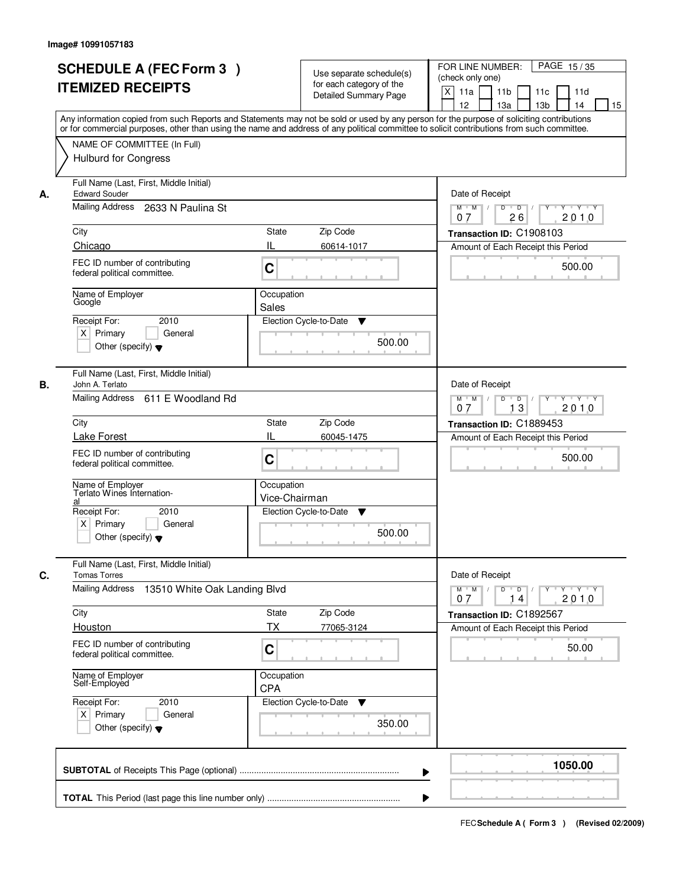|    | <b>SCHEDULE A (FEC Form 3)</b><br><b>ITEMIZED RECEIPTS</b><br>Any information copied from such Reports and Statements may not be sold or used by any person for the purpose of soliciting contributions<br>or for commercial purposes, other than using the name and address of any political committee to solicit contributions from such committee. |                             | Use separate schedule(s)<br>for each category of the<br><b>Detailed Summary Page</b> | PAGE 15/35<br>FOR LINE NUMBER:<br>(check only one)<br>$\boldsymbol{\mathsf{X}}$<br>11a<br>11 <sub>b</sub><br>11c<br>11d<br>12<br>13 <sub>b</sub><br>13a<br>14<br>15 |  |  |  |
|----|-------------------------------------------------------------------------------------------------------------------------------------------------------------------------------------------------------------------------------------------------------------------------------------------------------------------------------------------------------|-----------------------------|--------------------------------------------------------------------------------------|---------------------------------------------------------------------------------------------------------------------------------------------------------------------|--|--|--|
|    | NAME OF COMMITTEE (In Full)<br><b>Hulburd for Congress</b>                                                                                                                                                                                                                                                                                            |                             |                                                                                      |                                                                                                                                                                     |  |  |  |
| А. | Full Name (Last, First, Middle Initial)<br><b>Edward Souder</b><br>Mailing Address 2633 N Paulina St                                                                                                                                                                                                                                                  |                             |                                                                                      | Date of Receipt<br>$M$ $M$<br>$D$ $D$ $1$<br>$Y^+$<br>Y 'Y 'Y                                                                                                       |  |  |  |
|    |                                                                                                                                                                                                                                                                                                                                                       |                             |                                                                                      | 2010<br>07<br>26                                                                                                                                                    |  |  |  |
|    | City                                                                                                                                                                                                                                                                                                                                                  | State                       | Zip Code                                                                             | Transaction ID: C1908103                                                                                                                                            |  |  |  |
|    | Chicago                                                                                                                                                                                                                                                                                                                                               | Ш                           | 60614-1017                                                                           | Amount of Each Receipt this Period                                                                                                                                  |  |  |  |
|    | FEC ID number of contributing<br>federal political committee.                                                                                                                                                                                                                                                                                         | C                           |                                                                                      | 500.00                                                                                                                                                              |  |  |  |
|    | Name of Employer<br>Google                                                                                                                                                                                                                                                                                                                            | Occupation<br>Sales         |                                                                                      |                                                                                                                                                                     |  |  |  |
|    | 2010<br>Receipt For:<br>$X$ Primary<br>General<br>Other (specify) $\blacktriangledown$                                                                                                                                                                                                                                                                |                             | Election Cycle-to-Date<br>▼<br>500.00                                                |                                                                                                                                                                     |  |  |  |
| В. | Full Name (Last, First, Middle Initial)<br>John A. Terlato                                                                                                                                                                                                                                                                                            |                             |                                                                                      | Date of Receipt                                                                                                                                                     |  |  |  |
|    | Mailing Address 611 E Woodland Rd                                                                                                                                                                                                                                                                                                                     |                             |                                                                                      | Ÿ<br>$Y \vdash Y \vdash Y$<br>$M$ $M$ /<br>D<br>$\overline{D}$<br>13<br>2010<br>07                                                                                  |  |  |  |
|    | City                                                                                                                                                                                                                                                                                                                                                  | <b>State</b>                | Zip Code                                                                             | Transaction ID: C1889453                                                                                                                                            |  |  |  |
|    | IL<br>Lake Forest                                                                                                                                                                                                                                                                                                                                     |                             | 60045-1475                                                                           | Amount of Each Receipt this Period                                                                                                                                  |  |  |  |
|    | FEC ID number of contributing<br>federal political committee.                                                                                                                                                                                                                                                                                         | C                           |                                                                                      | 500.00                                                                                                                                                              |  |  |  |
|    | Name of Employer<br>Terlato Wines Internation-<br>al                                                                                                                                                                                                                                                                                                  | Occupation<br>Vice-Chairman |                                                                                      |                                                                                                                                                                     |  |  |  |
|    | Receipt For:<br>2010                                                                                                                                                                                                                                                                                                                                  |                             | Election Cycle-to-Date<br>v                                                          |                                                                                                                                                                     |  |  |  |
|    | $X$ Primary<br>General<br>Other (specify) $\blacktriangledown$                                                                                                                                                                                                                                                                                        |                             | 500.00                                                                               |                                                                                                                                                                     |  |  |  |
| C. | Full Name (Last, First, Middle Initial)<br><b>Tomas Torres</b>                                                                                                                                                                                                                                                                                        |                             |                                                                                      | Date of Receipt                                                                                                                                                     |  |  |  |
|    | Mailing Address<br>13510 White Oak Landing Blvd                                                                                                                                                                                                                                                                                                       |                             |                                                                                      | $D$ $D$ $l$<br>$M$ $M$ /<br>$Y$ <sup>U</sup><br>$Y + Y + Y$<br>2010<br>07<br>14                                                                                     |  |  |  |
|    | City                                                                                                                                                                                                                                                                                                                                                  | <b>State</b>                | Zip Code                                                                             | Transaction ID: C1892567                                                                                                                                            |  |  |  |
|    | Houston                                                                                                                                                                                                                                                                                                                                               | ТX                          | 77065-3124                                                                           | Amount of Each Receipt this Period                                                                                                                                  |  |  |  |
|    | FEC ID number of contributing<br>federal political committee.                                                                                                                                                                                                                                                                                         | C                           |                                                                                      | 50.00                                                                                                                                                               |  |  |  |
|    | Name of Employer<br>Self-Employed                                                                                                                                                                                                                                                                                                                     | Occupation<br><b>CPA</b>    |                                                                                      |                                                                                                                                                                     |  |  |  |
|    | Receipt For:<br>2010                                                                                                                                                                                                                                                                                                                                  |                             | Election Cycle-to-Date<br>v                                                          |                                                                                                                                                                     |  |  |  |
|    | $X$ Primary<br>General<br>Other (specify) $\blacktriangledown$                                                                                                                                                                                                                                                                                        |                             | 350.00                                                                               |                                                                                                                                                                     |  |  |  |
|    |                                                                                                                                                                                                                                                                                                                                                       |                             | ▶                                                                                    | 1050.00                                                                                                                                                             |  |  |  |
|    |                                                                                                                                                                                                                                                                                                                                                       |                             |                                                                                      |                                                                                                                                                                     |  |  |  |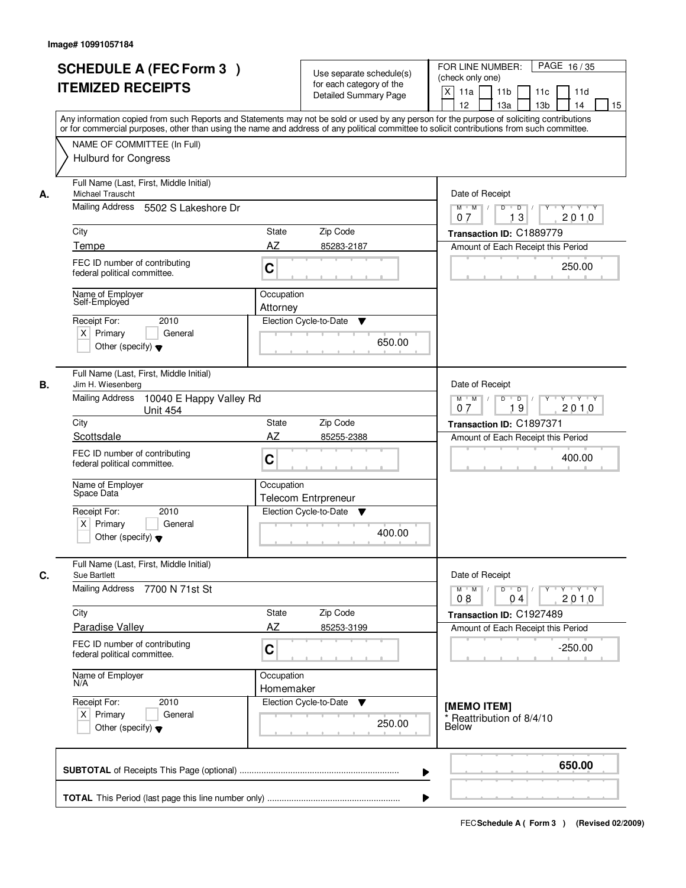|    | <b>SCHEDULE A (FEC Form 3)</b><br><b>ITEMIZED RECEIPTS</b>                                                                                                                                                                                                                              | Use separate schedule(s)<br>for each category of the<br><b>Detailed Summary Page</b> | FOR LINE NUMBER:<br>PAGE 16/35<br>(check only one)<br>$\boldsymbol{\mathsf{X}}$<br>11a<br>11 <sub>b</sub><br>11c<br>11d |
|----|-----------------------------------------------------------------------------------------------------------------------------------------------------------------------------------------------------------------------------------------------------------------------------------------|--------------------------------------------------------------------------------------|-------------------------------------------------------------------------------------------------------------------------|
|    | Any information copied from such Reports and Statements may not be sold or used by any person for the purpose of soliciting contributions<br>or for commercial purposes, other than using the name and address of any political committee to solicit contributions from such committee. |                                                                                      | 12<br>13a<br>13 <sub>b</sub><br>14<br>15                                                                                |
|    | NAME OF COMMITTEE (In Full)<br><b>Hulburd for Congress</b>                                                                                                                                                                                                                              |                                                                                      |                                                                                                                         |
| А. | Full Name (Last, First, Middle Initial)<br>Michael Trauscht<br>Mailing Address<br>5502 S Lakeshore Dr                                                                                                                                                                                   |                                                                                      | Date of Receipt<br>$\overline{D}$<br>$Y - Y - Y$<br>$M$ $M$ /<br>D                                                      |
|    |                                                                                                                                                                                                                                                                                         |                                                                                      | 2010<br>13<br>07                                                                                                        |
|    | City                                                                                                                                                                                                                                                                                    | <b>State</b><br>Zip Code                                                             | Transaction ID: C1889779                                                                                                |
|    | Tempe                                                                                                                                                                                                                                                                                   | AZ<br>85283-2187                                                                     | Amount of Each Receipt this Period                                                                                      |
|    | FEC ID number of contributing<br>federal political committee.                                                                                                                                                                                                                           | C                                                                                    | 250.00                                                                                                                  |
|    | Name of Employer<br>Self-Employed                                                                                                                                                                                                                                                       | Occupation                                                                           |                                                                                                                         |
|    | 2010<br>Receipt For:                                                                                                                                                                                                                                                                    | Attorney<br>Election Cycle-to-Date<br>v                                              |                                                                                                                         |
|    | $X$ Primary<br>General<br>Other (specify) $\blacktriangledown$                                                                                                                                                                                                                          | 650.00                                                                               |                                                                                                                         |
| В. | Full Name (Last, First, Middle Initial)<br>Jim H. Wiesenberg                                                                                                                                                                                                                            |                                                                                      | Date of Receipt                                                                                                         |
|    | <b>Mailing Address</b><br>10040 E Happy Valley Rd<br><b>Unit 454</b>                                                                                                                                                                                                                    |                                                                                      | $D$ $D$ $1$<br>$M$ $M$ /<br>Y<br>$Y + Y + Y$<br>19<br>2010<br>07                                                        |
|    | City<br>Scottsdale                                                                                                                                                                                                                                                                      | Zip Code<br>State<br>AZ<br>85255-2388                                                | Transaction ID: C1897371                                                                                                |
|    | FEC ID number of contributing<br>federal political committee.                                                                                                                                                                                                                           | C                                                                                    | Amount of Each Receipt this Period<br>400.00                                                                            |
|    | Name of Employer<br>Space Data                                                                                                                                                                                                                                                          | Occupation<br><b>Telecom Entrpreneur</b>                                             |                                                                                                                         |
|    | Receipt For:<br>2010<br>$X$ Primary<br>General<br>Other (specify) $\blacktriangledown$                                                                                                                                                                                                  | Election Cycle-to-Date<br>V<br>400.00                                                |                                                                                                                         |
| C. | Full Name (Last, First, Middle Initial)<br>Sue Bartlett                                                                                                                                                                                                                                 |                                                                                      | Date of Receipt                                                                                                         |
|    | <b>Mailing Address</b><br>7700 N 71st St                                                                                                                                                                                                                                                |                                                                                      | $M$ $M$<br>$D$ $D$ $I$<br>$Y$ <sup>U</sup><br>$Y \dashv Y \dashv Y$<br>2010<br>08<br>0 <sub>4</sub>                     |
|    | City                                                                                                                                                                                                                                                                                    | State<br>Zip Code                                                                    | Transaction ID: C1927489                                                                                                |
|    | <b>Paradise Valley</b>                                                                                                                                                                                                                                                                  | AZ<br>85253-3199                                                                     | Amount of Each Receipt this Period                                                                                      |
|    | FEC ID number of contributing<br>federal political committee.                                                                                                                                                                                                                           | C                                                                                    | $-250.00$                                                                                                               |
|    | Name of Employer<br>N/A                                                                                                                                                                                                                                                                 | Occupation<br>Homemaker                                                              |                                                                                                                         |
|    | Receipt For:<br>2010<br>$X$ Primary<br>General<br>Other (specify) $\blacktriangledown$                                                                                                                                                                                                  | Election Cycle-to-Date<br>v<br>250.00                                                | [MEMO ITEM]<br>* Reattribution of 8/4/10<br>Below                                                                       |
|    |                                                                                                                                                                                                                                                                                         | ▶                                                                                    | 650.00                                                                                                                  |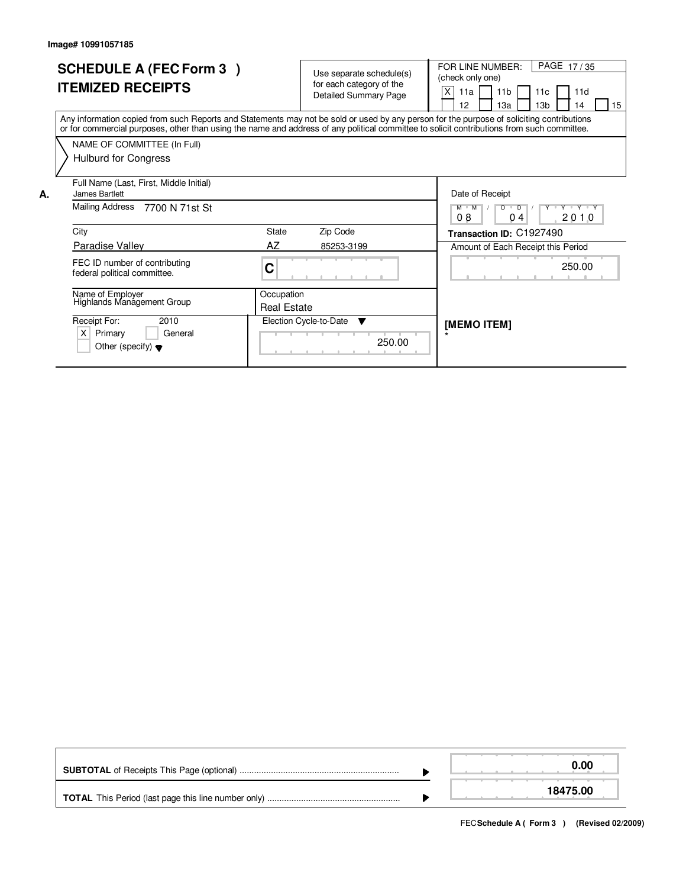|    | <b>SCHEDULE A (FEC Form 3)</b><br><b>ITEMIZED RECEIPTS</b>                                                                                                                                                                                                                              |                                  | Use separate schedule(s)<br>for each category of the<br><b>Detailed Summary Page</b> | PAGE 17/35<br>FOR LINE NUMBER:<br>(check only one)<br>X<br>11 <sub>b</sub><br>11a<br>11d<br>11c<br>13 <sub>b</sub><br>15<br>12<br>13a<br>14 |
|----|-----------------------------------------------------------------------------------------------------------------------------------------------------------------------------------------------------------------------------------------------------------------------------------------|----------------------------------|--------------------------------------------------------------------------------------|---------------------------------------------------------------------------------------------------------------------------------------------|
|    | Any information copied from such Reports and Statements may not be sold or used by any person for the purpose of soliciting contributions<br>or for commercial purposes, other than using the name and address of any political committee to solicit contributions from such committee. |                                  |                                                                                      |                                                                                                                                             |
|    | NAME OF COMMITTEE (In Full)<br>Hulburd for Congress                                                                                                                                                                                                                                     |                                  |                                                                                      |                                                                                                                                             |
| А. | Full Name (Last, First, Middle Initial)<br>James Bartlett                                                                                                                                                                                                                               |                                  |                                                                                      | Date of Receipt                                                                                                                             |
|    | Mailing Address<br>7700 N 71st St                                                                                                                                                                                                                                                       |                                  |                                                                                      | Y Y Y Y Y<br>$M$ $M$<br>$\overline{D}$<br>D<br>08<br>0 <sub>4</sub><br>2010                                                                 |
|    | City                                                                                                                                                                                                                                                                                    | State                            | Zip Code                                                                             | Transaction ID: C1927490                                                                                                                    |
|    | <b>Paradise Valley</b>                                                                                                                                                                                                                                                                  | AZ                               | 85253-3199                                                                           | Amount of Each Receipt this Period                                                                                                          |
|    | FEC ID number of contributing<br>federal political committee.                                                                                                                                                                                                                           | C                                |                                                                                      | 250.00                                                                                                                                      |
|    | Name of Employer<br>Highlands Management Group                                                                                                                                                                                                                                          | Occupation<br><b>Real Estate</b> |                                                                                      |                                                                                                                                             |
|    | Receipt For:<br>2010<br>X<br>Primary<br>General<br>Other (specify) $\blacktriangledown$                                                                                                                                                                                                 |                                  | Election Cycle-to-Date<br>▼<br>250.00                                                | [MEMO ITEM]                                                                                                                                 |

|  | 0.00     |  |
|--|----------|--|
|  | 18475.00 |  |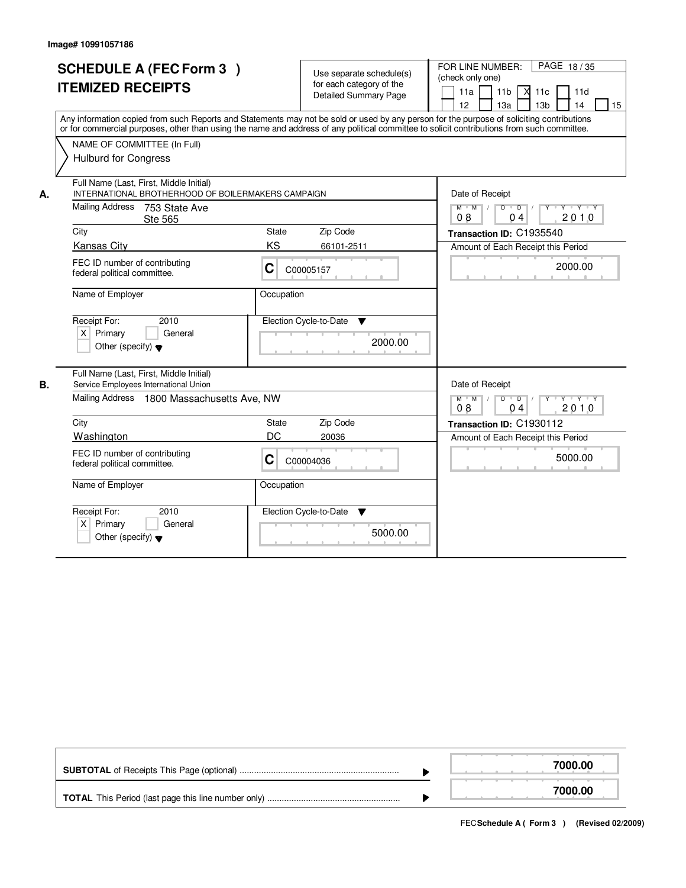|    | <b>SCHEDULE A (FEC Form 3)</b><br><b>ITEMIZED RECEIPTS</b><br>Any information copied from such Reports and Statements may not be sold or used by any person for the purpose of soliciting contributions<br>or for commercial purposes, other than using the name and address of any political committee to solicit contributions from such committee. |            | Use separate schedule(s)<br>for each category of the<br>Detailed Summary Page | FOR LINE NUMBER:<br>PAGE 18/35<br>(check only one)<br>$X$ 11 $c$<br>11a<br>11 <sub>b</sub><br>11d<br>12<br>13 <sub>b</sub><br>13a<br>14<br>15 |
|----|-------------------------------------------------------------------------------------------------------------------------------------------------------------------------------------------------------------------------------------------------------------------------------------------------------------------------------------------------------|------------|-------------------------------------------------------------------------------|-----------------------------------------------------------------------------------------------------------------------------------------------|
|    | NAME OF COMMITTEE (In Full)<br><b>Hulburd for Congress</b>                                                                                                                                                                                                                                                                                            |            |                                                                               |                                                                                                                                               |
| А. | Full Name (Last, First, Middle Initial)<br>INTERNATIONAL BROTHERHOOD OF BOILERMAKERS CAMPAIGN<br>Mailing Address<br>753 State Ave<br><b>Ste 565</b>                                                                                                                                                                                                   |            |                                                                               | Date of Receipt<br>$M$ $M$ /<br>D<br>$\overline{D}$<br>Y Y Y Y<br>2010<br>08<br>04                                                            |
|    | City                                                                                                                                                                                                                                                                                                                                                  | State      | Zip Code                                                                      | Transaction ID: C1935540                                                                                                                      |
|    | <b>Kansas City</b>                                                                                                                                                                                                                                                                                                                                    | KS         | 66101-2511                                                                    | Amount of Each Receipt this Period                                                                                                            |
|    | FEC ID number of contributing<br>federal political committee.                                                                                                                                                                                                                                                                                         | C          | C00005157                                                                     | 2000.00                                                                                                                                       |
|    | Name of Employer                                                                                                                                                                                                                                                                                                                                      | Occupation |                                                                               |                                                                                                                                               |
|    | Receipt For:<br>2010<br>$X$ Primary<br>General<br>Other (specify) $\blacktriangledown$                                                                                                                                                                                                                                                                |            | Election Cycle-to-Date<br>▼<br>2000.00                                        |                                                                                                                                               |
| В. | Full Name (Last, First, Middle Initial)<br>Service Employees International Union                                                                                                                                                                                                                                                                      |            |                                                                               | Date of Receipt                                                                                                                               |
|    | Mailing Address 1800 Massachusetts Ave, NW                                                                                                                                                                                                                                                                                                            |            |                                                                               | $D$ $D$ $I$<br>$\mathsf{Y} \dashv \mathsf{Y} \dashv \mathsf{Y} \dashv \mathsf{Y}$<br>$M$ $M$ /<br>08<br>0 <sub>4</sub><br>2010                |
|    | City                                                                                                                                                                                                                                                                                                                                                  | State      | Zip Code                                                                      | Transaction ID: C1930112                                                                                                                      |
|    | <b>Washington</b>                                                                                                                                                                                                                                                                                                                                     | DC         | 20036                                                                         | Amount of Each Receipt this Period                                                                                                            |
|    | FEC ID number of contributing<br>federal political committee.                                                                                                                                                                                                                                                                                         | C          | C00004036                                                                     | 5000.00                                                                                                                                       |
|    | Name of Employer                                                                                                                                                                                                                                                                                                                                      | Occupation |                                                                               |                                                                                                                                               |
|    | Receipt For:<br>2010<br>X.<br>Primary<br>General<br>Other (specify) $\blacktriangledown$                                                                                                                                                                                                                                                              |            | Election Cycle-to-Date<br>v<br>5000.00                                        |                                                                                                                                               |

|  | 7000.00 |
|--|---------|
|  | 7000.00 |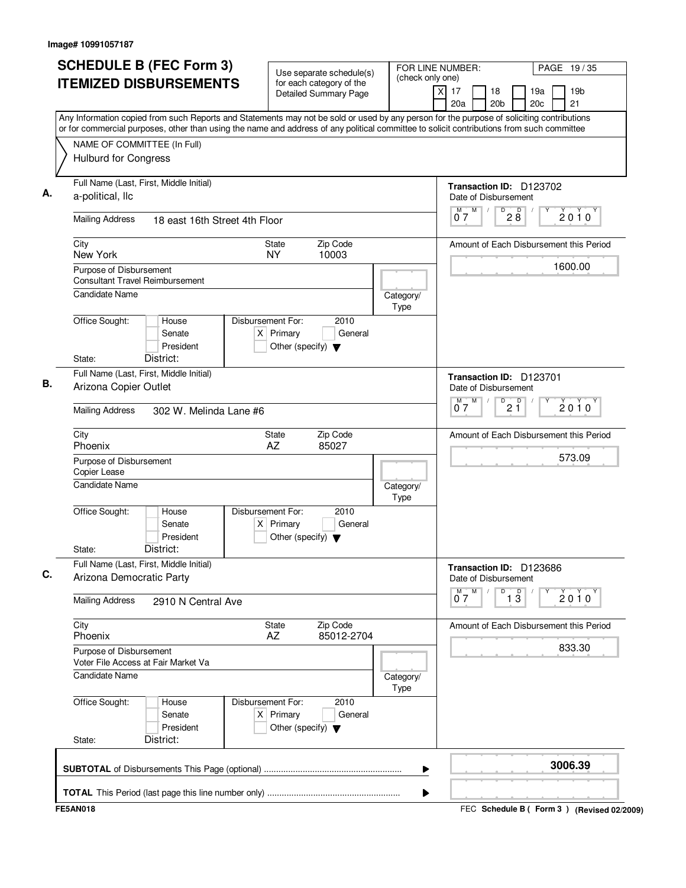|                 |                                                                  | <b>SCHEDULE B (FEC Form 3)</b>                                                                                                                                                                                                                                                         |                   |                                                     | Use separate schedule(s)                                 |  | FOR LINE NUMBER:  |                       |                                                 |                                    |            | PAGE 19/35                              |
|-----------------|------------------------------------------------------------------|----------------------------------------------------------------------------------------------------------------------------------------------------------------------------------------------------------------------------------------------------------------------------------------|-------------------|-----------------------------------------------------|----------------------------------------------------------|--|-------------------|-----------------------|-------------------------------------------------|------------------------------------|------------|-----------------------------------------|
|                 |                                                                  | <b>ITEMIZED DISBURSEMENTS</b>                                                                                                                                                                                                                                                          |                   |                                                     | for each category of the<br><b>Detailed Summary Page</b> |  | (check only one)  | $\times$<br>17<br>20a | 18<br>20 <sub>b</sub>                           |                                    | 19a<br>20c | 19b<br>21                               |
|                 |                                                                  | Any Information copied from such Reports and Statements may not be sold or used by any person for the purpose of soliciting contributions<br>or for commercial purposes, other than using the name and address of any political committee to solicit contributions from such committee |                   |                                                     |                                                          |  |                   |                       |                                                 |                                    |            |                                         |
|                 |                                                                  | NAME OF COMMITTEE (In Full)                                                                                                                                                                                                                                                            |                   |                                                     |                                                          |  |                   |                       |                                                 |                                    |            |                                         |
|                 | <b>Hulburd for Congress</b>                                      |                                                                                                                                                                                                                                                                                        |                   |                                                     |                                                          |  |                   |                       |                                                 |                                    |            |                                         |
|                 | a-political, llc                                                 | Full Name (Last, First, Middle Initial)                                                                                                                                                                                                                                                |                   |                                                     |                                                          |  |                   |                       | Transaction ID: D123702<br>Date of Disbursement |                                    |            |                                         |
|                 | <b>Mailing Address</b>                                           | 18 east 16th Street 4th Floor                                                                                                                                                                                                                                                          |                   |                                                     |                                                          |  |                   | $M$ $M$<br>07         |                                                 | D<br>$28^{\circ}$                  |            | $2010^y$                                |
| City            | New York                                                         |                                                                                                                                                                                                                                                                                        |                   | <b>State</b><br>NY.                                 | Zip Code<br>10003                                        |  |                   |                       |                                                 |                                    |            | Amount of Each Disbursement this Period |
|                 | Purpose of Disbursement                                          | <b>Consultant Travel Reimbursement</b>                                                                                                                                                                                                                                                 |                   |                                                     |                                                          |  |                   |                       |                                                 |                                    |            | 1600.00                                 |
|                 | Candidate Name                                                   |                                                                                                                                                                                                                                                                                        |                   |                                                     |                                                          |  | Category/<br>Type |                       |                                                 |                                    |            |                                         |
|                 | Office Sought:                                                   | House<br>Senate<br>President                                                                                                                                                                                                                                                           | Disbursement For: | $X$ Primary<br>Other (specify) $\blacktriangledown$ | 2010<br>General                                          |  |                   |                       |                                                 |                                    |            |                                         |
| State:          |                                                                  | District:                                                                                                                                                                                                                                                                              |                   |                                                     |                                                          |  |                   |                       |                                                 |                                    |            |                                         |
|                 | Full Name (Last, First, Middle Initial)<br>Arizona Copier Outlet |                                                                                                                                                                                                                                                                                        |                   |                                                     |                                                          |  |                   |                       | Transaction ID: D123701<br>Date of Disbursement |                                    |            |                                         |
|                 | <b>Mailing Address</b><br>302 W. Melinda Lane #6                 |                                                                                                                                                                                                                                                                                        |                   |                                                     |                                                          |  |                   | М<br>07               | M                                               | D<br>2 <sup>0</sup>                |            | $2010^y$                                |
| City<br>Phoenix |                                                                  |                                                                                                                                                                                                                                                                                        |                   | State<br>AZ                                         | Zip Code<br>85027                                        |  |                   |                       |                                                 |                                    |            | Amount of Each Disbursement this Period |
|                 | Purpose of Disbursement<br>Copier Lease                          |                                                                                                                                                                                                                                                                                        |                   |                                                     |                                                          |  |                   |                       |                                                 |                                    |            | 573.09                                  |
|                 | <b>Candidate Name</b>                                            |                                                                                                                                                                                                                                                                                        |                   |                                                     |                                                          |  | Category/<br>Type |                       |                                                 |                                    |            |                                         |
| State:          | Office Sought:                                                   | House<br>Senate<br>President<br>District:                                                                                                                                                                                                                                              | Disbursement For: | $X$ Primary<br>Other (specify) $\blacktriangledown$ | 2010<br>General                                          |  |                   |                       |                                                 |                                    |            |                                         |
|                 | Arizona Democratic Party                                         | Full Name (Last, First, Middle Initial)                                                                                                                                                                                                                                                |                   |                                                     |                                                          |  |                   |                       | Transaction ID: D123686<br>Date of Disbursement |                                    |            |                                         |
|                 | <b>Mailing Address</b>                                           | 2910 N Central Ave                                                                                                                                                                                                                                                                     |                   |                                                     |                                                          |  |                   | $0^M$ $\bar{7}$ $M$   |                                                 | D<br>$\overline{1}$ $\overline{3}$ | Υ          | $2010^y$                                |
| City<br>Phoenix |                                                                  |                                                                                                                                                                                                                                                                                        |                   | State<br>AZ                                         | Zip Code<br>85012-2704                                   |  |                   |                       |                                                 |                                    |            | Amount of Each Disbursement this Period |
|                 | Purpose of Disbursement<br>Voter File Access at Fair Market Va   |                                                                                                                                                                                                                                                                                        |                   |                                                     |                                                          |  |                   |                       |                                                 |                                    |            | 833.30                                  |
|                 | Candidate Name                                                   |                                                                                                                                                                                                                                                                                        |                   |                                                     |                                                          |  | Category/<br>Type |                       |                                                 |                                    |            |                                         |
|                 | Office Sought:                                                   | House<br>Senate<br>President                                                                                                                                                                                                                                                           | Disbursement For: | $X$ Primary<br>Other (specify) $\blacktriangledown$ | 2010<br>General                                          |  |                   |                       |                                                 |                                    |            |                                         |
| State:          |                                                                  | District:                                                                                                                                                                                                                                                                              |                   |                                                     |                                                          |  |                   |                       |                                                 |                                    |            |                                         |
|                 |                                                                  |                                                                                                                                                                                                                                                                                        |                   |                                                     |                                                          |  | ▶                 |                       |                                                 |                                    |            | 3006.39                                 |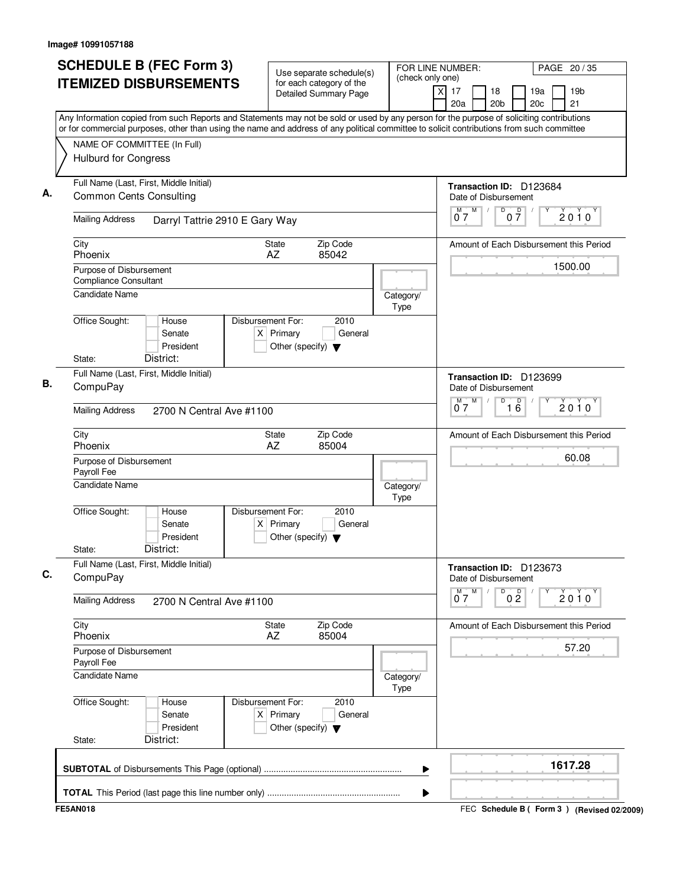| <b>ITEMIZED DISBURSEMENTS</b><br>Any Information copied from such Reports and Statements may not be sold or used by any person for the purpose of soliciting contributions<br>or for commercial purposes, other than using the name and address of any political committee to solicit contributions from such committee<br>NAME OF COMMITTEE (In Full)<br><b>Hulburd for Congress</b> | Use separate schedule(s)<br>for each category of the<br><b>Detailed Summary Page</b>        | (check only one)  | 19 <sub>b</sub><br>X<br>17<br>18<br>19a<br>20a<br>20 <sub>b</sub><br>20c<br>21           |
|---------------------------------------------------------------------------------------------------------------------------------------------------------------------------------------------------------------------------------------------------------------------------------------------------------------------------------------------------------------------------------------|---------------------------------------------------------------------------------------------|-------------------|------------------------------------------------------------------------------------------|
|                                                                                                                                                                                                                                                                                                                                                                                       |                                                                                             |                   |                                                                                          |
|                                                                                                                                                                                                                                                                                                                                                                                       |                                                                                             |                   |                                                                                          |
|                                                                                                                                                                                                                                                                                                                                                                                       |                                                                                             |                   |                                                                                          |
| Full Name (Last, First, Middle Initial)<br><b>Common Cents Consulting</b>                                                                                                                                                                                                                                                                                                             |                                                                                             |                   | Transaction ID: D123684<br>Date of Disbursement                                          |
| <b>Mailing Address</b><br>Darryl Tattrie 2910 E Gary Way                                                                                                                                                                                                                                                                                                                              |                                                                                             |                   | $0\overline{7}$<br>M<br>D<br>M T<br>$\sqrt{2}$<br>$2010^y$<br>07                         |
| City<br>Phoenix                                                                                                                                                                                                                                                                                                                                                                       | Zip Code<br><b>State</b><br>AZ<br>85042                                                     |                   | Amount of Each Disbursement this Period                                                  |
| Purpose of Disbursement<br><b>Compliance Consultant</b><br>Candidate Name                                                                                                                                                                                                                                                                                                             |                                                                                             |                   | 1500.00                                                                                  |
| Office Sought:<br>House<br>Senate<br>President                                                                                                                                                                                                                                                                                                                                        | Disbursement For:<br>2010<br>$X$ Primary<br>General<br>Other (specify) $\blacktriangledown$ | Category/<br>Type |                                                                                          |
| District:<br>State:<br>Full Name (Last, First, Middle Initial)                                                                                                                                                                                                                                                                                                                        |                                                                                             |                   |                                                                                          |
| CompuPay                                                                                                                                                                                                                                                                                                                                                                              |                                                                                             |                   | Transaction ID: D123699<br>Date of Disbursement<br>$M$ $M$<br>D                          |
| <b>Mailing Address</b><br>2700 N Central Ave #1100                                                                                                                                                                                                                                                                                                                                    |                                                                                             |                   | $\overline{16}$<br>$2010^y$<br>07                                                        |
| City<br>Phoenix                                                                                                                                                                                                                                                                                                                                                                       | Zip Code<br>State<br>AZ<br>85004                                                            |                   | Amount of Each Disbursement this Period<br>60.08                                         |
| Purpose of Disbursement<br>Payroll Fee                                                                                                                                                                                                                                                                                                                                                |                                                                                             |                   |                                                                                          |
| <b>Candidate Name</b>                                                                                                                                                                                                                                                                                                                                                                 |                                                                                             | Category/<br>Type |                                                                                          |
| Office Sought:<br>House<br>Senate<br>President<br>District:<br>State:                                                                                                                                                                                                                                                                                                                 | Disbursement For:<br>2010<br>$X$ Primary<br>General<br>Other (specify) $\blacktriangledown$ |                   |                                                                                          |
| Full Name (Last, First, Middle Initial)                                                                                                                                                                                                                                                                                                                                               |                                                                                             |                   | Transaction ID: D123673                                                                  |
| CompuPay                                                                                                                                                                                                                                                                                                                                                                              |                                                                                             |                   | Date of Disbursement<br>M<br>D<br>0 <sup>0</sup><br>$\overline{0}^M$ 7<br>$2010^{\circ}$ |
| <b>Mailing Address</b><br>2700 N Central Ave #1100                                                                                                                                                                                                                                                                                                                                    |                                                                                             |                   |                                                                                          |
| City<br>Phoenix                                                                                                                                                                                                                                                                                                                                                                       | Zip Code<br>State<br>AZ<br>85004                                                            |                   | Amount of Each Disbursement this Period                                                  |
| Purpose of Disbursement<br>Payroll Fee                                                                                                                                                                                                                                                                                                                                                |                                                                                             | 57.20             |                                                                                          |
| <b>Candidate Name</b>                                                                                                                                                                                                                                                                                                                                                                 |                                                                                             | Category/<br>Type |                                                                                          |
| Office Sought:<br>House<br>Senate<br>President                                                                                                                                                                                                                                                                                                                                        | Disbursement For:<br>2010<br>$X$ Primary<br>General<br>Other (specify) $\blacktriangledown$ |                   |                                                                                          |
| District:<br>State:                                                                                                                                                                                                                                                                                                                                                                   |                                                                                             |                   |                                                                                          |
|                                                                                                                                                                                                                                                                                                                                                                                       |                                                                                             | ▶                 | 1617.28                                                                                  |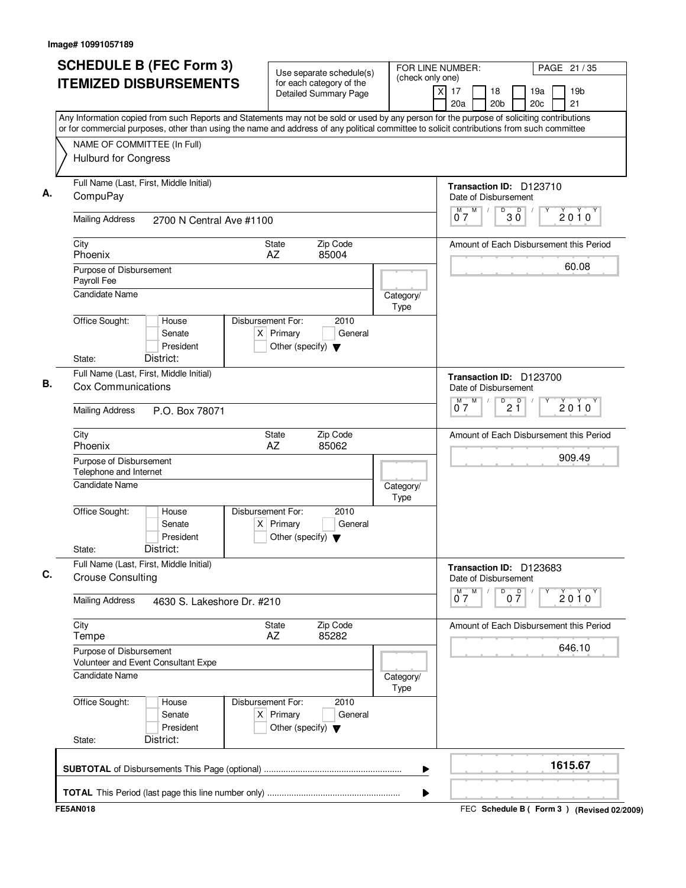| 20a<br>20 <sub>b</sub><br>Any Information copied from such Reports and Statements may not be sold or used by any person for the purpose of soliciting contributions<br>or for commercial purposes, other than using the name and address of any political committee to solicit contributions from such committee<br>NAME OF COMMITTEE (In Full)<br>Hulburd for Congress<br>Full Name (Last, First, Middle Initial)<br>Transaction ID: D123710<br>CompuPay<br>Date of Disbursement<br>M<br>D<br>$\overline{D}$<br>M<br>$\sqrt{2}$<br>3 Ŏ<br>07<br><b>Mailing Address</b><br>2700 N Central Ave #1100<br>Zip Code<br>City<br>State<br>Amount of Each Disbursement this Period<br>Phoenix<br>AZ<br>85004<br>Purpose of Disbursement<br>Payroll Fee<br><b>Candidate Name</b><br>Category/<br>Type<br>Office Sought:<br>Disbursement For:<br>2010<br>House<br>$X$ Primary<br>General<br>Senate<br>President<br>Other (specify) $\blacktriangledown$<br>District:<br>State:<br>Full Name (Last, First, Middle Initial)<br>Transaction ID: D123700<br><b>Cox Communications</b><br>Date of Disbursement<br>M<br>D<br>2 <sup>D</sup><br>M<br>07<br><b>Mailing Address</b><br>P.O. Box 78071<br>Zip Code<br>City<br>State<br>Amount of Each Disbursement this Period<br>Phoenix<br>AZ<br>85062<br>Purpose of Disbursement<br>Telephone and Internet<br><b>Candidate Name</b><br>Category/<br>Type<br>Office Sought:<br>Disbursement For:<br>2010<br>House<br>Senate<br>$X$ Primary<br>General<br>President<br>Other (specify) $\blacktriangledown$<br>District:<br>State:<br>Full Name (Last, First, Middle Initial)<br>Transaction ID: D123683<br><b>Crouse Consulting</b><br>Date of Disbursement<br>M<br>0 <sup>0</sup><br>$\overline{0}^M$ 7<br>D<br><b>Mailing Address</b><br>4630 S. Lakeshore Dr. #210<br>City<br>Zip Code<br>State<br>Amount of Each Disbursement this Period<br>85282<br>Tempe<br>AZ<br>Purpose of Disbursement<br>Volunteer and Event Consultant Expe<br><b>Candidate Name</b><br>Category/<br>Type | 21<br>20c |
|----------------------------------------------------------------------------------------------------------------------------------------------------------------------------------------------------------------------------------------------------------------------------------------------------------------------------------------------------------------------------------------------------------------------------------------------------------------------------------------------------------------------------------------------------------------------------------------------------------------------------------------------------------------------------------------------------------------------------------------------------------------------------------------------------------------------------------------------------------------------------------------------------------------------------------------------------------------------------------------------------------------------------------------------------------------------------------------------------------------------------------------------------------------------------------------------------------------------------------------------------------------------------------------------------------------------------------------------------------------------------------------------------------------------------------------------------------------------------------------------------------------------------------------------------------------------------------------------------------------------------------------------------------------------------------------------------------------------------------------------------------------------------------------------------------------------------------------------------------------------------------------------------------------------------------------------------------------------------------------------------------------------|-----------|
|                                                                                                                                                                                                                                                                                                                                                                                                                                                                                                                                                                                                                                                                                                                                                                                                                                                                                                                                                                                                                                                                                                                                                                                                                                                                                                                                                                                                                                                                                                                                                                                                                                                                                                                                                                                                                                                                                                                                                                                                                      |           |
|                                                                                                                                                                                                                                                                                                                                                                                                                                                                                                                                                                                                                                                                                                                                                                                                                                                                                                                                                                                                                                                                                                                                                                                                                                                                                                                                                                                                                                                                                                                                                                                                                                                                                                                                                                                                                                                                                                                                                                                                                      |           |
|                                                                                                                                                                                                                                                                                                                                                                                                                                                                                                                                                                                                                                                                                                                                                                                                                                                                                                                                                                                                                                                                                                                                                                                                                                                                                                                                                                                                                                                                                                                                                                                                                                                                                                                                                                                                                                                                                                                                                                                                                      |           |
|                                                                                                                                                                                                                                                                                                                                                                                                                                                                                                                                                                                                                                                                                                                                                                                                                                                                                                                                                                                                                                                                                                                                                                                                                                                                                                                                                                                                                                                                                                                                                                                                                                                                                                                                                                                                                                                                                                                                                                                                                      |           |
|                                                                                                                                                                                                                                                                                                                                                                                                                                                                                                                                                                                                                                                                                                                                                                                                                                                                                                                                                                                                                                                                                                                                                                                                                                                                                                                                                                                                                                                                                                                                                                                                                                                                                                                                                                                                                                                                                                                                                                                                                      | 2010      |
|                                                                                                                                                                                                                                                                                                                                                                                                                                                                                                                                                                                                                                                                                                                                                                                                                                                                                                                                                                                                                                                                                                                                                                                                                                                                                                                                                                                                                                                                                                                                                                                                                                                                                                                                                                                                                                                                                                                                                                                                                      |           |
|                                                                                                                                                                                                                                                                                                                                                                                                                                                                                                                                                                                                                                                                                                                                                                                                                                                                                                                                                                                                                                                                                                                                                                                                                                                                                                                                                                                                                                                                                                                                                                                                                                                                                                                                                                                                                                                                                                                                                                                                                      | 60.08     |
|                                                                                                                                                                                                                                                                                                                                                                                                                                                                                                                                                                                                                                                                                                                                                                                                                                                                                                                                                                                                                                                                                                                                                                                                                                                                                                                                                                                                                                                                                                                                                                                                                                                                                                                                                                                                                                                                                                                                                                                                                      |           |
|                                                                                                                                                                                                                                                                                                                                                                                                                                                                                                                                                                                                                                                                                                                                                                                                                                                                                                                                                                                                                                                                                                                                                                                                                                                                                                                                                                                                                                                                                                                                                                                                                                                                                                                                                                                                                                                                                                                                                                                                                      |           |
|                                                                                                                                                                                                                                                                                                                                                                                                                                                                                                                                                                                                                                                                                                                                                                                                                                                                                                                                                                                                                                                                                                                                                                                                                                                                                                                                                                                                                                                                                                                                                                                                                                                                                                                                                                                                                                                                                                                                                                                                                      |           |
|                                                                                                                                                                                                                                                                                                                                                                                                                                                                                                                                                                                                                                                                                                                                                                                                                                                                                                                                                                                                                                                                                                                                                                                                                                                                                                                                                                                                                                                                                                                                                                                                                                                                                                                                                                                                                                                                                                                                                                                                                      |           |
|                                                                                                                                                                                                                                                                                                                                                                                                                                                                                                                                                                                                                                                                                                                                                                                                                                                                                                                                                                                                                                                                                                                                                                                                                                                                                                                                                                                                                                                                                                                                                                                                                                                                                                                                                                                                                                                                                                                                                                                                                      | $2010^y$  |
|                                                                                                                                                                                                                                                                                                                                                                                                                                                                                                                                                                                                                                                                                                                                                                                                                                                                                                                                                                                                                                                                                                                                                                                                                                                                                                                                                                                                                                                                                                                                                                                                                                                                                                                                                                                                                                                                                                                                                                                                                      |           |
|                                                                                                                                                                                                                                                                                                                                                                                                                                                                                                                                                                                                                                                                                                                                                                                                                                                                                                                                                                                                                                                                                                                                                                                                                                                                                                                                                                                                                                                                                                                                                                                                                                                                                                                                                                                                                                                                                                                                                                                                                      | 909.49    |
|                                                                                                                                                                                                                                                                                                                                                                                                                                                                                                                                                                                                                                                                                                                                                                                                                                                                                                                                                                                                                                                                                                                                                                                                                                                                                                                                                                                                                                                                                                                                                                                                                                                                                                                                                                                                                                                                                                                                                                                                                      |           |
|                                                                                                                                                                                                                                                                                                                                                                                                                                                                                                                                                                                                                                                                                                                                                                                                                                                                                                                                                                                                                                                                                                                                                                                                                                                                                                                                                                                                                                                                                                                                                                                                                                                                                                                                                                                                                                                                                                                                                                                                                      |           |
|                                                                                                                                                                                                                                                                                                                                                                                                                                                                                                                                                                                                                                                                                                                                                                                                                                                                                                                                                                                                                                                                                                                                                                                                                                                                                                                                                                                                                                                                                                                                                                                                                                                                                                                                                                                                                                                                                                                                                                                                                      |           |
|                                                                                                                                                                                                                                                                                                                                                                                                                                                                                                                                                                                                                                                                                                                                                                                                                                                                                                                                                                                                                                                                                                                                                                                                                                                                                                                                                                                                                                                                                                                                                                                                                                                                                                                                                                                                                                                                                                                                                                                                                      | $2010^y$  |
|                                                                                                                                                                                                                                                                                                                                                                                                                                                                                                                                                                                                                                                                                                                                                                                                                                                                                                                                                                                                                                                                                                                                                                                                                                                                                                                                                                                                                                                                                                                                                                                                                                                                                                                                                                                                                                                                                                                                                                                                                      |           |
|                                                                                                                                                                                                                                                                                                                                                                                                                                                                                                                                                                                                                                                                                                                                                                                                                                                                                                                                                                                                                                                                                                                                                                                                                                                                                                                                                                                                                                                                                                                                                                                                                                                                                                                                                                                                                                                                                                                                                                                                                      | 646.10    |
|                                                                                                                                                                                                                                                                                                                                                                                                                                                                                                                                                                                                                                                                                                                                                                                                                                                                                                                                                                                                                                                                                                                                                                                                                                                                                                                                                                                                                                                                                                                                                                                                                                                                                                                                                                                                                                                                                                                                                                                                                      |           |
| Office Sought:<br>Disbursement For:<br>2010<br>House<br>$X$ Primary<br>Senate<br>General<br>President<br>Other (specify) $\blacktriangledown$                                                                                                                                                                                                                                                                                                                                                                                                                                                                                                                                                                                                                                                                                                                                                                                                                                                                                                                                                                                                                                                                                                                                                                                                                                                                                                                                                                                                                                                                                                                                                                                                                                                                                                                                                                                                                                                                        |           |
| District:<br>State:                                                                                                                                                                                                                                                                                                                                                                                                                                                                                                                                                                                                                                                                                                                                                                                                                                                                                                                                                                                                                                                                                                                                                                                                                                                                                                                                                                                                                                                                                                                                                                                                                                                                                                                                                                                                                                                                                                                                                                                                  |           |
| ▶                                                                                                                                                                                                                                                                                                                                                                                                                                                                                                                                                                                                                                                                                                                                                                                                                                                                                                                                                                                                                                                                                                                                                                                                                                                                                                                                                                                                                                                                                                                                                                                                                                                                                                                                                                                                                                                                                                                                                                                                                    | 1615.67   |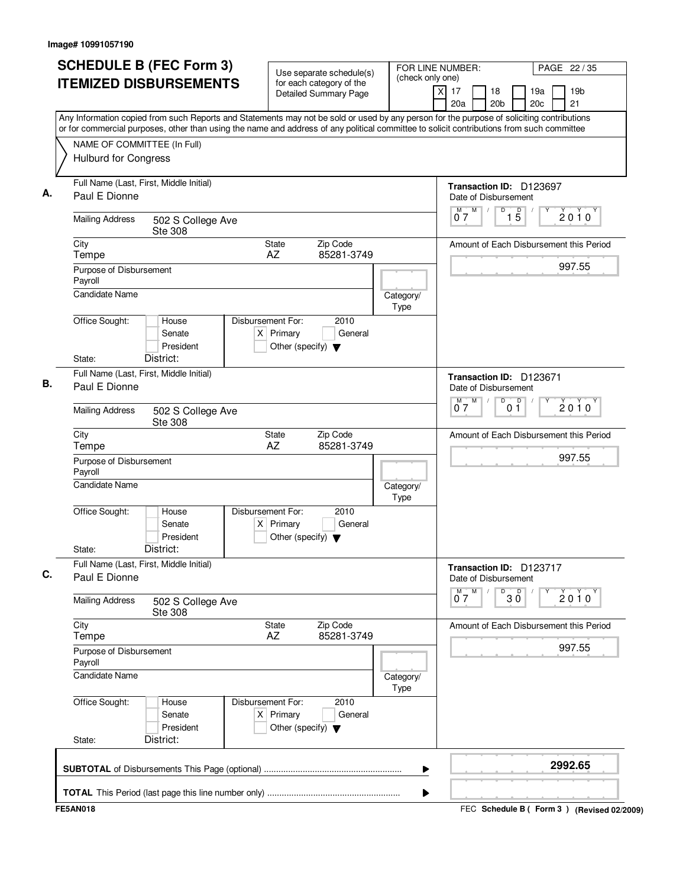| (check only one)<br><b>ITEMIZED DISBURSEMENTS</b><br>for each category of the<br>17<br>X<br><b>Detailed Summary Page</b><br>20a<br>Any Information copied from such Reports and Statements may not be sold or used by any person for the purpose of soliciting contributions<br>or for commercial purposes, other than using the name and address of any political committee to solicit contributions from such committee<br>NAME OF COMMITTEE (In Full)<br><b>Hulburd for Congress</b><br>Full Name (Last, First, Middle Initial)<br>Paul E Dionne<br>М<br>07<br><b>Mailing Address</b><br>502 S College Ave<br><b>Ste 308</b><br>Zip Code<br>City<br>State<br>AZ<br>85281-3749<br>Tempe<br>Purpose of Disbursement<br>Payroll<br><b>Candidate Name</b><br>Category/<br>Type<br>Office Sought:<br>Disbursement For:<br>2010<br>House<br>$X$ Primary<br>General<br>Senate<br>President<br>Other (specify) $\blacktriangledown$<br>State:<br>District:<br>Full Name (Last, First, Middle Initial)<br>Paul E Dionne<br>07<br><b>Mailing Address</b><br>502 S College Ave<br><b>Ste 308</b><br>Zip Code<br>City<br>State<br>AZ<br>85281-3749<br>Tempe<br>Purpose of Disbursement<br>Payroll<br><b>Candidate Name</b><br>Category/<br>Type<br>Office Sought:<br>Disbursement For:<br>2010<br>House<br>Senate<br>$X$ Primary<br>General<br>President<br>Other (specify) $\blacktriangledown$<br>District:<br>State:<br>Full Name (Last, First, Middle Initial)<br>Paul E Dionne<br><b>Mailing Address</b><br>502 S College Ave<br><b>Ste 308</b><br>City<br>Zip Code<br>State<br>AZ<br>85281-3749<br>Tempe<br>Purpose of Disbursement<br>Payroll<br><b>Candidate Name</b><br>Category/<br>Type<br>Office Sought:<br>Disbursement For:<br>2010<br>House | FOR LINE NUMBER:<br>PAGE 22 / 35                             |
|---------------------------------------------------------------------------------------------------------------------------------------------------------------------------------------------------------------------------------------------------------------------------------------------------------------------------------------------------------------------------------------------------------------------------------------------------------------------------------------------------------------------------------------------------------------------------------------------------------------------------------------------------------------------------------------------------------------------------------------------------------------------------------------------------------------------------------------------------------------------------------------------------------------------------------------------------------------------------------------------------------------------------------------------------------------------------------------------------------------------------------------------------------------------------------------------------------------------------------------------------------------------------------------------------------------------------------------------------------------------------------------------------------------------------------------------------------------------------------------------------------------------------------------------------------------------------------------------------------------------------------------------------------------------------------------------------------------------------------------------------|--------------------------------------------------------------|
|                                                                                                                                                                                                                                                                                                                                                                                                                                                                                                                                                                                                                                                                                                                                                                                                                                                                                                                                                                                                                                                                                                                                                                                                                                                                                                                                                                                                                                                                                                                                                                                                                                                                                                                                                   | 19 <sub>b</sub><br>18<br>19a<br>20 <sub>b</sub><br>20c<br>21 |
|                                                                                                                                                                                                                                                                                                                                                                                                                                                                                                                                                                                                                                                                                                                                                                                                                                                                                                                                                                                                                                                                                                                                                                                                                                                                                                                                                                                                                                                                                                                                                                                                                                                                                                                                                   |                                                              |
|                                                                                                                                                                                                                                                                                                                                                                                                                                                                                                                                                                                                                                                                                                                                                                                                                                                                                                                                                                                                                                                                                                                                                                                                                                                                                                                                                                                                                                                                                                                                                                                                                                                                                                                                                   |                                                              |
|                                                                                                                                                                                                                                                                                                                                                                                                                                                                                                                                                                                                                                                                                                                                                                                                                                                                                                                                                                                                                                                                                                                                                                                                                                                                                                                                                                                                                                                                                                                                                                                                                                                                                                                                                   |                                                              |
|                                                                                                                                                                                                                                                                                                                                                                                                                                                                                                                                                                                                                                                                                                                                                                                                                                                                                                                                                                                                                                                                                                                                                                                                                                                                                                                                                                                                                                                                                                                                                                                                                                                                                                                                                   | Transaction ID: D123697<br>Date of Disbursement              |
|                                                                                                                                                                                                                                                                                                                                                                                                                                                                                                                                                                                                                                                                                                                                                                                                                                                                                                                                                                                                                                                                                                                                                                                                                                                                                                                                                                                                                                                                                                                                                                                                                                                                                                                                                   | $\overline{15}$<br>M<br>D<br>$2010^y$                        |
|                                                                                                                                                                                                                                                                                                                                                                                                                                                                                                                                                                                                                                                                                                                                                                                                                                                                                                                                                                                                                                                                                                                                                                                                                                                                                                                                                                                                                                                                                                                                                                                                                                                                                                                                                   | Amount of Each Disbursement this Period                      |
|                                                                                                                                                                                                                                                                                                                                                                                                                                                                                                                                                                                                                                                                                                                                                                                                                                                                                                                                                                                                                                                                                                                                                                                                                                                                                                                                                                                                                                                                                                                                                                                                                                                                                                                                                   | 997.55                                                       |
|                                                                                                                                                                                                                                                                                                                                                                                                                                                                                                                                                                                                                                                                                                                                                                                                                                                                                                                                                                                                                                                                                                                                                                                                                                                                                                                                                                                                                                                                                                                                                                                                                                                                                                                                                   |                                                              |
|                                                                                                                                                                                                                                                                                                                                                                                                                                                                                                                                                                                                                                                                                                                                                                                                                                                                                                                                                                                                                                                                                                                                                                                                                                                                                                                                                                                                                                                                                                                                                                                                                                                                                                                                                   |                                                              |
|                                                                                                                                                                                                                                                                                                                                                                                                                                                                                                                                                                                                                                                                                                                                                                                                                                                                                                                                                                                                                                                                                                                                                                                                                                                                                                                                                                                                                                                                                                                                                                                                                                                                                                                                                   |                                                              |
|                                                                                                                                                                                                                                                                                                                                                                                                                                                                                                                                                                                                                                                                                                                                                                                                                                                                                                                                                                                                                                                                                                                                                                                                                                                                                                                                                                                                                                                                                                                                                                                                                                                                                                                                                   | Transaction ID: D123671<br>Date of Disbursement              |
|                                                                                                                                                                                                                                                                                                                                                                                                                                                                                                                                                                                                                                                                                                                                                                                                                                                                                                                                                                                                                                                                                                                                                                                                                                                                                                                                                                                                                                                                                                                                                                                                                                                                                                                                                   | $M$ $M$<br>D<br>0 <sup>0</sup><br>$2010^y$                   |
|                                                                                                                                                                                                                                                                                                                                                                                                                                                                                                                                                                                                                                                                                                                                                                                                                                                                                                                                                                                                                                                                                                                                                                                                                                                                                                                                                                                                                                                                                                                                                                                                                                                                                                                                                   | Amount of Each Disbursement this Period                      |
|                                                                                                                                                                                                                                                                                                                                                                                                                                                                                                                                                                                                                                                                                                                                                                                                                                                                                                                                                                                                                                                                                                                                                                                                                                                                                                                                                                                                                                                                                                                                                                                                                                                                                                                                                   | 997.55                                                       |
|                                                                                                                                                                                                                                                                                                                                                                                                                                                                                                                                                                                                                                                                                                                                                                                                                                                                                                                                                                                                                                                                                                                                                                                                                                                                                                                                                                                                                                                                                                                                                                                                                                                                                                                                                   |                                                              |
|                                                                                                                                                                                                                                                                                                                                                                                                                                                                                                                                                                                                                                                                                                                                                                                                                                                                                                                                                                                                                                                                                                                                                                                                                                                                                                                                                                                                                                                                                                                                                                                                                                                                                                                                                   |                                                              |
|                                                                                                                                                                                                                                                                                                                                                                                                                                                                                                                                                                                                                                                                                                                                                                                                                                                                                                                                                                                                                                                                                                                                                                                                                                                                                                                                                                                                                                                                                                                                                                                                                                                                                                                                                   |                                                              |
|                                                                                                                                                                                                                                                                                                                                                                                                                                                                                                                                                                                                                                                                                                                                                                                                                                                                                                                                                                                                                                                                                                                                                                                                                                                                                                                                                                                                                                                                                                                                                                                                                                                                                                                                                   | Transaction ID: D123717<br>Date of Disbursement              |
|                                                                                                                                                                                                                                                                                                                                                                                                                                                                                                                                                                                                                                                                                                                                                                                                                                                                                                                                                                                                                                                                                                                                                                                                                                                                                                                                                                                                                                                                                                                                                                                                                                                                                                                                                   | $0^M$ $7^M$<br>D<br>$30^{\circ}$<br>$2010^{\circ}$           |
|                                                                                                                                                                                                                                                                                                                                                                                                                                                                                                                                                                                                                                                                                                                                                                                                                                                                                                                                                                                                                                                                                                                                                                                                                                                                                                                                                                                                                                                                                                                                                                                                                                                                                                                                                   | Amount of Each Disbursement this Period                      |
|                                                                                                                                                                                                                                                                                                                                                                                                                                                                                                                                                                                                                                                                                                                                                                                                                                                                                                                                                                                                                                                                                                                                                                                                                                                                                                                                                                                                                                                                                                                                                                                                                                                                                                                                                   | 997.55                                                       |
|                                                                                                                                                                                                                                                                                                                                                                                                                                                                                                                                                                                                                                                                                                                                                                                                                                                                                                                                                                                                                                                                                                                                                                                                                                                                                                                                                                                                                                                                                                                                                                                                                                                                                                                                                   |                                                              |
| $X$ Primary<br>Senate<br>General<br>President<br>Other (specify) $\blacktriangledown$                                                                                                                                                                                                                                                                                                                                                                                                                                                                                                                                                                                                                                                                                                                                                                                                                                                                                                                                                                                                                                                                                                                                                                                                                                                                                                                                                                                                                                                                                                                                                                                                                                                             |                                                              |
| District:<br>State:                                                                                                                                                                                                                                                                                                                                                                                                                                                                                                                                                                                                                                                                                                                                                                                                                                                                                                                                                                                                                                                                                                                                                                                                                                                                                                                                                                                                                                                                                                                                                                                                                                                                                                                               |                                                              |
| ▶                                                                                                                                                                                                                                                                                                                                                                                                                                                                                                                                                                                                                                                                                                                                                                                                                                                                                                                                                                                                                                                                                                                                                                                                                                                                                                                                                                                                                                                                                                                                                                                                                                                                                                                                                 | 2992.65                                                      |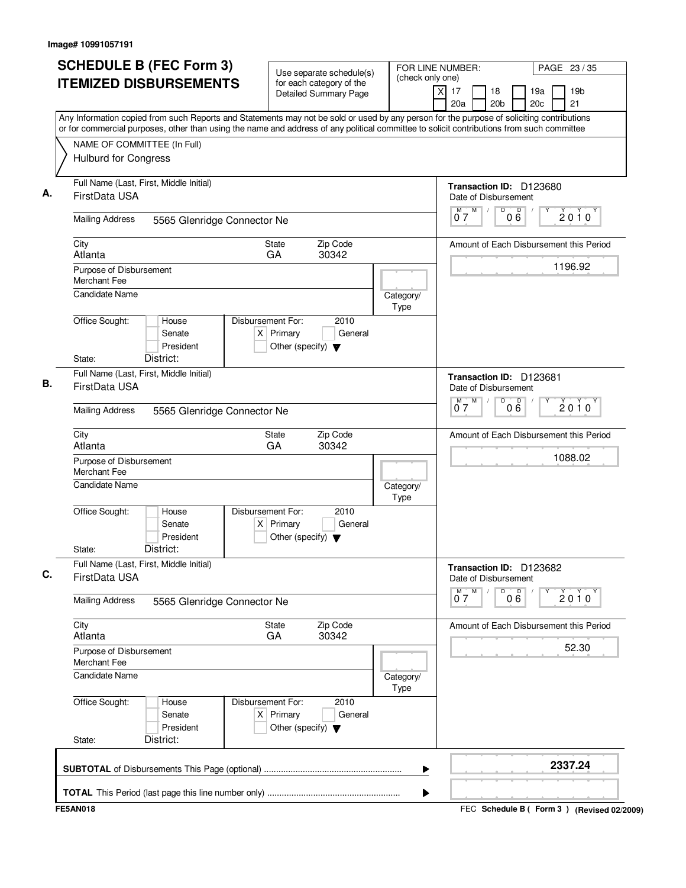| <b>SCHEDULE B (FEC Form 3)</b>                                 | Use separate schedule(s)                                                                    | FOR LINE NUMBER:<br>PAGE 23 / 35<br>(check only one)                                                                                                                                                                                                                                   |
|----------------------------------------------------------------|---------------------------------------------------------------------------------------------|----------------------------------------------------------------------------------------------------------------------------------------------------------------------------------------------------------------------------------------------------------------------------------------|
| <b>ITEMIZED DISBURSEMENTS</b>                                  | for each category of the<br>Detailed Summary Page                                           | 19 <sub>b</sub><br>$\times$<br>17<br>18<br>19a<br>20a<br>20 <sub>b</sub><br>20c<br>21                                                                                                                                                                                                  |
|                                                                |                                                                                             | Any Information copied from such Reports and Statements may not be sold or used by any person for the purpose of soliciting contributions<br>or for commercial purposes, other than using the name and address of any political committee to solicit contributions from such committee |
| NAME OF COMMITTEE (In Full)                                    |                                                                                             |                                                                                                                                                                                                                                                                                        |
| <b>Hulburd for Congress</b>                                    |                                                                                             |                                                                                                                                                                                                                                                                                        |
| Full Name (Last, First, Middle Initial)<br>FirstData USA       |                                                                                             | Transaction ID: D123680<br>Date of Disbursement                                                                                                                                                                                                                                        |
| <b>Mailing Address</b>                                         | 5565 Glenridge Connector Ne                                                                 | M<br>D<br>D<br>$\sqrt{2}$<br>$M$ <sup>-</sup><br>$2010^y$<br>06<br>07                                                                                                                                                                                                                  |
| City<br>Atlanta                                                | Zip Code<br><b>State</b><br>30342<br>GA                                                     | Amount of Each Disbursement this Period                                                                                                                                                                                                                                                |
| Purpose of Disbursement<br><b>Merchant Fee</b>                 |                                                                                             | 1196.92                                                                                                                                                                                                                                                                                |
| Candidate Name                                                 |                                                                                             | Category/<br>Type                                                                                                                                                                                                                                                                      |
| Office Sought:<br>House<br>Senate<br>President                 | Disbursement For:<br>2010<br>$X$ Primary<br>General<br>Other (specify) $\blacktriangledown$ |                                                                                                                                                                                                                                                                                        |
| District:<br>State:                                            |                                                                                             |                                                                                                                                                                                                                                                                                        |
| Full Name (Last, First, Middle Initial)<br>В.<br>FirstData USA |                                                                                             | Transaction ID: D123681<br>Date of Disbursement                                                                                                                                                                                                                                        |
| <b>Mailing Address</b>                                         | 5565 Glenridge Connector Ne                                                                 | M<br>$\overline{D}$<br>000<br>M T<br>$2010^y$<br>07                                                                                                                                                                                                                                    |
| City<br>Atlanta                                                | Zip Code<br><b>State</b><br>GA<br>30342                                                     | Amount of Each Disbursement this Period                                                                                                                                                                                                                                                |
| Purpose of Disbursement<br><b>Merchant Fee</b>                 |                                                                                             | 1088.02                                                                                                                                                                                                                                                                                |
| Candidate Name                                                 |                                                                                             | Category/<br>Type                                                                                                                                                                                                                                                                      |
| Office Sought:<br>House<br>Senate<br>President                 | Disbursement For:<br>2010<br>$X$ Primary<br>General<br>Other (specify) $\blacktriangledown$ |                                                                                                                                                                                                                                                                                        |
| District:<br>State:                                            |                                                                                             |                                                                                                                                                                                                                                                                                        |
| Full Name (Last, First, Middle Initial)<br>FirstData USA       |                                                                                             | Transaction ID: D123682<br>Date of Disbursement                                                                                                                                                                                                                                        |
| <b>Mailing Address</b>                                         | 5565 Glenridge Connector Ne                                                                 | M<br>D<br>$0\overset{D}{6}$<br>$\overline{0}^M$ 7<br>$2010^{\gamma}$                                                                                                                                                                                                                   |
| City<br>Atlanta                                                | <b>State</b><br>Zip Code<br>GA<br>30342                                                     | Amount of Each Disbursement this Period                                                                                                                                                                                                                                                |
| Purpose of Disbursement<br>Merchant Fee                        |                                                                                             | 52.30                                                                                                                                                                                                                                                                                  |
| <b>Candidate Name</b>                                          |                                                                                             | Category/<br>Type                                                                                                                                                                                                                                                                      |
| Office Sought:<br>House<br>Senate<br>President                 | Disbursement For:<br>2010<br>$X$ Primary<br>General<br>Other (specify) $\blacktriangledown$ |                                                                                                                                                                                                                                                                                        |
| District:<br>State:                                            |                                                                                             |                                                                                                                                                                                                                                                                                        |
|                                                                |                                                                                             | 2337.24<br>▶                                                                                                                                                                                                                                                                           |
|                                                                |                                                                                             |                                                                                                                                                                                                                                                                                        |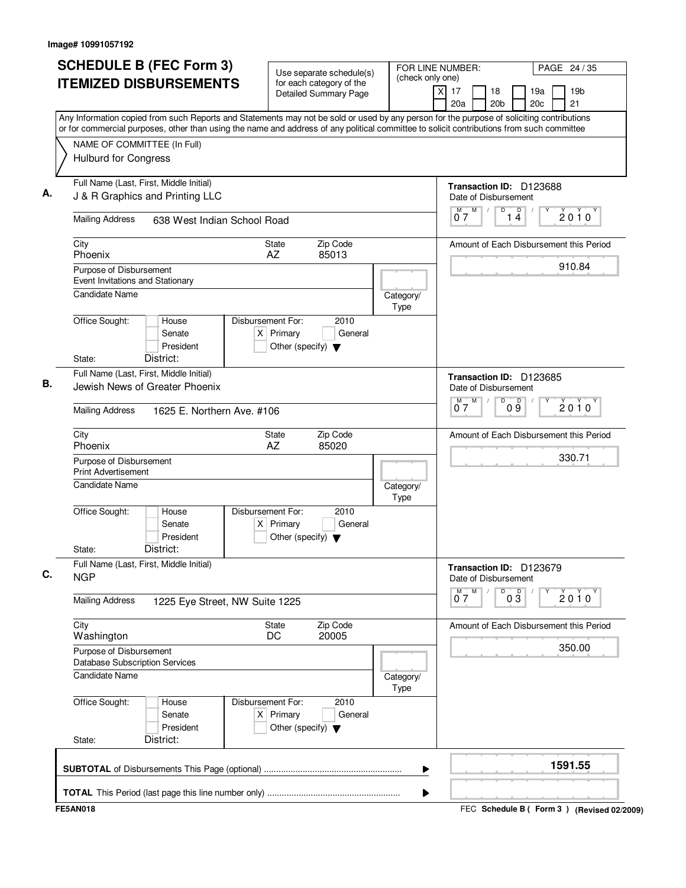| <b>SCHEDULE B (FEC Form 3)</b><br><b>ITEMIZED DISBURSEMENTS</b>                                                                                                                                                                                                                        | Use separate schedule(s)<br>for each category of the<br><b>Detailed Summary Page</b>        | FOR LINE NUMBER:<br>(check only one)<br>X<br>17<br>18     | PAGE 24 / 35<br>19 <sub>b</sub><br>19a  |
|----------------------------------------------------------------------------------------------------------------------------------------------------------------------------------------------------------------------------------------------------------------------------------------|---------------------------------------------------------------------------------------------|-----------------------------------------------------------|-----------------------------------------|
| Any Information copied from such Reports and Statements may not be sold or used by any person for the purpose of soliciting contributions<br>or for commercial purposes, other than using the name and address of any political committee to solicit contributions from such committee |                                                                                             | 20a<br>20 <sub>b</sub>                                    | 20c<br>21                               |
| NAME OF COMMITTEE (In Full)<br><b>Hulburd for Congress</b>                                                                                                                                                                                                                             |                                                                                             |                                                           |                                         |
| Full Name (Last, First, Middle Initial)<br>J & R Graphics and Printing LLC                                                                                                                                                                                                             |                                                                                             | Transaction ID: D123688<br>Date of Disbursement           |                                         |
| <b>Mailing Address</b><br>638 West Indian School Road                                                                                                                                                                                                                                  |                                                                                             | M<br>D<br>M<br>$\sqrt{2}$<br>07                           | $\mathsf D$<br>$2010^y$<br>14           |
| City<br>Phoenix                                                                                                                                                                                                                                                                        | Zip Code<br>State<br>AZ<br>85013                                                            |                                                           | Amount of Each Disbursement this Period |
| Purpose of Disbursement<br>Event Invitations and Stationary                                                                                                                                                                                                                            |                                                                                             |                                                           | 910.84                                  |
| <b>Candidate Name</b>                                                                                                                                                                                                                                                                  |                                                                                             | Category/<br>Type                                         |                                         |
| Office Sought:<br>House<br>Senate<br>President<br>District:<br>State:                                                                                                                                                                                                                  | Disbursement For:<br>2010<br>$X$ Primary<br>General<br>Other (specify) $\blacktriangledown$ |                                                           |                                         |
| Full Name (Last, First, Middle Initial)<br>Jewish News of Greater Phoenix                                                                                                                                                                                                              |                                                                                             | Transaction ID: D123685<br>Date of Disbursement<br>M<br>D |                                         |
| <b>Mailing Address</b><br>1625 E. Northern Ave. #106                                                                                                                                                                                                                                   |                                                                                             | $\overline{0}^M$ 7                                        | 09<br>$2010^y$                          |
| City<br>Phoenix                                                                                                                                                                                                                                                                        | Zip Code<br><b>State</b><br>AZ<br>85020                                                     |                                                           | Amount of Each Disbursement this Period |
| Purpose of Disbursement<br><b>Print Advertisement</b>                                                                                                                                                                                                                                  |                                                                                             |                                                           | 330.71                                  |
| Candidate Name                                                                                                                                                                                                                                                                         |                                                                                             | Category/<br>Type                                         |                                         |
| Office Sought:<br>House<br>Senate<br>President<br>District:<br>State:                                                                                                                                                                                                                  | Disbursement For:<br>2010<br>$X$ Primary<br>General<br>Other (specify) $\blacktriangledown$ |                                                           |                                         |
| Full Name (Last, First, Middle Initial)                                                                                                                                                                                                                                                |                                                                                             | Transaction ID: D123679                                   |                                         |
| <b>NGP</b>                                                                                                                                                                                                                                                                             |                                                                                             | Date of Disbursement<br>M<br>D<br>M                       | $0\overline{3}$<br>$2010^y$             |
| <b>Mailing Address</b><br>1225 Eye Street, NW Suite 1225                                                                                                                                                                                                                               |                                                                                             | 07                                                        |                                         |
| City<br>Washington                                                                                                                                                                                                                                                                     | Zip Code<br><b>State</b><br>DC<br>20005                                                     |                                                           | Amount of Each Disbursement this Period |
| Purpose of Disbursement<br><b>Database Subscription Services</b>                                                                                                                                                                                                                       |                                                                                             |                                                           | 350.00                                  |
| <b>Candidate Name</b>                                                                                                                                                                                                                                                                  |                                                                                             | Category/<br>Type                                         |                                         |
| Office Sought:<br>House<br>Senate<br>President                                                                                                                                                                                                                                         | Disbursement For:<br>2010<br>$X$ Primary<br>General<br>Other (specify) $\blacktriangledown$ |                                                           |                                         |
| District:<br>State:                                                                                                                                                                                                                                                                    |                                                                                             |                                                           |                                         |
|                                                                                                                                                                                                                                                                                        |                                                                                             |                                                           | 1591.55                                 |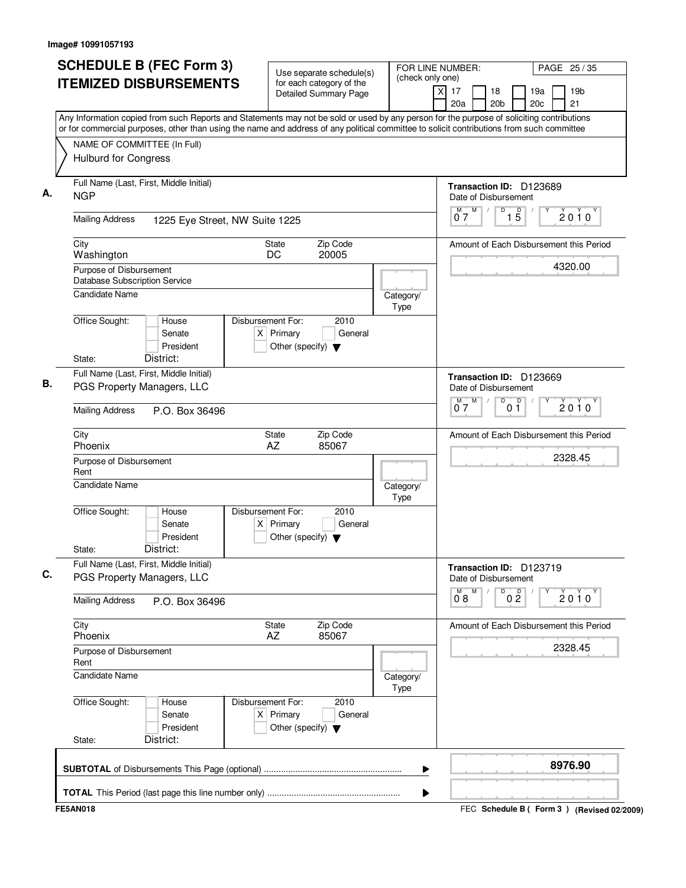| <b>SCHEDULE B (FEC Form 3)</b>                                                                                                                                                                                                                                                         | Use separate schedule(s)<br>for each category of the                                        | FOR LINE NUMBER:<br>(check only one) | PAGE 25 / 35                                                              |
|----------------------------------------------------------------------------------------------------------------------------------------------------------------------------------------------------------------------------------------------------------------------------------------|---------------------------------------------------------------------------------------------|--------------------------------------|---------------------------------------------------------------------------|
| <b>ITEMIZED DISBURSEMENTS</b>                                                                                                                                                                                                                                                          | <b>Detailed Summary Page</b>                                                                | $\times$                             | 17<br>18<br>19a<br>19 <sub>b</sub><br>20a<br>20 <sub>b</sub><br>20c<br>21 |
| Any Information copied from such Reports and Statements may not be sold or used by any person for the purpose of soliciting contributions<br>or for commercial purposes, other than using the name and address of any political committee to solicit contributions from such committee |                                                                                             |                                      |                                                                           |
| NAME OF COMMITTEE (In Full)                                                                                                                                                                                                                                                            |                                                                                             |                                      |                                                                           |
| <b>Hulburd for Congress</b>                                                                                                                                                                                                                                                            |                                                                                             |                                      |                                                                           |
| Full Name (Last, First, Middle Initial)<br><b>NGP</b>                                                                                                                                                                                                                                  |                                                                                             |                                      | Transaction ID: D123689<br>Date of Disbursement                           |
| <b>Mailing Address</b><br>1225 Eye Street, NW Suite 1225                                                                                                                                                                                                                               |                                                                                             |                                      | M<br>D<br>15<br>M,<br>$2010^Y$<br>07                                      |
| City<br>Washington                                                                                                                                                                                                                                                                     | Zip Code<br>State<br>DC<br>20005                                                            |                                      | Amount of Each Disbursement this Period                                   |
| Purpose of Disbursement<br>Database Subscription Service                                                                                                                                                                                                                               |                                                                                             |                                      | 4320.00                                                                   |
| <b>Candidate Name</b>                                                                                                                                                                                                                                                                  |                                                                                             | Category/<br>Type                    |                                                                           |
| Office Sought:<br>House<br>Senate<br>President<br>District:<br>State:                                                                                                                                                                                                                  | Disbursement For:<br>2010<br>$X$ Primary<br>General<br>Other (specify) $\blacktriangledown$ |                                      |                                                                           |
| Full Name (Last, First, Middle Initial)                                                                                                                                                                                                                                                |                                                                                             |                                      |                                                                           |
| PGS Property Managers, LLC                                                                                                                                                                                                                                                             |                                                                                             |                                      | Transaction ID: D123669<br>Date of Disbursement                           |
| <b>Mailing Address</b><br>P.O. Box 36496                                                                                                                                                                                                                                               |                                                                                             |                                      | M<br>D<br>M<br>0 <sup>0</sup><br>$2010^y$<br>07                           |
| City<br>Phoenix                                                                                                                                                                                                                                                                        | Zip Code<br>State<br>AZ<br>85067                                                            |                                      | Amount of Each Disbursement this Period                                   |
| Purpose of Disbursement<br>Rent                                                                                                                                                                                                                                                        |                                                                                             |                                      | 2328.45                                                                   |
| <b>Candidate Name</b>                                                                                                                                                                                                                                                                  |                                                                                             | Category/<br>Type                    |                                                                           |
| Office Sought:<br>House<br>Senate<br>President<br>District:<br>State:                                                                                                                                                                                                                  | Disbursement For:<br>2010<br>$X$ Primary<br>General<br>Other (specify) $\blacktriangledown$ |                                      |                                                                           |
| Full Name (Last, First, Middle Initial)<br>PGS Property Managers, LLC                                                                                                                                                                                                                  |                                                                                             |                                      | Transaction ID: D123719<br>Date of Disbursement                           |
| <b>Mailing Address</b><br>P.O. Box 36496                                                                                                                                                                                                                                               |                                                                                             |                                      | M<br>D<br>0 <sup>0</sup><br>$\overline{0}^M$ 8<br>$2010^{\circ}$          |
| City<br>Phoenix                                                                                                                                                                                                                                                                        | Zip Code<br>State<br>AZ<br>85067                                                            |                                      | Amount of Each Disbursement this Period                                   |
| Purpose of Disbursement<br>Rent                                                                                                                                                                                                                                                        |                                                                                             |                                      | 2328.45                                                                   |
| <b>Candidate Name</b>                                                                                                                                                                                                                                                                  |                                                                                             | Category/<br>Type                    |                                                                           |
| Office Sought:<br>House<br>Senate<br>President<br>District:<br>State:                                                                                                                                                                                                                  | Disbursement For:<br>2010<br>$X$ Primary<br>General<br>Other (specify) $\blacktriangledown$ |                                      |                                                                           |
|                                                                                                                                                                                                                                                                                        |                                                                                             |                                      | 8976.90                                                                   |
|                                                                                                                                                                                                                                                                                        |                                                                                             | ▶                                    |                                                                           |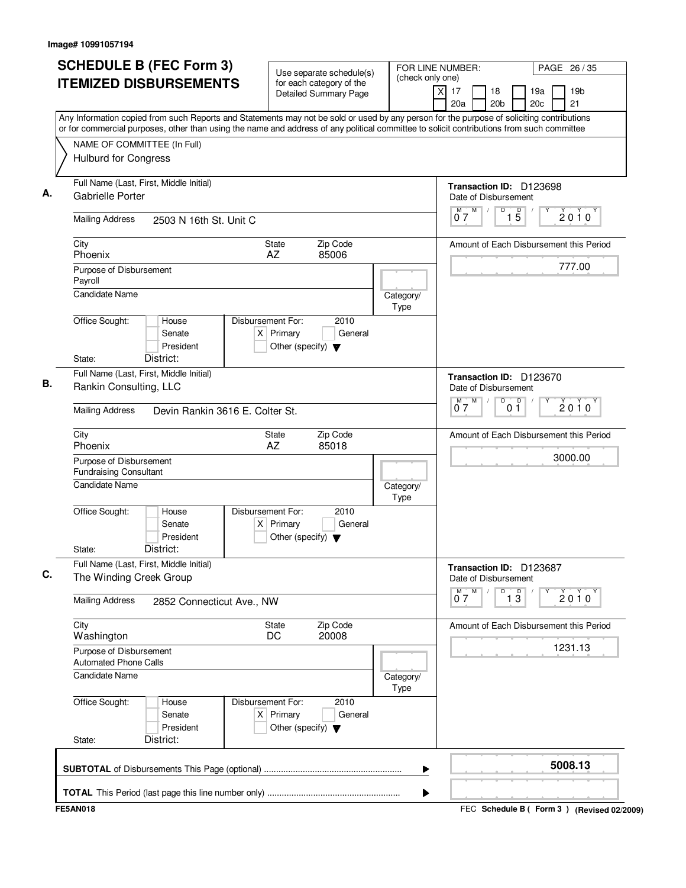| <b>ITEMIZED DISBURSEMENTS</b><br>for each category of the<br>xl<br>17<br><b>Detailed Summary Page</b><br>20a<br>Any Information copied from such Reports and Statements may not be sold or used by any person for the purpose of soliciting contributions<br>or for commercial purposes, other than using the name and address of any political committee to solicit contributions from such committee<br>NAME OF COMMITTEE (In Full)<br>Hulburd for Congress<br>Full Name (Last, First, Middle Initial)<br>А.<br><b>Gabrielle Porter</b><br>М<br>07<br><b>Mailing Address</b><br>2503 N 16th St. Unit C<br>City<br>Zip Code<br>State<br>Phoenix<br>85006<br>AZ<br>Purpose of Disbursement<br>Payroll<br>Candidate Name<br>Category/<br>Type<br>Office Sought:<br>Disbursement For:<br>House<br>2010<br>$X$ Primary<br>Senate<br>General<br>President<br>Other (specify) $\blacktriangledown$<br>District:<br>State:<br>Full Name (Last, First, Middle Initial)<br>В.<br>Rankin Consulting, LLC<br>M <sub>1</sub><br>07<br><b>Mailing Address</b><br>Devin Rankin 3616 E. Colter St.<br>City<br>Zip Code<br>State<br>Phoenix<br>AZ<br>85018<br>Purpose of Disbursement<br><b>Fundraising Consultant</b><br><b>Candidate Name</b><br>Category/<br>Type<br>Office Sought:<br>Disbursement For:<br>2010<br>House<br>$X$ Primary<br>General<br>Senate<br>President<br>Other (specify) $\blacktriangledown$<br>District:<br>State:<br>Full Name (Last, First, Middle Initial)<br>C.<br>The Winding Creek Group<br><b>Mailing Address</b><br>2852 Connecticut Ave., NW<br>City<br>Zip Code<br>State<br>20008<br>Washington<br>DC<br>Purpose of Disbursement<br><b>Automated Phone Calls</b><br><b>Candidate Name</b><br>Category/<br>Type<br>Office Sought:<br>Disbursement For:<br>2010<br>House<br>$X$ Primary<br>Senate<br>General<br>President<br>Other (specify) $\blacktriangledown$<br>District:<br>State: | FOR LINE NUMBER:<br>PAGE 26 / 35                              |
|-------------------------------------------------------------------------------------------------------------------------------------------------------------------------------------------------------------------------------------------------------------------------------------------------------------------------------------------------------------------------------------------------------------------------------------------------------------------------------------------------------------------------------------------------------------------------------------------------------------------------------------------------------------------------------------------------------------------------------------------------------------------------------------------------------------------------------------------------------------------------------------------------------------------------------------------------------------------------------------------------------------------------------------------------------------------------------------------------------------------------------------------------------------------------------------------------------------------------------------------------------------------------------------------------------------------------------------------------------------------------------------------------------------------------------------------------------------------------------------------------------------------------------------------------------------------------------------------------------------------------------------------------------------------------------------------------------------------------------------------------------------------------------------------------------------------------------------------------------------------------------------------------------------|---------------------------------------------------------------|
|                                                                                                                                                                                                                                                                                                                                                                                                                                                                                                                                                                                                                                                                                                                                                                                                                                                                                                                                                                                                                                                                                                                                                                                                                                                                                                                                                                                                                                                                                                                                                                                                                                                                                                                                                                                                                                                                                                             | 19 <sub>b</sub><br>18<br>19a<br>20 <sub>b</sub><br>20c<br>21  |
|                                                                                                                                                                                                                                                                                                                                                                                                                                                                                                                                                                                                                                                                                                                                                                                                                                                                                                                                                                                                                                                                                                                                                                                                                                                                                                                                                                                                                                                                                                                                                                                                                                                                                                                                                                                                                                                                                                             |                                                               |
|                                                                                                                                                                                                                                                                                                                                                                                                                                                                                                                                                                                                                                                                                                                                                                                                                                                                                                                                                                                                                                                                                                                                                                                                                                                                                                                                                                                                                                                                                                                                                                                                                                                                                                                                                                                                                                                                                                             |                                                               |
|                                                                                                                                                                                                                                                                                                                                                                                                                                                                                                                                                                                                                                                                                                                                                                                                                                                                                                                                                                                                                                                                                                                                                                                                                                                                                                                                                                                                                                                                                                                                                                                                                                                                                                                                                                                                                                                                                                             |                                                               |
|                                                                                                                                                                                                                                                                                                                                                                                                                                                                                                                                                                                                                                                                                                                                                                                                                                                                                                                                                                                                                                                                                                                                                                                                                                                                                                                                                                                                                                                                                                                                                                                                                                                                                                                                                                                                                                                                                                             | Transaction ID: D123698<br>Date of Disbursement               |
|                                                                                                                                                                                                                                                                                                                                                                                                                                                                                                                                                                                                                                                                                                                                                                                                                                                                                                                                                                                                                                                                                                                                                                                                                                                                                                                                                                                                                                                                                                                                                                                                                                                                                                                                                                                                                                                                                                             | M<br>D<br>$\overline{1\phantom{1}5}$<br>$2010^y$              |
|                                                                                                                                                                                                                                                                                                                                                                                                                                                                                                                                                                                                                                                                                                                                                                                                                                                                                                                                                                                                                                                                                                                                                                                                                                                                                                                                                                                                                                                                                                                                                                                                                                                                                                                                                                                                                                                                                                             | Amount of Each Disbursement this Period                       |
|                                                                                                                                                                                                                                                                                                                                                                                                                                                                                                                                                                                                                                                                                                                                                                                                                                                                                                                                                                                                                                                                                                                                                                                                                                                                                                                                                                                                                                                                                                                                                                                                                                                                                                                                                                                                                                                                                                             | 777.00                                                        |
|                                                                                                                                                                                                                                                                                                                                                                                                                                                                                                                                                                                                                                                                                                                                                                                                                                                                                                                                                                                                                                                                                                                                                                                                                                                                                                                                                                                                                                                                                                                                                                                                                                                                                                                                                                                                                                                                                                             |                                                               |
|                                                                                                                                                                                                                                                                                                                                                                                                                                                                                                                                                                                                                                                                                                                                                                                                                                                                                                                                                                                                                                                                                                                                                                                                                                                                                                                                                                                                                                                                                                                                                                                                                                                                                                                                                                                                                                                                                                             |                                                               |
|                                                                                                                                                                                                                                                                                                                                                                                                                                                                                                                                                                                                                                                                                                                                                                                                                                                                                                                                                                                                                                                                                                                                                                                                                                                                                                                                                                                                                                                                                                                                                                                                                                                                                                                                                                                                                                                                                                             |                                                               |
|                                                                                                                                                                                                                                                                                                                                                                                                                                                                                                                                                                                                                                                                                                                                                                                                                                                                                                                                                                                                                                                                                                                                                                                                                                                                                                                                                                                                                                                                                                                                                                                                                                                                                                                                                                                                                                                                                                             | Transaction ID: D123670<br>Date of Disbursement               |
|                                                                                                                                                                                                                                                                                                                                                                                                                                                                                                                                                                                                                                                                                                                                                                                                                                                                                                                                                                                                                                                                                                                                                                                                                                                                                                                                                                                                                                                                                                                                                                                                                                                                                                                                                                                                                                                                                                             | $\overline{D}$<br>M<br>0 <sup>0</sup><br>$2010^y$             |
|                                                                                                                                                                                                                                                                                                                                                                                                                                                                                                                                                                                                                                                                                                                                                                                                                                                                                                                                                                                                                                                                                                                                                                                                                                                                                                                                                                                                                                                                                                                                                                                                                                                                                                                                                                                                                                                                                                             | Amount of Each Disbursement this Period                       |
|                                                                                                                                                                                                                                                                                                                                                                                                                                                                                                                                                                                                                                                                                                                                                                                                                                                                                                                                                                                                                                                                                                                                                                                                                                                                                                                                                                                                                                                                                                                                                                                                                                                                                                                                                                                                                                                                                                             | 3000.00                                                       |
|                                                                                                                                                                                                                                                                                                                                                                                                                                                                                                                                                                                                                                                                                                                                                                                                                                                                                                                                                                                                                                                                                                                                                                                                                                                                                                                                                                                                                                                                                                                                                                                                                                                                                                                                                                                                                                                                                                             |                                                               |
|                                                                                                                                                                                                                                                                                                                                                                                                                                                                                                                                                                                                                                                                                                                                                                                                                                                                                                                                                                                                                                                                                                                                                                                                                                                                                                                                                                                                                                                                                                                                                                                                                                                                                                                                                                                                                                                                                                             |                                                               |
|                                                                                                                                                                                                                                                                                                                                                                                                                                                                                                                                                                                                                                                                                                                                                                                                                                                                                                                                                                                                                                                                                                                                                                                                                                                                                                                                                                                                                                                                                                                                                                                                                                                                                                                                                                                                                                                                                                             |                                                               |
|                                                                                                                                                                                                                                                                                                                                                                                                                                                                                                                                                                                                                                                                                                                                                                                                                                                                                                                                                                                                                                                                                                                                                                                                                                                                                                                                                                                                                                                                                                                                                                                                                                                                                                                                                                                                                                                                                                             | Transaction ID: D123687<br>Date of Disbursement               |
|                                                                                                                                                                                                                                                                                                                                                                                                                                                                                                                                                                                                                                                                                                                                                                                                                                                                                                                                                                                                                                                                                                                                                                                                                                                                                                                                                                                                                                                                                                                                                                                                                                                                                                                                                                                                                                                                                                             | $0^M$ $7^M$<br>D<br>$\overline{1}$ $\overline{3}$<br>$2010^y$ |
|                                                                                                                                                                                                                                                                                                                                                                                                                                                                                                                                                                                                                                                                                                                                                                                                                                                                                                                                                                                                                                                                                                                                                                                                                                                                                                                                                                                                                                                                                                                                                                                                                                                                                                                                                                                                                                                                                                             | Amount of Each Disbursement this Period                       |
|                                                                                                                                                                                                                                                                                                                                                                                                                                                                                                                                                                                                                                                                                                                                                                                                                                                                                                                                                                                                                                                                                                                                                                                                                                                                                                                                                                                                                                                                                                                                                                                                                                                                                                                                                                                                                                                                                                             | 1231.13                                                       |
|                                                                                                                                                                                                                                                                                                                                                                                                                                                                                                                                                                                                                                                                                                                                                                                                                                                                                                                                                                                                                                                                                                                                                                                                                                                                                                                                                                                                                                                                                                                                                                                                                                                                                                                                                                                                                                                                                                             |                                                               |
|                                                                                                                                                                                                                                                                                                                                                                                                                                                                                                                                                                                                                                                                                                                                                                                                                                                                                                                                                                                                                                                                                                                                                                                                                                                                                                                                                                                                                                                                                                                                                                                                                                                                                                                                                                                                                                                                                                             |                                                               |
|                                                                                                                                                                                                                                                                                                                                                                                                                                                                                                                                                                                                                                                                                                                                                                                                                                                                                                                                                                                                                                                                                                                                                                                                                                                                                                                                                                                                                                                                                                                                                                                                                                                                                                                                                                                                                                                                                                             |                                                               |
| ▶                                                                                                                                                                                                                                                                                                                                                                                                                                                                                                                                                                                                                                                                                                                                                                                                                                                                                                                                                                                                                                                                                                                                                                                                                                                                                                                                                                                                                                                                                                                                                                                                                                                                                                                                                                                                                                                                                                           | 5008.13                                                       |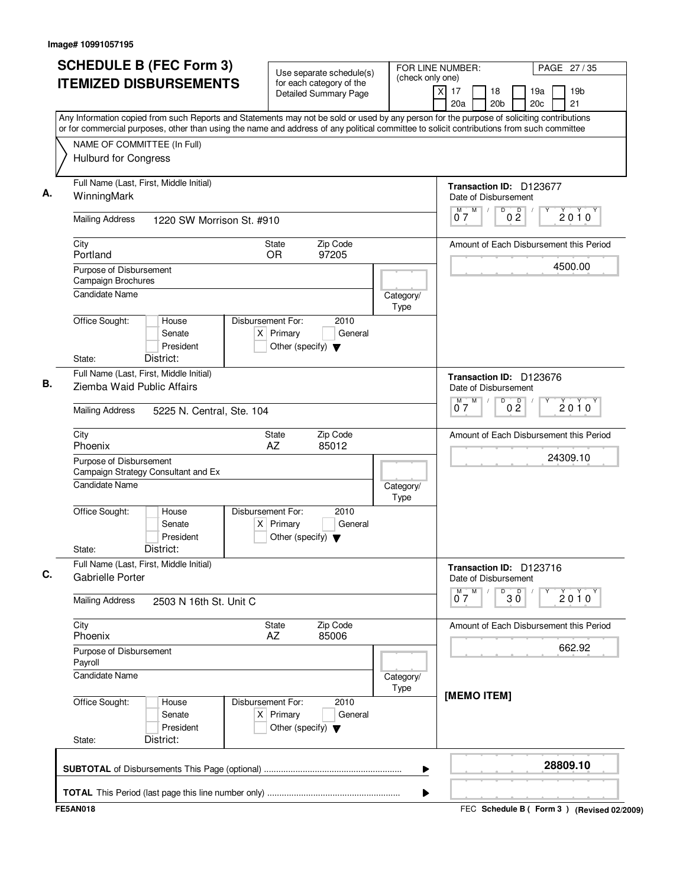| <b>SCHEDULE B (FEC Form 3)</b>                                                                                                                                                                                                                                                         | Use separate schedule(s)                                                                    | FOR LINE NUMBER:<br>(check only one) |                                                 |                       |            | PAGE 27/35                                |
|----------------------------------------------------------------------------------------------------------------------------------------------------------------------------------------------------------------------------------------------------------------------------------------|---------------------------------------------------------------------------------------------|--------------------------------------|-------------------------------------------------|-----------------------|------------|-------------------------------------------|
| <b>ITEMIZED DISBURSEMENTS</b>                                                                                                                                                                                                                                                          | for each category of the<br><b>Detailed Summary Page</b>                                    |                                      | x<br>17<br>20a                                  | 18<br>20 <sub>b</sub> | 19a<br>20c | 19 <sub>b</sub><br>21                     |
| Any Information copied from such Reports and Statements may not be sold or used by any person for the purpose of soliciting contributions<br>or for commercial purposes, other than using the name and address of any political committee to solicit contributions from such committee |                                                                                             |                                      |                                                 |                       |            |                                           |
| NAME OF COMMITTEE (In Full)                                                                                                                                                                                                                                                            |                                                                                             |                                      |                                                 |                       |            |                                           |
| <b>Hulburd for Congress</b>                                                                                                                                                                                                                                                            |                                                                                             |                                      |                                                 |                       |            |                                           |
| Full Name (Last, First, Middle Initial)<br>WinningMark                                                                                                                                                                                                                                 |                                                                                             |                                      | Transaction ID: D123677<br>Date of Disbursement |                       |            |                                           |
| <b>Mailing Address</b><br>1220 SW Morrison St. #910                                                                                                                                                                                                                                    |                                                                                             |                                      | M  <br>07                                       | $0\frac{D}{2}$<br>D   |            | $2010^Y$                                  |
| City<br>Portland                                                                                                                                                                                                                                                                       | Zip Code<br>State<br>97205<br><b>OR</b>                                                     |                                      |                                                 |                       |            | Amount of Each Disbursement this Period   |
| Purpose of Disbursement<br>Campaign Brochures                                                                                                                                                                                                                                          |                                                                                             |                                      |                                                 |                       |            | 4500.00                                   |
| <b>Candidate Name</b>                                                                                                                                                                                                                                                                  |                                                                                             | Category/<br>Type                    |                                                 |                       |            |                                           |
| Office Sought:<br>House<br>Senate<br>President<br>District:<br>State:                                                                                                                                                                                                                  | Disbursement For:<br>2010<br>$X$ Primary<br>General<br>Other (specify) $\blacktriangledown$ |                                      |                                                 |                       |            |                                           |
| Full Name (Last, First, Middle Initial)<br>Ziemba Waid Public Affairs                                                                                                                                                                                                                  |                                                                                             |                                      | Transaction ID: D123676<br>Date of Disbursement |                       |            |                                           |
| <b>Mailing Address</b><br>5225 N. Central, Ste. 104                                                                                                                                                                                                                                    |                                                                                             |                                      | M<br>07                                         | D<br>0 <sup>0</sup>   |            | $2010^y$                                  |
| City<br>Phoenix                                                                                                                                                                                                                                                                        | Zip Code<br>State<br>AZ<br>85012                                                            |                                      |                                                 |                       |            | Amount of Each Disbursement this Period   |
| Purpose of Disbursement<br>Campaign Strategy Consultant and Ex                                                                                                                                                                                                                         |                                                                                             |                                      |                                                 |                       |            | 24309.10                                  |
| <b>Candidate Name</b>                                                                                                                                                                                                                                                                  |                                                                                             | Category/<br>Type                    |                                                 |                       |            |                                           |
| Office Sought:<br>House<br>Senate<br>President<br>District:<br>State:                                                                                                                                                                                                                  | Disbursement For:<br>2010<br>$X$ Primary<br>General<br>Other (specify) $\blacktriangledown$ |                                      |                                                 |                       |            |                                           |
| Full Name (Last, First, Middle Initial)<br>Gabrielle Porter                                                                                                                                                                                                                            |                                                                                             |                                      | Transaction ID: D123716<br>Date of Disbursement |                       |            |                                           |
| <b>Mailing Address</b><br>2503 N 16th St. Unit C                                                                                                                                                                                                                                       |                                                                                             |                                      | $\overline{0}^M$ 7<br>M                         | $30^{\circ}$<br>D     |            | 2010                                      |
| City<br>Phoenix                                                                                                                                                                                                                                                                        | Zip Code<br>State<br>85006<br>AZ                                                            |                                      |                                                 |                       |            | Amount of Each Disbursement this Period   |
| Purpose of Disbursement<br>Payroll                                                                                                                                                                                                                                                     |                                                                                             |                                      |                                                 |                       |            | 662.92                                    |
| Candidate Name                                                                                                                                                                                                                                                                         |                                                                                             | Category/<br>Type                    | [MEMO ITEM]                                     |                       |            |                                           |
| Office Sought:<br>House<br>Senate<br>President<br>District:<br>State:                                                                                                                                                                                                                  | Disbursement For:<br>2010<br>$X$ Primary<br>General<br>Other (specify) $\blacktriangledown$ |                                      |                                                 |                       |            |                                           |
|                                                                                                                                                                                                                                                                                        |                                                                                             | ▶                                    |                                                 |                       |            | 28809.10                                  |
|                                                                                                                                                                                                                                                                                        |                                                                                             | ▶                                    |                                                 |                       |            |                                           |
| <b>FE5AN018</b>                                                                                                                                                                                                                                                                        |                                                                                             |                                      |                                                 |                       |            | FEC Schedule B (Form 3) (Revised 02/2009) |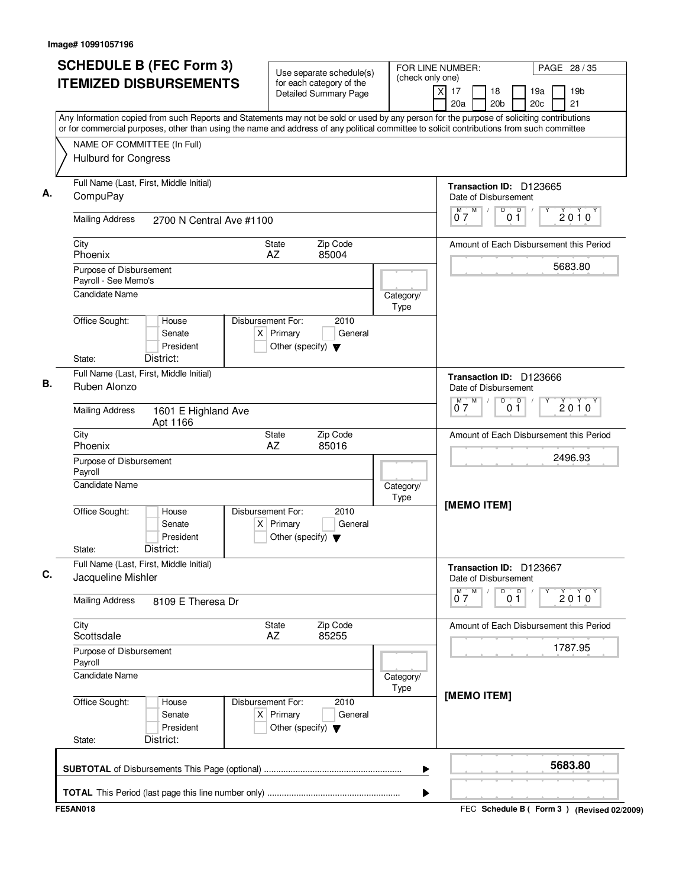| <b>SCHEDULE B (FEC Form 3)</b>                                                                                                                                                                                                                                                         | Use separate schedule(s)                                                                    | FOR LINE NUMBER:<br>(check only one) |                                      |                                                 |                |                        | PAGE 28 / 35                                |
|----------------------------------------------------------------------------------------------------------------------------------------------------------------------------------------------------------------------------------------------------------------------------------------|---------------------------------------------------------------------------------------------|--------------------------------------|--------------------------------------|-------------------------------------------------|----------------|------------------------|---------------------------------------------|
| <b>ITEMIZED DISBURSEMENTS</b>                                                                                                                                                                                                                                                          | for each category of the<br><b>Detailed Summary Page</b>                                    |                                      | $\overline{\mathsf{x}}$<br>17<br>20a | 18<br>20 <sub>b</sub>                           |                | 19a<br>20 <sub>c</sub> | 19 <sub>b</sub><br>21                       |
| Any Information copied from such Reports and Statements may not be sold or used by any person for the purpose of soliciting contributions<br>or for commercial purposes, other than using the name and address of any political committee to solicit contributions from such committee |                                                                                             |                                      |                                      |                                                 |                |                        |                                             |
| NAME OF COMMITTEE (In Full)                                                                                                                                                                                                                                                            |                                                                                             |                                      |                                      |                                                 |                |                        |                                             |
| <b>Hulburd for Congress</b>                                                                                                                                                                                                                                                            |                                                                                             |                                      |                                      |                                                 |                |                        |                                             |
| Full Name (Last, First, Middle Initial)                                                                                                                                                                                                                                                |                                                                                             |                                      |                                      | Transaction ID: D123665                         |                |                        |                                             |
| CompuPay                                                                                                                                                                                                                                                                               |                                                                                             |                                      |                                      | Date of Disbursement                            |                |                        |                                             |
| <b>Mailing Address</b><br>2700 N Central Ave #1100                                                                                                                                                                                                                                     |                                                                                             |                                      | M<br>M<br>07                         | D                                               | p<br>01        |                        | $2010^y$                                    |
| City<br>Phoenix                                                                                                                                                                                                                                                                        | Zip Code<br>State<br>AZ<br>85004                                                            |                                      |                                      |                                                 |                |                        | Amount of Each Disbursement this Period     |
| Purpose of Disbursement                                                                                                                                                                                                                                                                |                                                                                             |                                      |                                      |                                                 |                |                        | 5683.80                                     |
| Payroll - See Memo's<br><b>Candidate Name</b>                                                                                                                                                                                                                                          |                                                                                             |                                      |                                      |                                                 |                |                        |                                             |
|                                                                                                                                                                                                                                                                                        |                                                                                             | Category/<br>Type                    |                                      |                                                 |                |                        |                                             |
| Office Sought:<br>House<br>Senate<br>President                                                                                                                                                                                                                                         | Disbursement For:<br>2010<br>$X$ Primary<br>General<br>Other (specify) $\blacktriangledown$ |                                      |                                      |                                                 |                |                        |                                             |
| District:<br>State:                                                                                                                                                                                                                                                                    |                                                                                             |                                      |                                      |                                                 |                |                        |                                             |
| Full Name (Last, First, Middle Initial)<br>Ruben Alonzo                                                                                                                                                                                                                                |                                                                                             |                                      |                                      | Transaction ID: D123666<br>Date of Disbursement |                |                        |                                             |
| <b>Mailing Address</b><br>1601 E Highland Ave<br>Apt 1166                                                                                                                                                                                                                              |                                                                                             |                                      | M<br>м<br>07                         | D                                               | 0 <sup>0</sup> |                        | $2010^y$                                    |
| City<br>Phoenix                                                                                                                                                                                                                                                                        | Zip Code<br>State<br>AZ<br>85016                                                            |                                      |                                      |                                                 |                |                        | Amount of Each Disbursement this Period     |
| Purpose of Disbursement                                                                                                                                                                                                                                                                |                                                                                             |                                      |                                      |                                                 |                |                        | 2496.93                                     |
| Payroll<br><b>Candidate Name</b>                                                                                                                                                                                                                                                       |                                                                                             | Category/<br>Type                    |                                      |                                                 |                |                        |                                             |
| Office Sought:<br>House<br>Senate<br>President<br>District:<br>State:                                                                                                                                                                                                                  | Disbursement For:<br>2010<br>$X$ Primary<br>General<br>Other (specify) $\blacktriangledown$ |                                      |                                      | [MEMO ITEM]                                     |                |                        |                                             |
| Full Name (Last, First, Middle Initial)<br>Jacqueline Mishler                                                                                                                                                                                                                          |                                                                                             |                                      |                                      | Transaction ID: D123667<br>Date of Disbursement |                |                        |                                             |
| <b>Mailing Address</b><br>8109 E Theresa Dr                                                                                                                                                                                                                                            |                                                                                             |                                      | M<br>$\overline{0}^M$ 7              | D                                               | 0 <sup>0</sup> | Υ                      | $2010^y$                                    |
| City<br>Scottsdale                                                                                                                                                                                                                                                                     | Zip Code<br>State<br>85255<br>AZ                                                            |                                      |                                      |                                                 |                |                        | Amount of Each Disbursement this Period     |
| Purpose of Disbursement<br>Payroll                                                                                                                                                                                                                                                     |                                                                                             |                                      |                                      |                                                 |                |                        | 1787.95                                     |
| <b>Candidate Name</b>                                                                                                                                                                                                                                                                  |                                                                                             | Category/<br>Type                    |                                      |                                                 |                |                        |                                             |
| Office Sought:<br>House<br>Senate<br>President<br>District:<br>State:                                                                                                                                                                                                                  | Disbursement For:<br>2010<br>$X$ Primary<br>General<br>Other (specify) $\blacktriangledown$ |                                      |                                      | [MEMO ITEM]                                     |                |                        |                                             |
|                                                                                                                                                                                                                                                                                        |                                                                                             | ▶                                    |                                      |                                                 |                |                        | 5683.80                                     |
|                                                                                                                                                                                                                                                                                        |                                                                                             | ▶                                    |                                      |                                                 |                |                        |                                             |
| <b>FE5AN018</b>                                                                                                                                                                                                                                                                        |                                                                                             |                                      |                                      |                                                 |                |                        | FEC Schedule B ( Form 3 ) (Revised 02/2009) |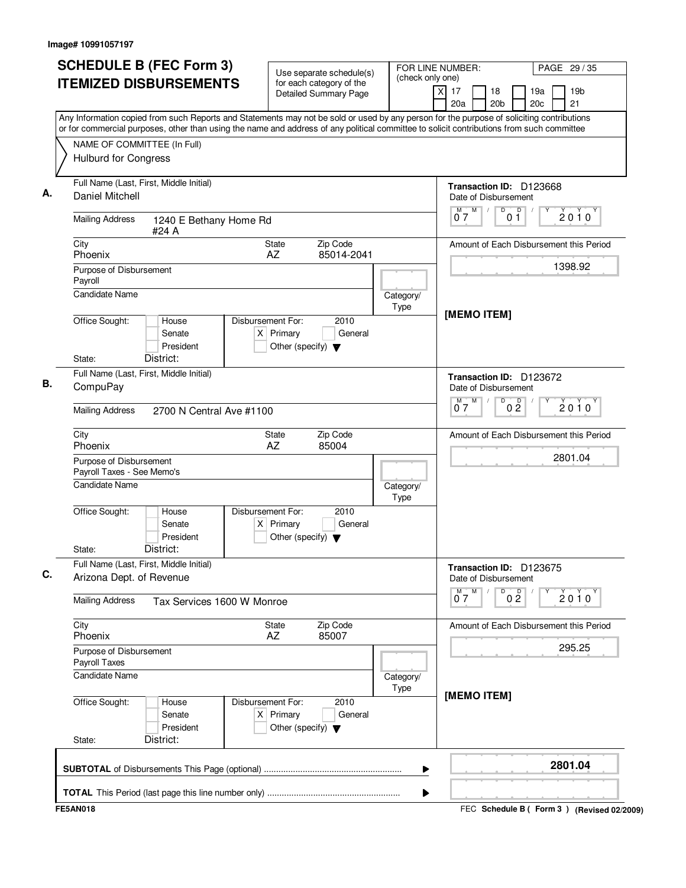| <b>SCHEDULE B (FEC Form 3)</b>                                                                                                                                                                                                                                                         | Use separate schedule(s)                                                                    | (check only one)  | FOR LINE NUMBER:<br>PAGE 29 / 35                                                     |                 |
|----------------------------------------------------------------------------------------------------------------------------------------------------------------------------------------------------------------------------------------------------------------------------------------|---------------------------------------------------------------------------------------------|-------------------|--------------------------------------------------------------------------------------|-----------------|
| <b>ITEMIZED DISBURSEMENTS</b>                                                                                                                                                                                                                                                          | for each category of the<br><b>Detailed Summary Page</b>                                    |                   | $\overline{X}$<br>17<br>18<br>19a<br>21<br>20 <sub>b</sub><br>20 <sub>c</sub><br>20a | 19 <sub>b</sub> |
| Any Information copied from such Reports and Statements may not be sold or used by any person for the purpose of soliciting contributions<br>or for commercial purposes, other than using the name and address of any political committee to solicit contributions from such committee |                                                                                             |                   |                                                                                      |                 |
| NAME OF COMMITTEE (In Full)<br><b>Hulburd for Congress</b>                                                                                                                                                                                                                             |                                                                                             |                   |                                                                                      |                 |
| Full Name (Last, First, Middle Initial)                                                                                                                                                                                                                                                |                                                                                             |                   | Transaction ID: D123668                                                              |                 |
| <b>Daniel Mitchell</b>                                                                                                                                                                                                                                                                 |                                                                                             |                   | Date of Disbursement                                                                 |                 |
| <b>Mailing Address</b><br>1240 E Bethany Home Rd<br>#24 A                                                                                                                                                                                                                              |                                                                                             |                   | $M$ $M$<br>D<br>0 <sup>0</sup><br>07                                                 | $2010^y$        |
| City<br>Phoenix                                                                                                                                                                                                                                                                        | State<br>Zip Code<br>AZ<br>85014-2041                                                       |                   | Amount of Each Disbursement this Period                                              |                 |
| Purpose of Disbursement                                                                                                                                                                                                                                                                |                                                                                             |                   | 1398.92                                                                              |                 |
| Payroll<br><b>Candidate Name</b>                                                                                                                                                                                                                                                       |                                                                                             | Category/         |                                                                                      |                 |
| Office Sought:<br>House<br>Senate<br>President<br>District:<br>State:                                                                                                                                                                                                                  | Disbursement For:<br>2010<br>$X$ Primary<br>General<br>Other (specify) $\blacktriangledown$ | Type              | [MEMO ITEM]                                                                          |                 |
| Full Name (Last, First, Middle Initial)                                                                                                                                                                                                                                                |                                                                                             |                   | Transaction ID: D123672                                                              |                 |
| CompuPay                                                                                                                                                                                                                                                                               |                                                                                             |                   | Date of Disbursement                                                                 |                 |
| <b>Mailing Address</b><br>2700 N Central Ave #1100                                                                                                                                                                                                                                     |                                                                                             |                   | $\overline{D}$<br>$M$ $M$<br>0 <sup>0</sup><br>07                                    | $2010^y$        |
| City<br>Phoenix                                                                                                                                                                                                                                                                        | Zip Code<br><b>State</b><br>AZ<br>85004                                                     |                   | Amount of Each Disbursement this Period                                              |                 |
| Purpose of Disbursement<br>Payroll Taxes - See Memo's                                                                                                                                                                                                                                  |                                                                                             |                   | 2801.04                                                                              |                 |
| Candidate Name                                                                                                                                                                                                                                                                         |                                                                                             | Category/<br>Type |                                                                                      |                 |
| Office Sought:<br>House<br>Senate<br>President<br>District:<br>State:                                                                                                                                                                                                                  | Disbursement For:<br>2010<br>$X$ Primary<br>General<br>Other (specify) $\blacktriangledown$ |                   |                                                                                      |                 |
| Full Name (Last, First, Middle Initial)<br>Arizona Dept. of Revenue                                                                                                                                                                                                                    |                                                                                             |                   | Transaction ID: D123675<br>Date of Disbursement                                      |                 |
| <b>Mailing Address</b><br>Tax Services 1600 W Monroe                                                                                                                                                                                                                                   |                                                                                             |                   | $0^M$ $7^M$<br>D<br>0 <sup>D</sup>                                                   | $2010^y$        |
| City<br>Phoenix                                                                                                                                                                                                                                                                        | Zip Code<br>State<br>AZ<br>85007                                                            |                   | Amount of Each Disbursement this Period                                              |                 |
| Purpose of Disbursement<br>Payroll Taxes                                                                                                                                                                                                                                               |                                                                                             |                   | 295.25                                                                               |                 |
| Candidate Name                                                                                                                                                                                                                                                                         |                                                                                             | Category/<br>Type |                                                                                      |                 |
| Office Sought:<br>House<br>Senate<br>President<br>District:<br>State:                                                                                                                                                                                                                  | Disbursement For:<br>2010<br>$X$ Primary<br>General<br>Other (specify) $\blacktriangledown$ |                   | [MEMO ITEM]                                                                          |                 |
|                                                                                                                                                                                                                                                                                        |                                                                                             | ▶                 | 2801.04                                                                              |                 |
|                                                                                                                                                                                                                                                                                        |                                                                                             | ▶                 |                                                                                      |                 |
| <b>FE5AN018</b>                                                                                                                                                                                                                                                                        |                                                                                             |                   | FEC Schedule B ( Form 3 ) (Revised 02/2009)                                          |                 |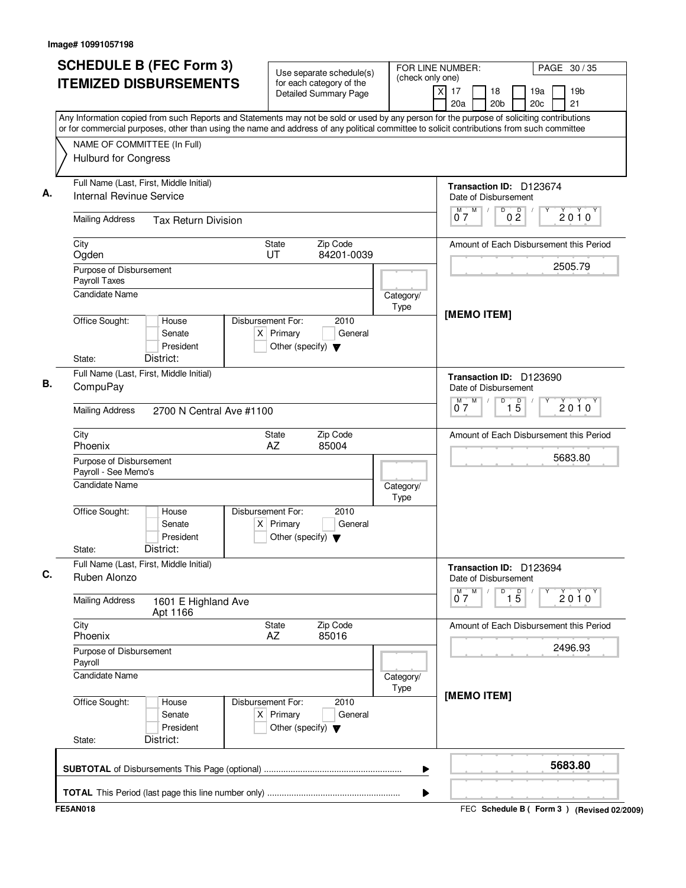| <b>ITEMIZED DISBURSEMENTS</b><br>Any Information copied from such Reports and Statements may not be sold or used by any person for the purpose of soliciting contributions<br>or for commercial purposes, other than using the name and address of any political committee to solicit contributions from such committee<br>NAME OF COMMITTEE (In Full)<br><b>Hulburd for Congress</b><br>Full Name (Last, First, Middle Initial)<br>Internal Revinue Service<br><b>Mailing Address</b><br>City<br>Ogden<br>Purpose of Disbursement<br>Payroll Taxes<br><b>Candidate Name</b><br>Office Sought:<br>District:<br>State:<br>Full Name (Last, First, Middle Initial)<br>CompuPay<br><b>Mailing Address</b><br>City<br>Phoenix<br>Purpose of Disbursement<br>Payroll - See Memo's<br><b>Candidate Name</b><br>Office Sought:<br>District:<br>State:<br>Full Name (Last, First, Middle Initial)<br>Ruben Alonzo | <b>Tax Return Division</b><br>House<br>Senate<br>President<br>2700 N Central Ave #1100 | State<br>UT<br>Disbursement For:<br>$X$ Primary<br>Other (specify) $\blacktriangledown$<br>State<br>AZ | Use separate schedule(s)<br>for each category of the<br><b>Detailed Summary Page</b><br>Zip Code<br>84201-0039<br>2010<br>General<br>Zip Code | Category/<br>Type | (check only one)<br>$\times$<br>17<br>20a<br>$M$ $M$<br>07<br>[MEMO ITEM]<br>M<br>м<br>07 | 18<br>19a<br>19 <sub>b</sub><br>20 <sub>b</sub><br>20c<br>21<br>Transaction ID: D123674<br>Date of Disbursement<br>D<br>0 <sup>D</sup><br>$2010^y$<br>Amount of Each Disbursement this Period<br>2505.79<br>Transaction ID: D123690<br>Date of Disbursement<br>D<br>$\overline{15}$<br>$2010^y$ |
|-----------------------------------------------------------------------------------------------------------------------------------------------------------------------------------------------------------------------------------------------------------------------------------------------------------------------------------------------------------------------------------------------------------------------------------------------------------------------------------------------------------------------------------------------------------------------------------------------------------------------------------------------------------------------------------------------------------------------------------------------------------------------------------------------------------------------------------------------------------------------------------------------------------|----------------------------------------------------------------------------------------|--------------------------------------------------------------------------------------------------------|-----------------------------------------------------------------------------------------------------------------------------------------------|-------------------|-------------------------------------------------------------------------------------------|-------------------------------------------------------------------------------------------------------------------------------------------------------------------------------------------------------------------------------------------------------------------------------------------------|
|                                                                                                                                                                                                                                                                                                                                                                                                                                                                                                                                                                                                                                                                                                                                                                                                                                                                                                           |                                                                                        |                                                                                                        |                                                                                                                                               |                   |                                                                                           |                                                                                                                                                                                                                                                                                                 |
|                                                                                                                                                                                                                                                                                                                                                                                                                                                                                                                                                                                                                                                                                                                                                                                                                                                                                                           |                                                                                        |                                                                                                        |                                                                                                                                               |                   |                                                                                           |                                                                                                                                                                                                                                                                                                 |
|                                                                                                                                                                                                                                                                                                                                                                                                                                                                                                                                                                                                                                                                                                                                                                                                                                                                                                           |                                                                                        |                                                                                                        |                                                                                                                                               |                   |                                                                                           |                                                                                                                                                                                                                                                                                                 |
|                                                                                                                                                                                                                                                                                                                                                                                                                                                                                                                                                                                                                                                                                                                                                                                                                                                                                                           |                                                                                        |                                                                                                        |                                                                                                                                               |                   |                                                                                           |                                                                                                                                                                                                                                                                                                 |
|                                                                                                                                                                                                                                                                                                                                                                                                                                                                                                                                                                                                                                                                                                                                                                                                                                                                                                           |                                                                                        |                                                                                                        |                                                                                                                                               |                   |                                                                                           |                                                                                                                                                                                                                                                                                                 |
|                                                                                                                                                                                                                                                                                                                                                                                                                                                                                                                                                                                                                                                                                                                                                                                                                                                                                                           |                                                                                        |                                                                                                        |                                                                                                                                               |                   |                                                                                           |                                                                                                                                                                                                                                                                                                 |
|                                                                                                                                                                                                                                                                                                                                                                                                                                                                                                                                                                                                                                                                                                                                                                                                                                                                                                           |                                                                                        |                                                                                                        |                                                                                                                                               |                   |                                                                                           |                                                                                                                                                                                                                                                                                                 |
|                                                                                                                                                                                                                                                                                                                                                                                                                                                                                                                                                                                                                                                                                                                                                                                                                                                                                                           |                                                                                        |                                                                                                        |                                                                                                                                               |                   |                                                                                           |                                                                                                                                                                                                                                                                                                 |
|                                                                                                                                                                                                                                                                                                                                                                                                                                                                                                                                                                                                                                                                                                                                                                                                                                                                                                           |                                                                                        |                                                                                                        |                                                                                                                                               |                   |                                                                                           | Amount of Each Disbursement this Period                                                                                                                                                                                                                                                         |
|                                                                                                                                                                                                                                                                                                                                                                                                                                                                                                                                                                                                                                                                                                                                                                                                                                                                                                           |                                                                                        |                                                                                                        | 85004                                                                                                                                         | Category/         |                                                                                           | 5683.80                                                                                                                                                                                                                                                                                         |
|                                                                                                                                                                                                                                                                                                                                                                                                                                                                                                                                                                                                                                                                                                                                                                                                                                                                                                           | House<br>Senate<br>President                                                           | Disbursement For:<br>$X$ Primary<br>Other (specify) $\blacktriangledown$                               | 2010<br>General                                                                                                                               | Type              |                                                                                           |                                                                                                                                                                                                                                                                                                 |
|                                                                                                                                                                                                                                                                                                                                                                                                                                                                                                                                                                                                                                                                                                                                                                                                                                                                                                           |                                                                                        |                                                                                                        |                                                                                                                                               |                   |                                                                                           | Transaction ID: D123694<br>Date of Disbursement                                                                                                                                                                                                                                                 |
| <b>Mailing Address</b>                                                                                                                                                                                                                                                                                                                                                                                                                                                                                                                                                                                                                                                                                                                                                                                                                                                                                    | 1601 E Highland Ave<br>Apt 1166                                                        |                                                                                                        |                                                                                                                                               |                   | $0^{\frac{M}{7}}$                                                                         | D<br>$\overline{1\phantom{1}5}$<br>Y<br>$2010^y$                                                                                                                                                                                                                                                |
| City<br>Phoenix                                                                                                                                                                                                                                                                                                                                                                                                                                                                                                                                                                                                                                                                                                                                                                                                                                                                                           |                                                                                        | State<br>AZ                                                                                            | Zip Code<br>85016                                                                                                                             |                   |                                                                                           | Amount of Each Disbursement this Period<br>2496.93                                                                                                                                                                                                                                              |
| Purpose of Disbursement<br>Payroll<br>Candidate Name                                                                                                                                                                                                                                                                                                                                                                                                                                                                                                                                                                                                                                                                                                                                                                                                                                                      |                                                                                        |                                                                                                        |                                                                                                                                               | Category/         |                                                                                           |                                                                                                                                                                                                                                                                                                 |
| Office Sought:<br>District:<br>State:                                                                                                                                                                                                                                                                                                                                                                                                                                                                                                                                                                                                                                                                                                                                                                                                                                                                     | House<br>Senate<br>President                                                           | Disbursement For:<br>$X$ Primary<br>Other (specify) $\blacktriangledown$                               | 2010<br>General                                                                                                                               | Type              | [MEMO ITEM]                                                                               |                                                                                                                                                                                                                                                                                                 |
|                                                                                                                                                                                                                                                                                                                                                                                                                                                                                                                                                                                                                                                                                                                                                                                                                                                                                                           |                                                                                        |                                                                                                        |                                                                                                                                               |                   |                                                                                           |                                                                                                                                                                                                                                                                                                 |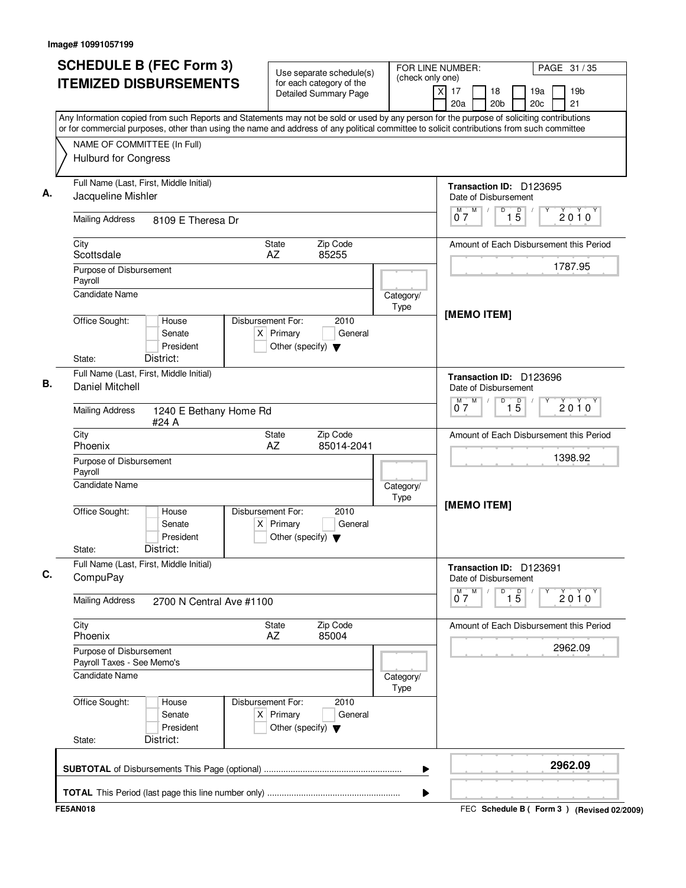| <b>SCHEDULE B (FEC Form 3)</b>                                                                                                                                                                                                                                                         | Use separate schedule(s)                                                                    | FOR LINE NUMBER:<br>(check only one) | PAGE 31 / 35                                                                          |
|----------------------------------------------------------------------------------------------------------------------------------------------------------------------------------------------------------------------------------------------------------------------------------------|---------------------------------------------------------------------------------------------|--------------------------------------|---------------------------------------------------------------------------------------|
| <b>ITEMIZED DISBURSEMENTS</b>                                                                                                                                                                                                                                                          | for each category of the<br><b>Detailed Summary Page</b>                                    |                                      | $\times$<br>17<br>18<br>19a<br>19 <sub>b</sub><br>20a<br>20 <sub>b</sub><br>20c<br>21 |
| Any Information copied from such Reports and Statements may not be sold or used by any person for the purpose of soliciting contributions<br>or for commercial purposes, other than using the name and address of any political committee to solicit contributions from such committee |                                                                                             |                                      |                                                                                       |
| NAME OF COMMITTEE (In Full)                                                                                                                                                                                                                                                            |                                                                                             |                                      |                                                                                       |
| <b>Hulburd for Congress</b>                                                                                                                                                                                                                                                            |                                                                                             |                                      |                                                                                       |
| Full Name (Last, First, Middle Initial)<br>Jacqueline Mishler                                                                                                                                                                                                                          |                                                                                             |                                      | Transaction ID: D123695<br>Date of Disbursement                                       |
| <b>Mailing Address</b><br>8109 E Theresa Dr                                                                                                                                                                                                                                            |                                                                                             |                                      | M<br>D<br>$\overline{1\phantom{1}5}$<br>M<br>$2010^y$<br>07                           |
| City<br>Scottsdale                                                                                                                                                                                                                                                                     | State<br>Zip Code<br>AZ<br>85255                                                            |                                      | Amount of Each Disbursement this Period                                               |
| Purpose of Disbursement<br>Payroll                                                                                                                                                                                                                                                     |                                                                                             |                                      | 1787.95                                                                               |
| <b>Candidate Name</b>                                                                                                                                                                                                                                                                  |                                                                                             | Category/<br>Type                    |                                                                                       |
| Office Sought:<br>House<br>Senate<br>President<br>District:<br>State:                                                                                                                                                                                                                  | Disbursement For:<br>2010<br>$X$ Primary<br>General<br>Other (specify) $\blacktriangledown$ |                                      | [MEMO ITEM]                                                                           |
| Full Name (Last, First, Middle Initial)                                                                                                                                                                                                                                                |                                                                                             |                                      | Transaction ID: D123696                                                               |
| Daniel Mitchell                                                                                                                                                                                                                                                                        |                                                                                             |                                      | Date of Disbursement<br>$M$ $M$<br>D                                                  |
| <b>Mailing Address</b><br>1240 E Bethany Home Rd<br>#24 A                                                                                                                                                                                                                              |                                                                                             |                                      | $\overline{15}$<br>$2010^y$<br>07                                                     |
| City<br>Phoenix                                                                                                                                                                                                                                                                        | Zip Code<br>State<br>AZ<br>85014-2041                                                       |                                      | Amount of Each Disbursement this Period                                               |
| Purpose of Disbursement<br>Payroll                                                                                                                                                                                                                                                     |                                                                                             |                                      | 1398.92                                                                               |
| <b>Candidate Name</b>                                                                                                                                                                                                                                                                  |                                                                                             | Category/<br>Type                    |                                                                                       |
| Office Sought:<br>House<br>Senate<br>President<br>District:<br>State:                                                                                                                                                                                                                  | Disbursement For:<br>2010<br>$X$ Primary<br>General<br>Other (specify) $\blacktriangledown$ |                                      | [MEMO ITEM]                                                                           |
| Full Name (Last, First, Middle Initial)<br>CompuPay                                                                                                                                                                                                                                    |                                                                                             |                                      | Transaction ID: D123691<br>Date of Disbursement                                       |
| <b>Mailing Address</b><br>2700 N Central Ave #1100                                                                                                                                                                                                                                     |                                                                                             |                                      | $0^M$ $7^M$<br>D<br>$\overline{1\,5}$<br>$2010^y$                                     |
| City<br>Phoenix                                                                                                                                                                                                                                                                        | Zip Code<br>State<br>AZ<br>85004                                                            |                                      | Amount of Each Disbursement this Period                                               |
| Purpose of Disbursement<br>Payroll Taxes - See Memo's                                                                                                                                                                                                                                  |                                                                                             |                                      | 2962.09                                                                               |
| <b>Candidate Name</b>                                                                                                                                                                                                                                                                  |                                                                                             | Category/<br>Type                    |                                                                                       |
| Office Sought:<br>House<br>Senate<br>President                                                                                                                                                                                                                                         | Disbursement For:<br>2010<br>$X$ Primary<br>General<br>Other (specify) $\blacktriangledown$ |                                      |                                                                                       |
| District:<br>State:                                                                                                                                                                                                                                                                    |                                                                                             |                                      |                                                                                       |
|                                                                                                                                                                                                                                                                                        |                                                                                             |                                      | 2962.09                                                                               |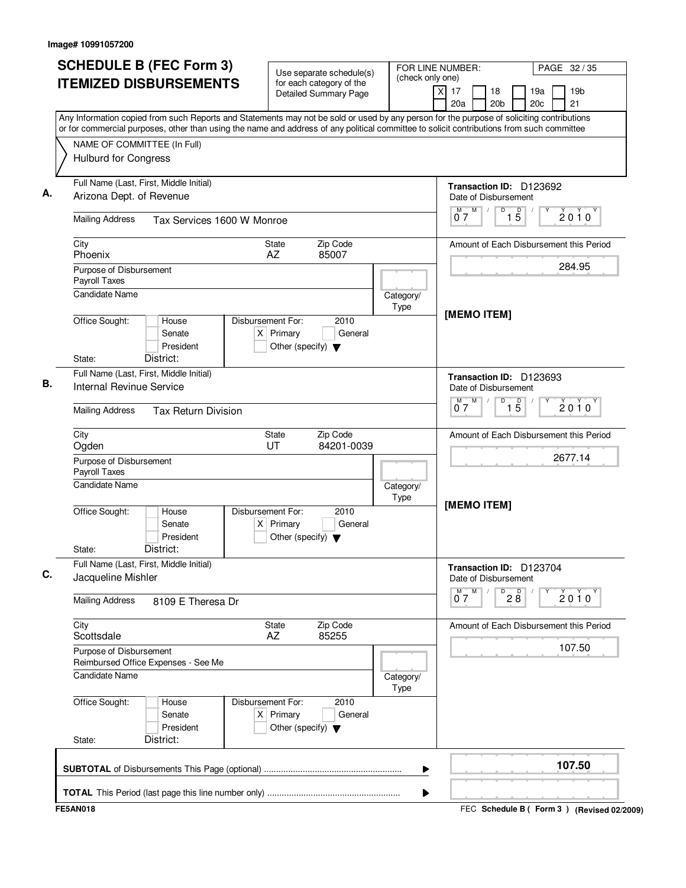| <b>SCHEDULE B (FEC Form 3)</b><br><b>ITEMIZED DISBURSEMENTS</b>                                                                                                                                                                                                                        | Use separate schedule(s)<br>for each category of the                                        | FOR LINE NUMBER:<br>(check only one) |                                                                              | PAGE 32 / 35                                    |
|----------------------------------------------------------------------------------------------------------------------------------------------------------------------------------------------------------------------------------------------------------------------------------------|---------------------------------------------------------------------------------------------|--------------------------------------|------------------------------------------------------------------------------|-------------------------------------------------|
|                                                                                                                                                                                                                                                                                        | <b>Detailed Summary Page</b>                                                                | $\times$                             | 17<br>18<br>20a<br>20 <sub>b</sub>                                           | 19a<br>19 <sub>b</sub><br>21<br>20 <sub>c</sub> |
| Any Information copied from such Reports and Statements may not be sold or used by any person for the purpose of soliciting contributions<br>or for commercial purposes, other than using the name and address of any political committee to solicit contributions from such committee |                                                                                             |                                      |                                                                              |                                                 |
| NAME OF COMMITTEE (In Full)                                                                                                                                                                                                                                                            |                                                                                             |                                      |                                                                              |                                                 |
| <b>Hulburd for Congress</b>                                                                                                                                                                                                                                                            |                                                                                             |                                      |                                                                              |                                                 |
| Full Name (Last, First, Middle Initial)                                                                                                                                                                                                                                                |                                                                                             |                                      | Transaction ID: D123692                                                      |                                                 |
| Arizona Dept. of Revenue                                                                                                                                                                                                                                                               |                                                                                             |                                      | Date of Disbursement<br>$M^{\prime}$<br>$\overline{1\phantom{1}5}$<br>D<br>М | $2010^y$                                        |
| <b>Mailing Address</b><br>Tax Services 1600 W Monroe                                                                                                                                                                                                                                   |                                                                                             |                                      | 07                                                                           |                                                 |
| City<br>Phoenix                                                                                                                                                                                                                                                                        | Zip Code<br>State<br>85007<br>AZ                                                            |                                      |                                                                              | Amount of Each Disbursement this Period         |
| Purpose of Disbursement                                                                                                                                                                                                                                                                |                                                                                             |                                      |                                                                              | 284.95                                          |
| Payroll Taxes<br><b>Candidate Name</b>                                                                                                                                                                                                                                                 |                                                                                             |                                      |                                                                              |                                                 |
|                                                                                                                                                                                                                                                                                        |                                                                                             | Category/<br>Type                    |                                                                              |                                                 |
| Office Sought:<br>House<br>Senate<br>President                                                                                                                                                                                                                                         | Disbursement For:<br>2010<br>$X$ Primary<br>General<br>Other (specify) $\blacktriangledown$ |                                      | [MEMO ITEM]                                                                  |                                                 |
| District:<br>State:<br>Full Name (Last, First, Middle Initial)                                                                                                                                                                                                                         |                                                                                             |                                      |                                                                              |                                                 |
| Internal Revinue Service                                                                                                                                                                                                                                                               |                                                                                             |                                      | Transaction ID: D123693<br>Date of Disbursement                              |                                                 |
| <b>Mailing Address</b><br><b>Tax Return Division</b>                                                                                                                                                                                                                                   |                                                                                             |                                      | M<br>D<br>$\overline{1\,5}$<br>М<br>07                                       | $2010^y$                                        |
| City<br>Ogden                                                                                                                                                                                                                                                                          | Zip Code<br>State<br>UT<br>84201-0039                                                       |                                      |                                                                              | Amount of Each Disbursement this Period         |
| Purpose of Disbursement<br>Payroll Taxes                                                                                                                                                                                                                                               |                                                                                             |                                      |                                                                              | 2677.14                                         |
| <b>Candidate Name</b>                                                                                                                                                                                                                                                                  |                                                                                             | Category/<br>Type                    |                                                                              |                                                 |
| Office Sought:<br>House<br>Senate<br>President<br>District:<br>State:                                                                                                                                                                                                                  | Disbursement For:<br>2010<br>$X$ Primary<br>General<br>Other (specify) $\blacktriangledown$ |                                      | [MEMO ITEM]                                                                  |                                                 |
| Full Name (Last, First, Middle Initial)<br>Jacqueline Mishler                                                                                                                                                                                                                          |                                                                                             |                                      | Transaction ID: D123704<br>Date of Disbursement                              |                                                 |
| <b>Mailing Address</b><br>8109 E Theresa Dr                                                                                                                                                                                                                                            |                                                                                             |                                      | $0^M$ $\overline{7}^M$<br>$\overline{P}$ 2 $\overline{8}$                    | $2010^{\circ}$                                  |
| City<br>Scottsdale                                                                                                                                                                                                                                                                     | Zip Code<br>State<br>85255<br>AZ                                                            |                                      |                                                                              | Amount of Each Disbursement this Period         |
| Purpose of Disbursement<br>Reimbursed Office Expenses - See Me                                                                                                                                                                                                                         |                                                                                             |                                      |                                                                              | 107.50                                          |
| Candidate Name                                                                                                                                                                                                                                                                         |                                                                                             | Category/<br>Type                    |                                                                              |                                                 |
| Office Sought:<br>House<br>Senate<br>President<br>District:<br>State:                                                                                                                                                                                                                  | Disbursement For:<br>2010<br>$X$ Primary<br>General<br>Other (specify) $\blacktriangledown$ |                                      |                                                                              |                                                 |
|                                                                                                                                                                                                                                                                                        |                                                                                             | ▶                                    |                                                                              | 107.50                                          |
|                                                                                                                                                                                                                                                                                        |                                                                                             | ▶                                    |                                                                              |                                                 |
| <b>FE5AN018</b>                                                                                                                                                                                                                                                                        |                                                                                             |                                      |                                                                              | FEC Schedule B ( Form 3 ) (Revised 02/2009)     |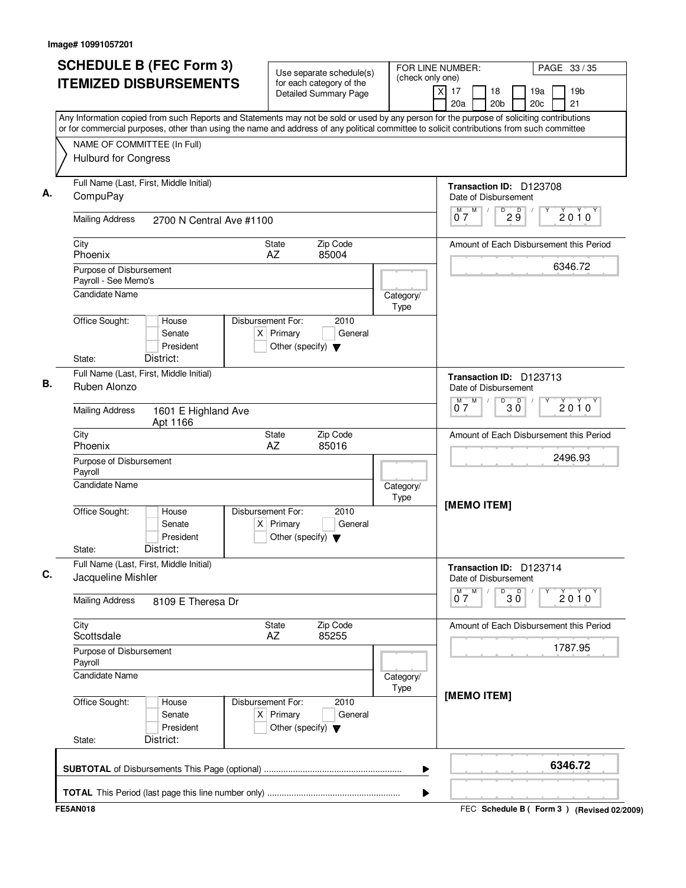| <b>SCHEDULE B (FEC Form 3)</b>                                                                                                                                                                                                                                                         | Use separate schedule(s)                                                                    | FOR LINE NUMBER:<br>(check only one) |                                      |                                                 |                        |            | PAGE 33 / 35                                |  |
|----------------------------------------------------------------------------------------------------------------------------------------------------------------------------------------------------------------------------------------------------------------------------------------|---------------------------------------------------------------------------------------------|--------------------------------------|--------------------------------------|-------------------------------------------------|------------------------|------------|---------------------------------------------|--|
| <b>ITEMIZED DISBURSEMENTS</b>                                                                                                                                                                                                                                                          | for each category of the<br><b>Detailed Summary Page</b>                                    |                                      | $\overline{\mathsf{x}}$<br>17<br>20a | 18<br>20 <sub>b</sub>                           |                        | 19a<br>20c | 19 <sub>b</sub><br>21                       |  |
| Any Information copied from such Reports and Statements may not be sold or used by any person for the purpose of soliciting contributions<br>or for commercial purposes, other than using the name and address of any political committee to solicit contributions from such committee |                                                                                             |                                      |                                      |                                                 |                        |            |                                             |  |
| NAME OF COMMITTEE (In Full)                                                                                                                                                                                                                                                            |                                                                                             |                                      |                                      |                                                 |                        |            |                                             |  |
| <b>Hulburd for Congress</b>                                                                                                                                                                                                                                                            |                                                                                             |                                      |                                      |                                                 |                        |            |                                             |  |
| Full Name (Last, First, Middle Initial)                                                                                                                                                                                                                                                |                                                                                             |                                      |                                      | Transaction ID: D123708                         |                        |            |                                             |  |
| CompuPay                                                                                                                                                                                                                                                                               |                                                                                             |                                      |                                      | Date of Disbursement                            |                        |            |                                             |  |
| <b>Mailing Address</b><br>2700 N Central Ave #1100                                                                                                                                                                                                                                     |                                                                                             |                                      | M<br>M<br>07                         | D                                               | 29                     |            | $2010^y$                                    |  |
| City<br>Phoenix                                                                                                                                                                                                                                                                        | Zip Code<br>State<br>AZ<br>85004                                                            |                                      |                                      |                                                 |                        |            | Amount of Each Disbursement this Period     |  |
| Purpose of Disbursement                                                                                                                                                                                                                                                                |                                                                                             |                                      |                                      |                                                 |                        |            | 6346.72                                     |  |
| Payroll - See Memo's<br><b>Candidate Name</b>                                                                                                                                                                                                                                          |                                                                                             |                                      |                                      |                                                 |                        |            |                                             |  |
|                                                                                                                                                                                                                                                                                        |                                                                                             | Category/<br>Type                    |                                      |                                                 |                        |            |                                             |  |
| Office Sought:<br>House<br>Senate<br>President                                                                                                                                                                                                                                         | Disbursement For:<br>2010<br>$X$ Primary<br>General<br>Other (specify) $\blacktriangledown$ |                                      |                                      |                                                 |                        |            |                                             |  |
| District:<br>State:                                                                                                                                                                                                                                                                    |                                                                                             |                                      |                                      |                                                 |                        |            |                                             |  |
| Full Name (Last, First, Middle Initial)<br>Ruben Alonzo                                                                                                                                                                                                                                |                                                                                             |                                      | M                                    | Transaction ID: D123713<br>Date of Disbursement |                        |            |                                             |  |
| <b>Mailing Address</b><br>1601 E Highland Ave<br>Apt 1166                                                                                                                                                                                                                              |                                                                                             |                                      | м<br>07                              |                                                 | $B^D$ 3 $\overline{0}$ |            | $2010^y$                                    |  |
| City<br>Phoenix                                                                                                                                                                                                                                                                        | Zip Code<br>State<br>AZ<br>85016                                                            |                                      |                                      |                                                 |                        |            | Amount of Each Disbursement this Period     |  |
| Purpose of Disbursement                                                                                                                                                                                                                                                                |                                                                                             |                                      |                                      |                                                 |                        |            | 2496.93                                     |  |
| Payroll<br><b>Candidate Name</b>                                                                                                                                                                                                                                                       |                                                                                             | Category/<br>Type                    |                                      |                                                 |                        |            |                                             |  |
| Office Sought:<br>House<br>Senate<br>President<br>District:<br>State:                                                                                                                                                                                                                  | Disbursement For:<br>2010<br>$X$ Primary<br>General<br>Other (specify) $\blacktriangledown$ |                                      |                                      | [MEMO ITEM]                                     |                        |            |                                             |  |
| Full Name (Last, First, Middle Initial)<br>Jacqueline Mishler                                                                                                                                                                                                                          |                                                                                             |                                      |                                      | Transaction ID: D123714<br>Date of Disbursement |                        |            |                                             |  |
| <b>Mailing Address</b><br>8109 E Theresa Dr                                                                                                                                                                                                                                            |                                                                                             |                                      | $0^M$ $7^M$                          |                                                 | $\overline{30}$        | Υ          | $2010^y$                                    |  |
| City<br>Scottsdale                                                                                                                                                                                                                                                                     | Zip Code<br>State<br>85255<br>AZ                                                            |                                      |                                      |                                                 |                        |            | Amount of Each Disbursement this Period     |  |
| Purpose of Disbursement<br>Payroll                                                                                                                                                                                                                                                     |                                                                                             |                                      |                                      |                                                 |                        |            | 1787.95                                     |  |
| <b>Candidate Name</b>                                                                                                                                                                                                                                                                  |                                                                                             | Category/<br>Type                    |                                      |                                                 |                        |            |                                             |  |
| Office Sought:<br>House<br>Senate<br>President<br>District:<br>State:                                                                                                                                                                                                                  | Disbursement For:<br>2010<br>$X$ Primary<br>General<br>Other (specify) $\blacktriangledown$ |                                      |                                      | [MEMO ITEM]                                     |                        |            |                                             |  |
|                                                                                                                                                                                                                                                                                        |                                                                                             | ▶                                    |                                      |                                                 |                        |            | 6346.72                                     |  |
|                                                                                                                                                                                                                                                                                        |                                                                                             | ▶                                    |                                      |                                                 |                        |            |                                             |  |
| <b>FE5AN018</b>                                                                                                                                                                                                                                                                        |                                                                                             |                                      |                                      |                                                 |                        |            | FEC Schedule B ( Form 3 ) (Revised 02/2009) |  |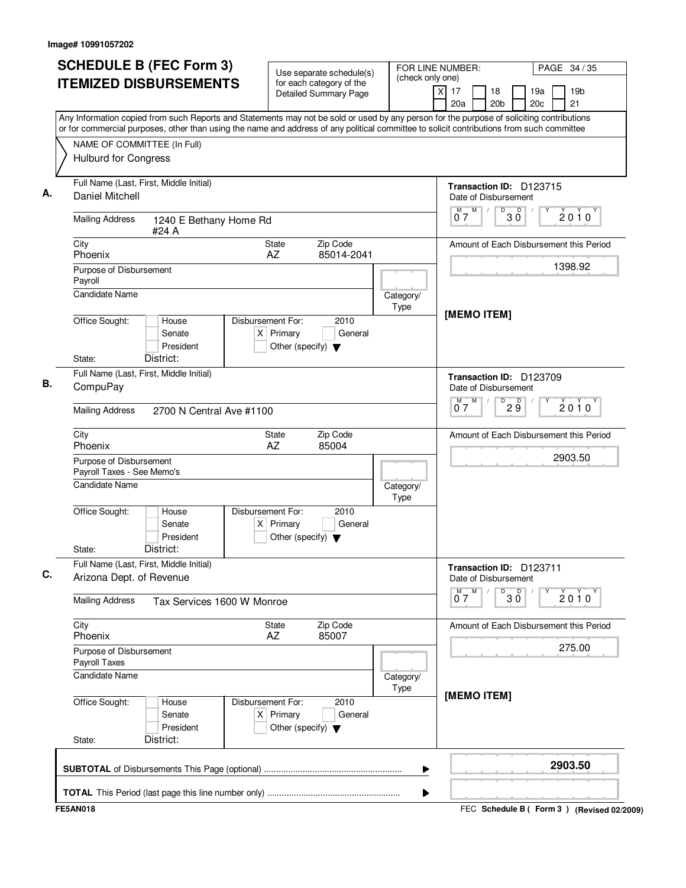| <b>SCHEDULE B (FEC Form 3)</b>                                                                                                                                                                                                                                                         | Use separate schedule(s)                                                                    | FOR LINE NUMBER:<br>(check only one) |                                                               | PAGE 34 / 35                                    |  |
|----------------------------------------------------------------------------------------------------------------------------------------------------------------------------------------------------------------------------------------------------------------------------------------|---------------------------------------------------------------------------------------------|--------------------------------------|---------------------------------------------------------------|-------------------------------------------------|--|
| <b>ITEMIZED DISBURSEMENTS</b>                                                                                                                                                                                                                                                          | for each category of the<br><b>Detailed Summary Page</b>                                    |                                      | $\overline{\mathsf{x}}$<br>17<br>18<br>20 <sub>b</sub><br>20a | 19 <sub>b</sub><br>19a<br>20 <sub>c</sub><br>21 |  |
| Any Information copied from such Reports and Statements may not be sold or used by any person for the purpose of soliciting contributions<br>or for commercial purposes, other than using the name and address of any political committee to solicit contributions from such committee |                                                                                             |                                      |                                                               |                                                 |  |
| NAME OF COMMITTEE (In Full)                                                                                                                                                                                                                                                            |                                                                                             |                                      |                                                               |                                                 |  |
| <b>Hulburd for Congress</b>                                                                                                                                                                                                                                                            |                                                                                             |                                      |                                                               |                                                 |  |
| Full Name (Last, First, Middle Initial)<br><b>Daniel Mitchell</b>                                                                                                                                                                                                                      |                                                                                             |                                      | Transaction ID: D123715                                       |                                                 |  |
|                                                                                                                                                                                                                                                                                        |                                                                                             |                                      | Date of Disbursement<br>M<br>M<br>D                           |                                                 |  |
| <b>Mailing Address</b><br>1240 E Bethany Home Rd<br>#24 A                                                                                                                                                                                                                              |                                                                                             |                                      | $30^{\circ}$<br>07                                            | $2010^y$                                        |  |
| City<br>Phoenix                                                                                                                                                                                                                                                                        | Zip Code<br>State<br>AZ<br>85014-2041                                                       |                                      |                                                               | Amount of Each Disbursement this Period         |  |
| Purpose of Disbursement                                                                                                                                                                                                                                                                |                                                                                             |                                      |                                                               | 1398.92                                         |  |
| Payroll                                                                                                                                                                                                                                                                                |                                                                                             |                                      |                                                               |                                                 |  |
| <b>Candidate Name</b>                                                                                                                                                                                                                                                                  |                                                                                             | Category/<br>Type                    |                                                               |                                                 |  |
| Office Sought:<br>House<br>Senate<br>President<br>District:                                                                                                                                                                                                                            | Disbursement For:<br>2010<br>$X$ Primary<br>General<br>Other (specify) $\blacktriangledown$ |                                      | [MEMO ITEM]                                                   |                                                 |  |
| State:                                                                                                                                                                                                                                                                                 |                                                                                             |                                      |                                                               |                                                 |  |
| Full Name (Last, First, Middle Initial)<br>CompuPay                                                                                                                                                                                                                                    |                                                                                             |                                      | Transaction ID: D123709<br>Date of Disbursement               |                                                 |  |
| <b>Mailing Address</b><br>2700 N Central Ave #1100                                                                                                                                                                                                                                     |                                                                                             |                                      | M<br>D<br>29<br>М<br>07                                       | $2010^y$                                        |  |
| City<br>Phoenix                                                                                                                                                                                                                                                                        | Zip Code<br><b>State</b><br>AZ<br>85004                                                     |                                      |                                                               | Amount of Each Disbursement this Period         |  |
| Purpose of Disbursement<br>Payroll Taxes - See Memo's                                                                                                                                                                                                                                  |                                                                                             |                                      |                                                               | 2903.50                                         |  |
| <b>Candidate Name</b>                                                                                                                                                                                                                                                                  |                                                                                             | Category/<br>Type                    |                                                               |                                                 |  |
| Office Sought:<br>House<br>Senate<br>President<br>District:<br>State:                                                                                                                                                                                                                  | Disbursement For:<br>2010<br>$X$ Primary<br>General<br>Other (specify) $\blacktriangledown$ |                                      |                                                               |                                                 |  |
| Full Name (Last, First, Middle Initial)<br>Arizona Dept. of Revenue                                                                                                                                                                                                                    |                                                                                             |                                      | Transaction ID: D123711<br>Date of Disbursement               |                                                 |  |
| <b>Mailing Address</b><br>Tax Services 1600 W Monroe                                                                                                                                                                                                                                   |                                                                                             |                                      | $0^M$ $7^M$<br>D<br>$30^{\circ}$                              | Υ<br>2010                                       |  |
| City<br>Phoenix                                                                                                                                                                                                                                                                        | Zip Code<br>State<br>85007<br>AZ                                                            |                                      |                                                               | Amount of Each Disbursement this Period         |  |
| Purpose of Disbursement<br>Payroll Taxes                                                                                                                                                                                                                                               |                                                                                             |                                      |                                                               | 275.00                                          |  |
| <b>Candidate Name</b>                                                                                                                                                                                                                                                                  |                                                                                             | Category/<br>Type                    |                                                               |                                                 |  |
| Office Sought:<br>House<br>Senate<br>President<br>District:<br>State:                                                                                                                                                                                                                  | Disbursement For:<br>2010<br>$X$ Primary<br>General<br>Other (specify) $\blacktriangledown$ |                                      | [MEMO ITEM]                                                   |                                                 |  |
|                                                                                                                                                                                                                                                                                        |                                                                                             | ▶                                    |                                                               | 2903.50                                         |  |
|                                                                                                                                                                                                                                                                                        |                                                                                             | ▶                                    |                                                               |                                                 |  |
| <b>FE5AN018</b>                                                                                                                                                                                                                                                                        |                                                                                             |                                      |                                                               | FEC Schedule B ( Form 3 ) (Revised 02/2009)     |  |